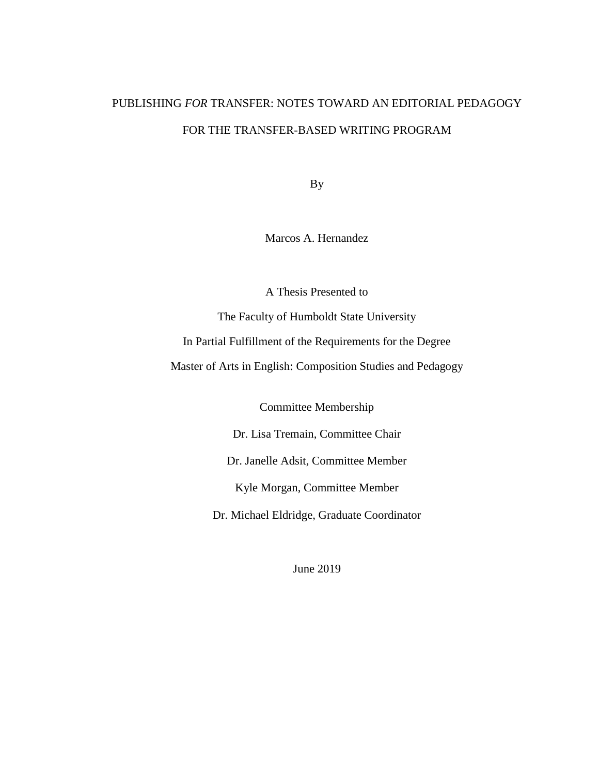# PUBLISHING *FOR* TRANSFER: NOTES TOWARD AN EDITORIAL PEDAGOGY FOR THE TRANSFER-BASED WRITING PROGRAM

By

Marcos A. Hernandez

A Thesis Presented to

The Faculty of Humboldt State University In Partial Fulfillment of the Requirements for the Degree Master of Arts in English: Composition Studies and Pedagogy

Committee Membership

Dr. Lisa Tremain, Committee Chair

Dr. Janelle Adsit, Committee Member

Kyle Morgan, Committee Member

Dr. Michael Eldridge, Graduate Coordinator

June 2019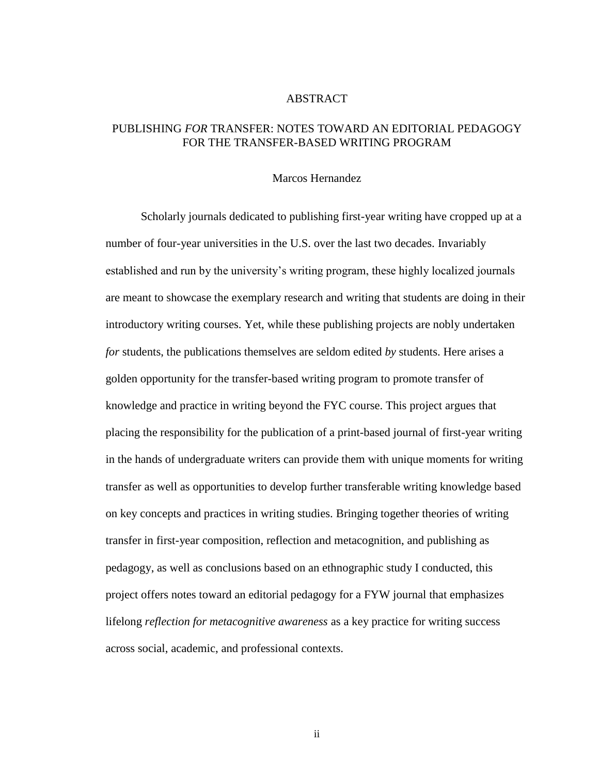### ABSTRACT

### <span id="page-1-0"></span>PUBLISHING *FOR* TRANSFER: NOTES TOWARD AN EDITORIAL PEDAGOGY FOR THE TRANSFER-BASED WRITING PROGRAM

#### Marcos Hernandez

Scholarly journals dedicated to publishing first-year writing have cropped up at a number of four-year universities in the U.S. over the last two decades. Invariably established and run by the university's writing program, these highly localized journals are meant to showcase the exemplary research and writing that students are doing in their introductory writing courses. Yet, while these publishing projects are nobly undertaken *for* students, the publications themselves are seldom edited *by* students. Here arises a golden opportunity for the transfer-based writing program to promote transfer of knowledge and practice in writing beyond the FYC course. This project argues that placing the responsibility for the publication of a print-based journal of first-year writing in the hands of undergraduate writers can provide them with unique moments for writing transfer as well as opportunities to develop further transferable writing knowledge based on key concepts and practices in writing studies. Bringing together theories of writing transfer in first-year composition, reflection and metacognition, and publishing as pedagogy, as well as conclusions based on an ethnographic study I conducted, this project offers notes toward an editorial pedagogy for a FYW journal that emphasizes lifelong *reflection for metacognitive awareness* as a key practice for writing success across social, academic, and professional contexts.

ii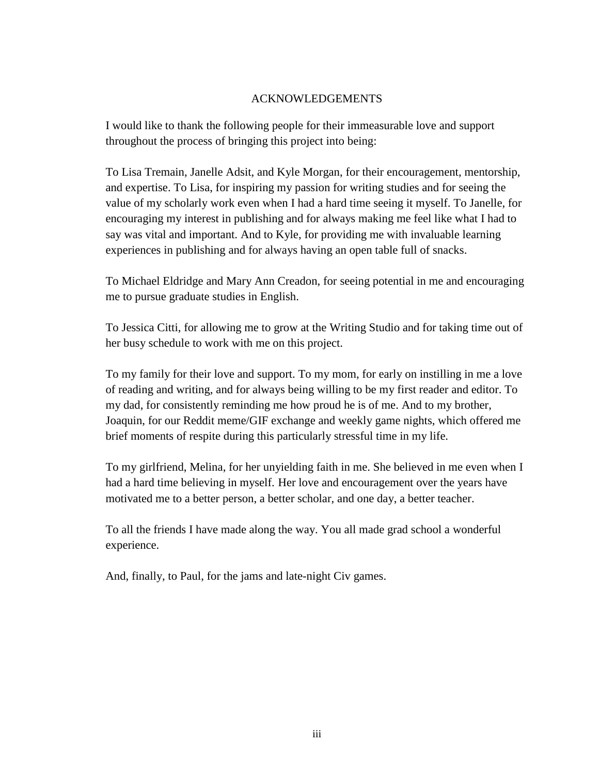### ACKNOWLEDGEMENTS

<span id="page-2-0"></span>I would like to thank the following people for their immeasurable love and support throughout the process of bringing this project into being:

To Lisa Tremain, Janelle Adsit, and Kyle Morgan, for their encouragement, mentorship, and expertise. To Lisa, for inspiring my passion for writing studies and for seeing the value of my scholarly work even when I had a hard time seeing it myself. To Janelle, for encouraging my interest in publishing and for always making me feel like what I had to say was vital and important. And to Kyle, for providing me with invaluable learning experiences in publishing and for always having an open table full of snacks.

To Michael Eldridge and Mary Ann Creadon, for seeing potential in me and encouraging me to pursue graduate studies in English.

To Jessica Citti, for allowing me to grow at the Writing Studio and for taking time out of her busy schedule to work with me on this project.

To my family for their love and support. To my mom, for early on instilling in me a love of reading and writing, and for always being willing to be my first reader and editor. To my dad, for consistently reminding me how proud he is of me. And to my brother, Joaquin, for our Reddit meme/GIF exchange and weekly game nights, which offered me brief moments of respite during this particularly stressful time in my life.

To my girlfriend, Melina, for her unyielding faith in me. She believed in me even when I had a hard time believing in myself. Her love and encouragement over the years have motivated me to a better person, a better scholar, and one day, a better teacher.

To all the friends I have made along the way. You all made grad school a wonderful experience.

And, finally, to Paul, for the jams and late-night Civ games.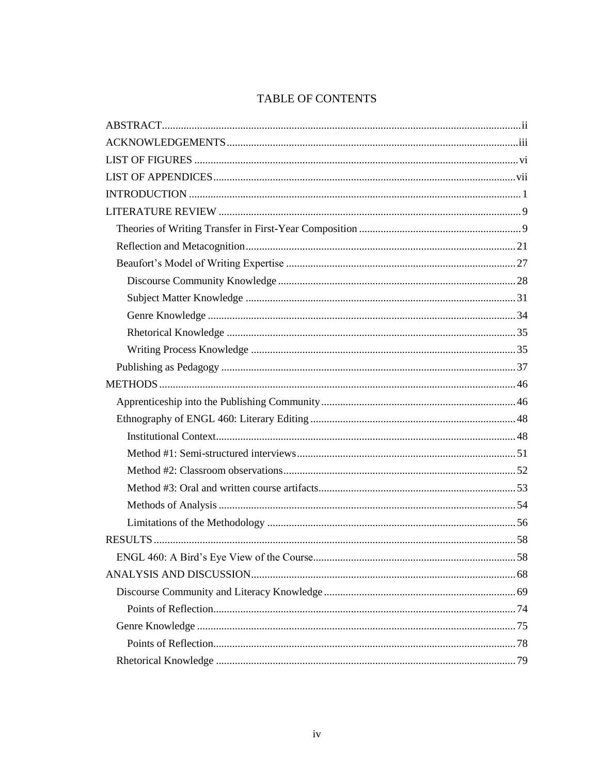# TABLE OF CONTENTS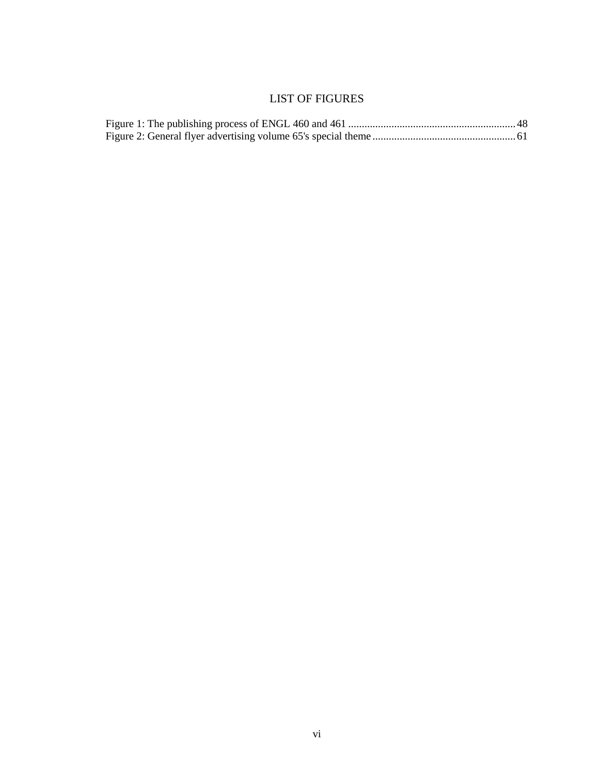## LIST OF FIGURES

<span id="page-5-0"></span>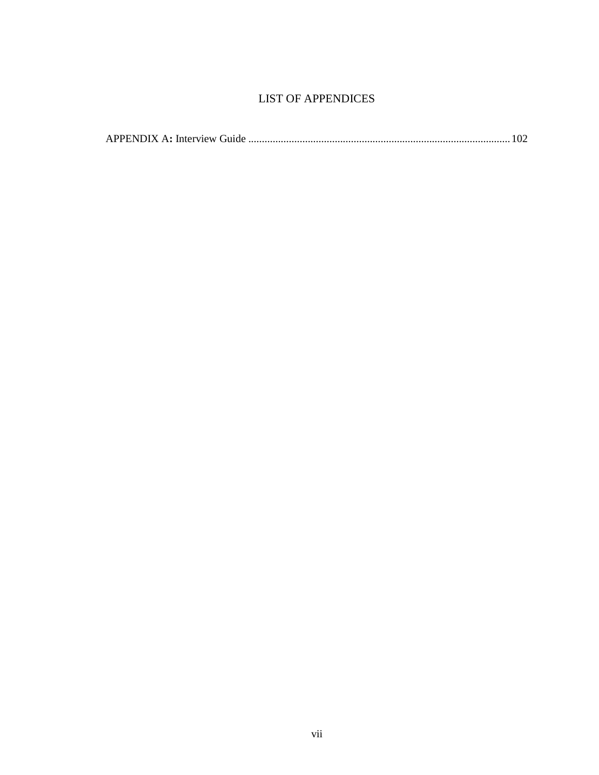## LIST OF APPENDICES

<span id="page-6-0"></span>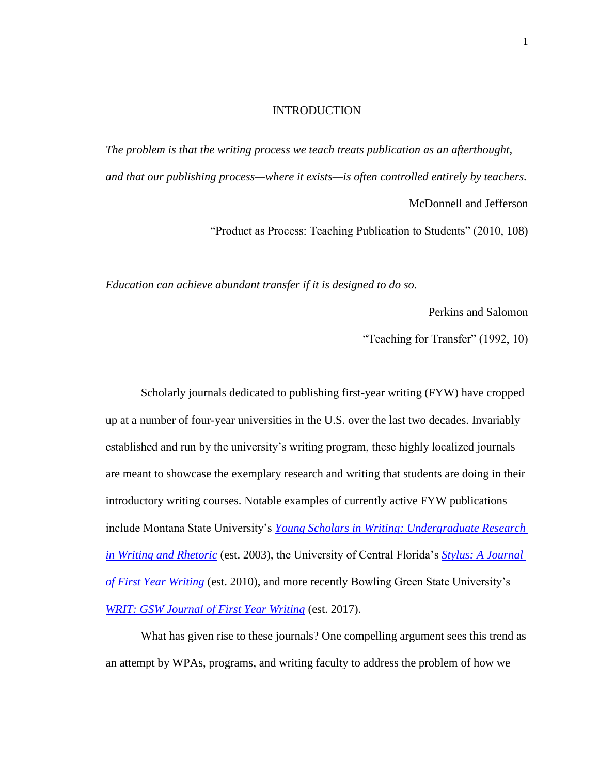#### INTRODUCTION

<span id="page-7-0"></span>*The problem is that the writing process we teach treats publication as an afterthought, and that our publishing process—where it exists—is often controlled entirely by teachers.* McDonnell and Jefferson

"Product as Process: Teaching Publication to Students" (2010, 108)

*Education can achieve abundant transfer if it is designed to do so.*

Perkins and Salomon

"Teaching for Transfer" (1992, 10)

Scholarly journals dedicated to publishing first-year writing (FYW) have cropped up at a number of four-year universities in the U.S. over the last two decades. Invariably established and run by the university's writing program, these highly localized journals are meant to showcase the exemplary research and writing that students are doing in their introductory writing courses. Notable examples of currently active FYW publications include Montana State University's *[Young Scholars in Writing: Undergraduate Research](https://arc.lib.montana.edu/ojs/index.php/Young-Scholars-In-Writing/index)  [in Writing and Rhetoric](https://arc.lib.montana.edu/ojs/index.php/Young-Scholars-In-Writing/index)* (est. 2003)*,* the University of Central Florida's *[Stylus: A Journal](https://writingandrhetoric.cah.ucf.edu/stylus/)  [of First Year Writing](https://writingandrhetoric.cah.ucf.edu/stylus/)* (est. 2010), and more recently Bowling Green State University's *[WRIT: GSW Journal of First Year Writing](https://www.bgsu.edu/arts-and-sciences/english/writing/news-and-events/writ.html)* (est. 2017).

What has given rise to these journals? One compelling argument sees this trend as an attempt by WPAs, programs, and writing faculty to address the problem of how we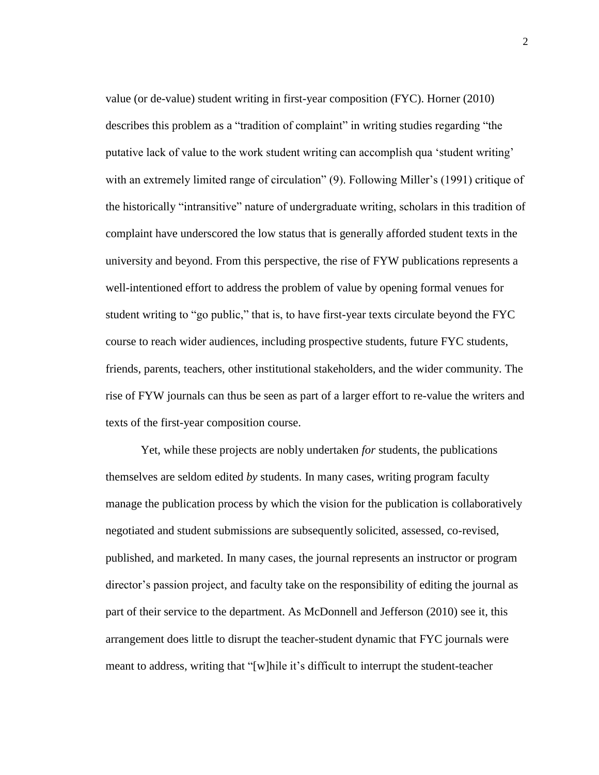value (or de-value) student writing in first-year composition (FYC). Horner (2010) describes this problem as a "tradition of complaint" in writing studies regarding "the putative lack of value to the work student writing can accomplish qua 'student writing' with an extremely limited range of circulation" (9). Following Miller's (1991) critique of the historically "intransitive" nature of undergraduate writing, scholars in this tradition of complaint have underscored the low status that is generally afforded student texts in the university and beyond. From this perspective, the rise of FYW publications represents a well-intentioned effort to address the problem of value by opening formal venues for student writing to "go public," that is, to have first-year texts circulate beyond the FYC course to reach wider audiences, including prospective students, future FYC students, friends, parents, teachers, other institutional stakeholders, and the wider community. The rise of FYW journals can thus be seen as part of a larger effort to re-value the writers and texts of the first-year composition course.

Yet, while these projects are nobly undertaken *for* students, the publications themselves are seldom edited *by* students. In many cases, writing program faculty manage the publication process by which the vision for the publication is collaboratively negotiated and student submissions are subsequently solicited, assessed, co-revised, published, and marketed. In many cases, the journal represents an instructor or program director's passion project, and faculty take on the responsibility of editing the journal as part of their service to the department. As McDonnell and Jefferson (2010) see it, this arrangement does little to disrupt the teacher-student dynamic that FYC journals were meant to address, writing that "[w]hile it's difficult to interrupt the student-teacher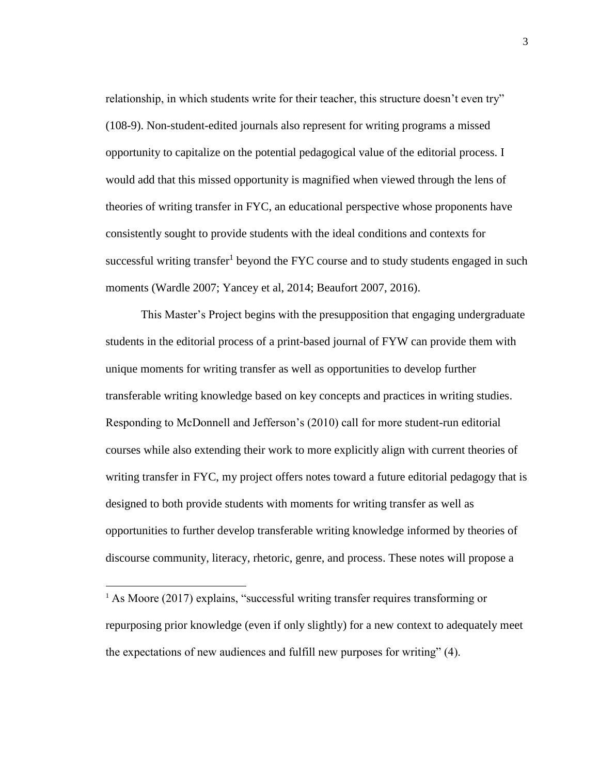relationship, in which students write for their teacher, this structure doesn't even try" (108-9). Non-student-edited journals also represent for writing programs a missed opportunity to capitalize on the potential pedagogical value of the editorial process. I would add that this missed opportunity is magnified when viewed through the lens of theories of writing transfer in FYC, an educational perspective whose proponents have consistently sought to provide students with the ideal conditions and contexts for successful writing transfer<sup>1</sup> beyond the FYC course and to study students engaged in such moments (Wardle 2007; Yancey et al, 2014; Beaufort 2007, 2016).

This Master's Project begins with the presupposition that engaging undergraduate students in the editorial process of a print-based journal of FYW can provide them with unique moments for writing transfer as well as opportunities to develop further transferable writing knowledge based on key concepts and practices in writing studies. Responding to McDonnell and Jefferson's (2010) call for more student-run editorial courses while also extending their work to more explicitly align with current theories of writing transfer in FYC, my project offers notes toward a future editorial pedagogy that is designed to both provide students with moments for writing transfer as well as opportunities to further develop transferable writing knowledge informed by theories of discourse community, literacy, rhetoric, genre, and process. These notes will propose a

l

<sup>&</sup>lt;sup>1</sup> As Moore (2017) explains, "successful writing transfer requires transforming or repurposing prior knowledge (even if only slightly) for a new context to adequately meet the expectations of new audiences and fulfill new purposes for writing" (4).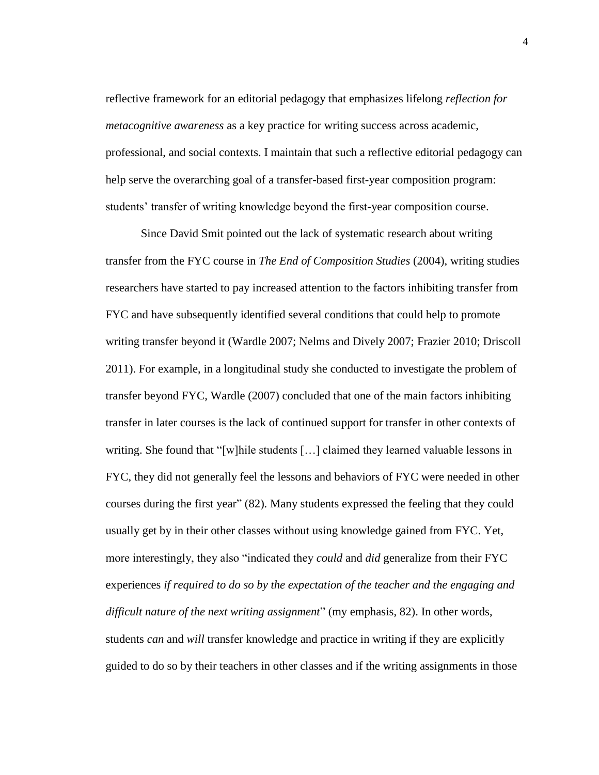reflective framework for an editorial pedagogy that emphasizes lifelong *reflection for metacognitive awareness* as a key practice for writing success across academic, professional, and social contexts. I maintain that such a reflective editorial pedagogy can help serve the overarching goal of a transfer-based first-year composition program: students' transfer of writing knowledge beyond the first-year composition course.

Since David Smit pointed out the lack of systematic research about writing transfer from the FYC course in *The End of Composition Studies* (2004), writing studies researchers have started to pay increased attention to the factors inhibiting transfer from FYC and have subsequently identified several conditions that could help to promote writing transfer beyond it (Wardle 2007; Nelms and Dively 2007; Frazier 2010; Driscoll 2011). For example, in a longitudinal study she conducted to investigate the problem of transfer beyond FYC, Wardle (2007) concluded that one of the main factors inhibiting transfer in later courses is the lack of continued support for transfer in other contexts of writing. She found that "[w]hile students [...] claimed they learned valuable lessons in FYC, they did not generally feel the lessons and behaviors of FYC were needed in other courses during the first year" (82). Many students expressed the feeling that they could usually get by in their other classes without using knowledge gained from FYC. Yet, more interestingly, they also "indicated they *could* and *did* generalize from their FYC experiences *if required to do so by the expectation of the teacher and the engaging and difficult nature of the next writing assignment*" (my emphasis, 82). In other words, students *can* and *will* transfer knowledge and practice in writing if they are explicitly guided to do so by their teachers in other classes and if the writing assignments in those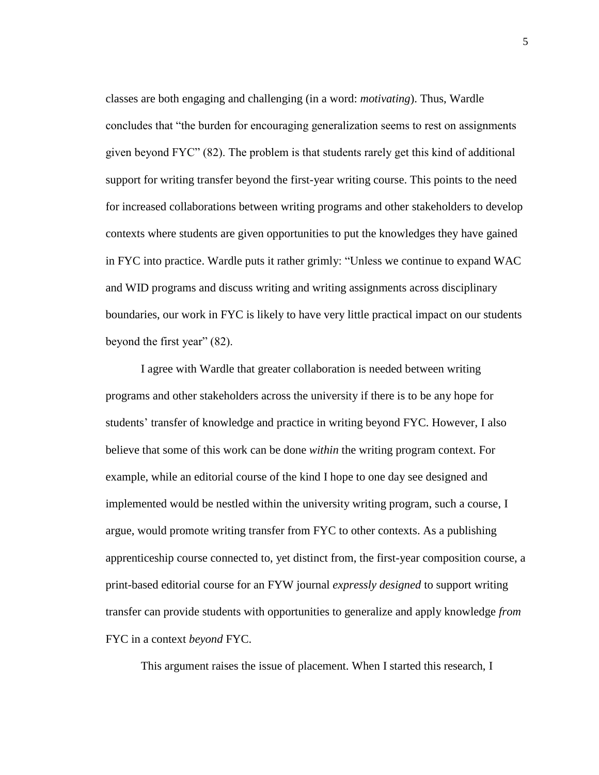classes are both engaging and challenging (in a word: *motivating*). Thus, Wardle concludes that "the burden for encouraging generalization seems to rest on assignments given beyond FYC" (82). The problem is that students rarely get this kind of additional support for writing transfer beyond the first-year writing course. This points to the need for increased collaborations between writing programs and other stakeholders to develop contexts where students are given opportunities to put the knowledges they have gained in FYC into practice. Wardle puts it rather grimly: "Unless we continue to expand WAC and WID programs and discuss writing and writing assignments across disciplinary boundaries, our work in FYC is likely to have very little practical impact on our students beyond the first year" (82).

I agree with Wardle that greater collaboration is needed between writing programs and other stakeholders across the university if there is to be any hope for students' transfer of knowledge and practice in writing beyond FYC. However, I also believe that some of this work can be done *within* the writing program context. For example, while an editorial course of the kind I hope to one day see designed and implemented would be nestled within the university writing program, such a course, I argue, would promote writing transfer from FYC to other contexts. As a publishing apprenticeship course connected to, yet distinct from, the first-year composition course, a print-based editorial course for an FYW journal *expressly designed* to support writing transfer can provide students with opportunities to generalize and apply knowledge *from* FYC in a context *beyond* FYC.

This argument raises the issue of placement. When I started this research, I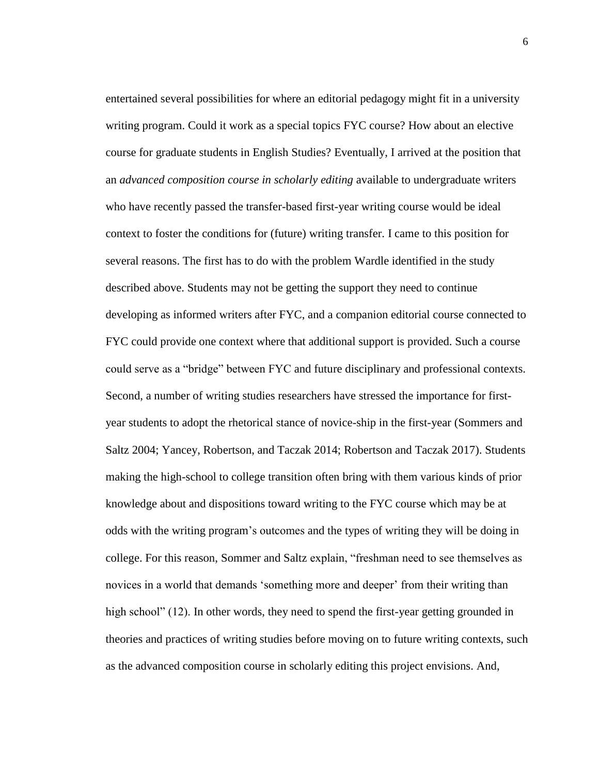entertained several possibilities for where an editorial pedagogy might fit in a university writing program. Could it work as a special topics FYC course? How about an elective course for graduate students in English Studies? Eventually, I arrived at the position that an *advanced composition course in scholarly editing* available to undergraduate writers who have recently passed the transfer-based first-year writing course would be ideal context to foster the conditions for (future) writing transfer. I came to this position for several reasons. The first has to do with the problem Wardle identified in the study described above. Students may not be getting the support they need to continue developing as informed writers after FYC, and a companion editorial course connected to FYC could provide one context where that additional support is provided. Such a course could serve as a "bridge" between FYC and future disciplinary and professional contexts. Second, a number of writing studies researchers have stressed the importance for firstyear students to adopt the rhetorical stance of novice-ship in the first-year (Sommers and Saltz 2004; Yancey, Robertson, and Taczak 2014; Robertson and Taczak 2017). Students making the high-school to college transition often bring with them various kinds of prior knowledge about and dispositions toward writing to the FYC course which may be at odds with the writing program's outcomes and the types of writing they will be doing in college. For this reason, Sommer and Saltz explain, "freshman need to see themselves as novices in a world that demands 'something more and deeper' from their writing than high school" (12). In other words, they need to spend the first-year getting grounded in theories and practices of writing studies before moving on to future writing contexts, such as the advanced composition course in scholarly editing this project envisions. And,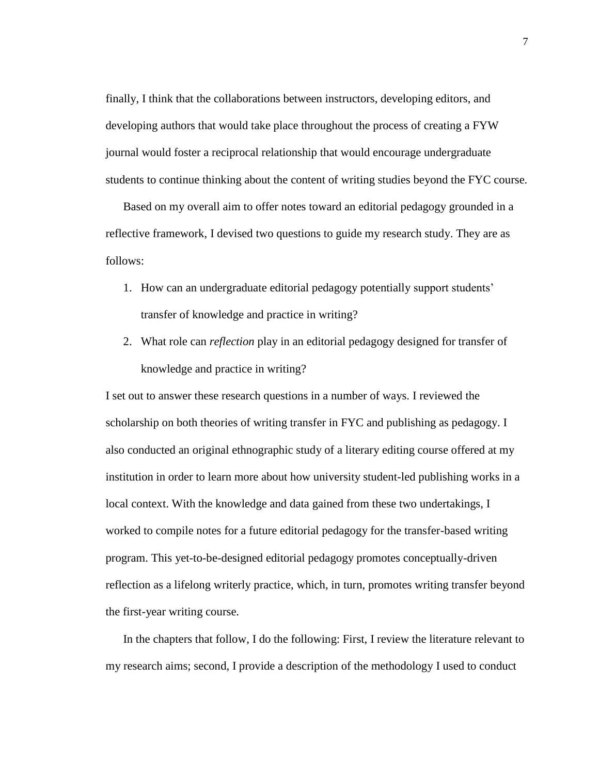finally, I think that the collaborations between instructors, developing editors, and developing authors that would take place throughout the process of creating a FYW journal would foster a reciprocal relationship that would encourage undergraduate students to continue thinking about the content of writing studies beyond the FYC course.

Based on my overall aim to offer notes toward an editorial pedagogy grounded in a reflective framework, I devised two questions to guide my research study. They are as follows:

- 1. How can an undergraduate editorial pedagogy potentially support students' transfer of knowledge and practice in writing?
- 2. What role can *reflection* play in an editorial pedagogy designed for transfer of knowledge and practice in writing?

I set out to answer these research questions in a number of ways. I reviewed the scholarship on both theories of writing transfer in FYC and publishing as pedagogy. I also conducted an original ethnographic study of a literary editing course offered at my institution in order to learn more about how university student-led publishing works in a local context. With the knowledge and data gained from these two undertakings, I worked to compile notes for a future editorial pedagogy for the transfer-based writing program. This yet-to-be-designed editorial pedagogy promotes conceptually-driven reflection as a lifelong writerly practice, which, in turn, promotes writing transfer beyond the first-year writing course.

In the chapters that follow, I do the following: First, I review the literature relevant to my research aims; second, I provide a description of the methodology I used to conduct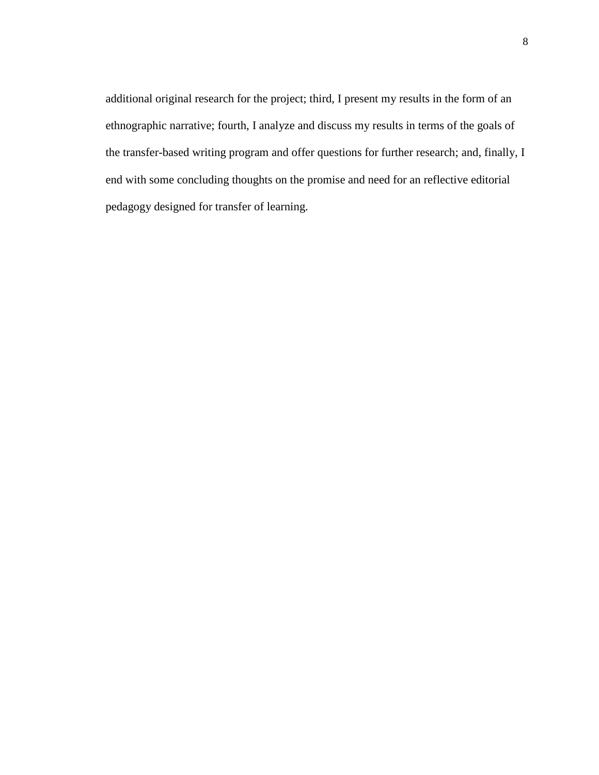additional original research for the project; third, I present my results in the form of an ethnographic narrative; fourth, I analyze and discuss my results in terms of the goals of the transfer-based writing program and offer questions for further research; and, finally, I end with some concluding thoughts on the promise and need for an reflective editorial pedagogy designed for transfer of learning.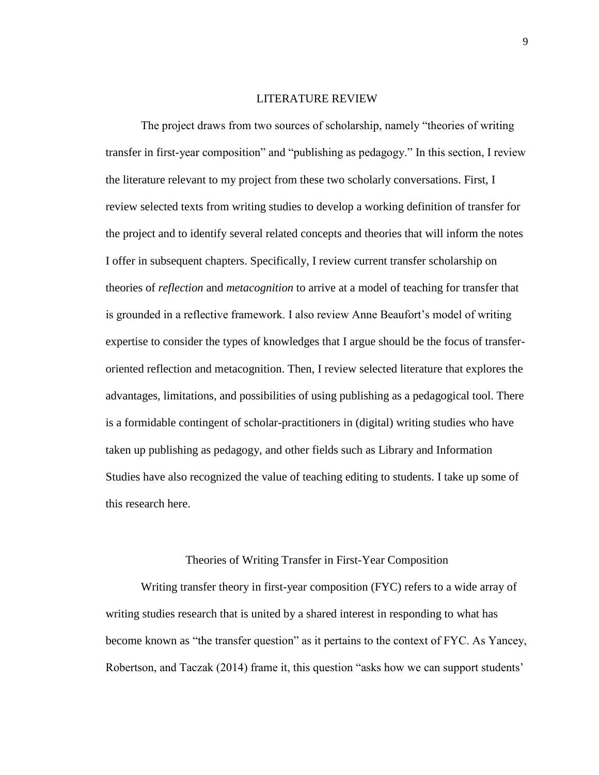### LITERATURE REVIEW

<span id="page-15-0"></span>The project draws from two sources of scholarship, namely "theories of writing transfer in first-year composition" and "publishing as pedagogy." In this section, I review the literature relevant to my project from these two scholarly conversations. First, I review selected texts from writing studies to develop a working definition of transfer for the project and to identify several related concepts and theories that will inform the notes I offer in subsequent chapters. Specifically, I review current transfer scholarship on theories of *reflection* and *metacognition* to arrive at a model of teaching for transfer that is grounded in a reflective framework. I also review Anne Beaufort's model of writing expertise to consider the types of knowledges that I argue should be the focus of transferoriented reflection and metacognition. Then, I review selected literature that explores the advantages, limitations, and possibilities of using publishing as a pedagogical tool. There is a formidable contingent of scholar-practitioners in (digital) writing studies who have taken up publishing as pedagogy, and other fields such as Library and Information Studies have also recognized the value of teaching editing to students. I take up some of this research here.

### Theories of Writing Transfer in First-Year Composition

<span id="page-15-1"></span>Writing transfer theory in first-year composition (FYC) refers to a wide array of writing studies research that is united by a shared interest in responding to what has become known as "the transfer question" as it pertains to the context of FYC. As Yancey, Robertson, and Taczak (2014) frame it, this question "asks how we can support students'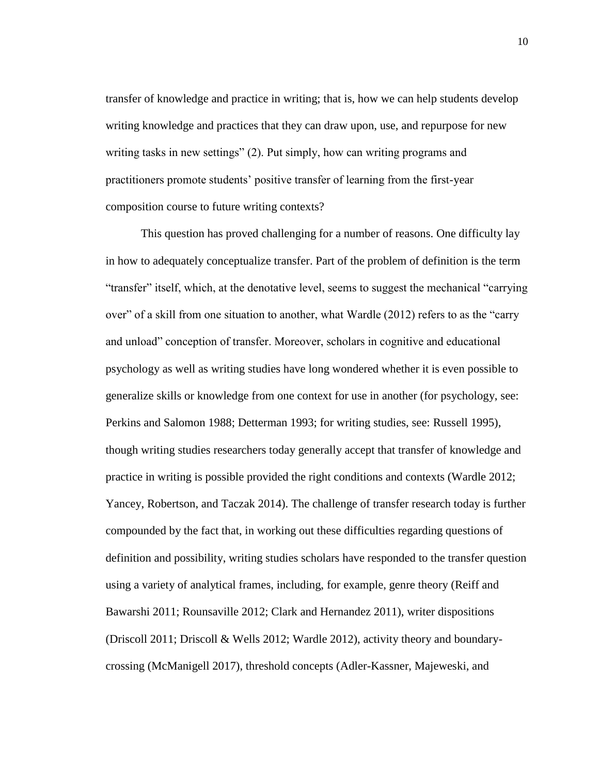transfer of knowledge and practice in writing; that is, how we can help students develop writing knowledge and practices that they can draw upon, use, and repurpose for new writing tasks in new settings" (2). Put simply, how can writing programs and practitioners promote students' positive transfer of learning from the first-year composition course to future writing contexts?

This question has proved challenging for a number of reasons. One difficulty lay in how to adequately conceptualize transfer. Part of the problem of definition is the term "transfer" itself, which, at the denotative level, seems to suggest the mechanical "carrying over" of a skill from one situation to another, what Wardle (2012) refers to as the "carry and unload" conception of transfer. Moreover, scholars in cognitive and educational psychology as well as writing studies have long wondered whether it is even possible to generalize skills or knowledge from one context for use in another (for psychology, see: Perkins and Salomon 1988; Detterman 1993; for writing studies, see: Russell 1995), though writing studies researchers today generally accept that transfer of knowledge and practice in writing is possible provided the right conditions and contexts (Wardle 2012; Yancey, Robertson, and Taczak 2014). The challenge of transfer research today is further compounded by the fact that, in working out these difficulties regarding questions of definition and possibility, writing studies scholars have responded to the transfer question using a variety of analytical frames, including, for example, genre theory (Reiff and Bawarshi 2011; Rounsaville 2012; Clark and Hernandez 2011), writer dispositions (Driscoll 2011; Driscoll & Wells 2012; Wardle 2012), activity theory and boundarycrossing (McManigell 2017), threshold concepts (Adler-Kassner, Majeweski, and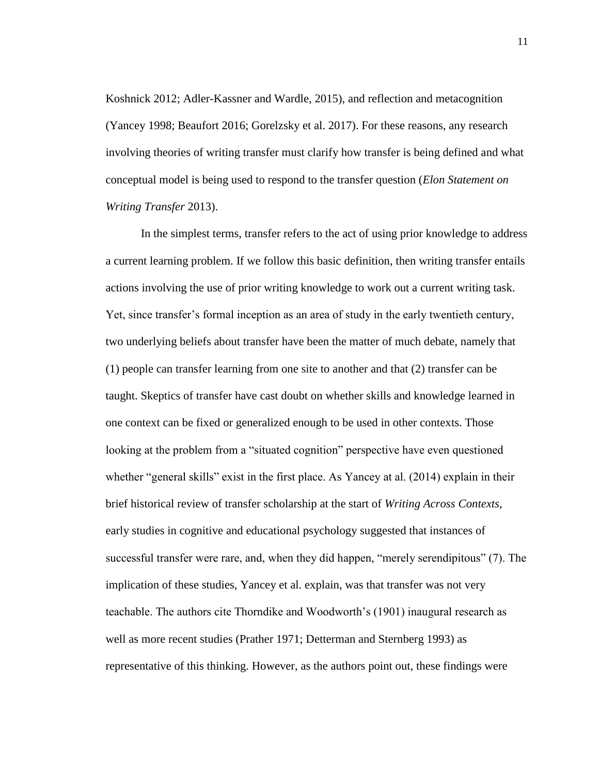Koshnick 2012; Adler-Kassner and Wardle, 2015), and reflection and metacognition (Yancey 1998; Beaufort 2016; Gorelzsky et al. 2017). For these reasons, any research involving theories of writing transfer must clarify how transfer is being defined and what conceptual model is being used to respond to the transfer question (*Elon Statement on Writing Transfer* 2013).

In the simplest terms, transfer refers to the act of using prior knowledge to address a current learning problem. If we follow this basic definition, then writing transfer entails actions involving the use of prior writing knowledge to work out a current writing task. Yet, since transfer's formal inception as an area of study in the early twentieth century, two underlying beliefs about transfer have been the matter of much debate, namely that (1) people can transfer learning from one site to another and that (2) transfer can be taught. Skeptics of transfer have cast doubt on whether skills and knowledge learned in one context can be fixed or generalized enough to be used in other contexts. Those looking at the problem from a "situated cognition" perspective have even questioned whether "general skills" exist in the first place. As Yancey at al. (2014) explain in their brief historical review of transfer scholarship at the start of *Writing Across Contexts*, early studies in cognitive and educational psychology suggested that instances of successful transfer were rare, and, when they did happen, "merely serendipitous" (7). The implication of these studies, Yancey et al. explain, was that transfer was not very teachable. The authors cite Thorndike and Woodworth's (1901) inaugural research as well as more recent studies (Prather 1971; Detterman and Sternberg 1993) as representative of this thinking. However, as the authors point out, these findings were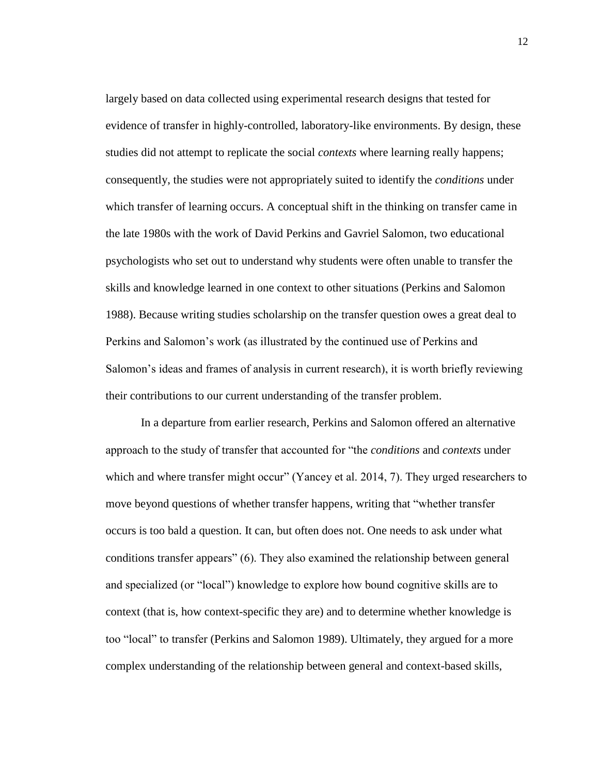largely based on data collected using experimental research designs that tested for evidence of transfer in highly-controlled, laboratory-like environments. By design, these studies did not attempt to replicate the social *contexts* where learning really happens; consequently, the studies were not appropriately suited to identify the *conditions* under which transfer of learning occurs. A conceptual shift in the thinking on transfer came in the late 1980s with the work of David Perkins and Gavriel Salomon, two educational psychologists who set out to understand why students were often unable to transfer the skills and knowledge learned in one context to other situations (Perkins and Salomon 1988). Because writing studies scholarship on the transfer question owes a great deal to Perkins and Salomon's work (as illustrated by the continued use of Perkins and Salomon's ideas and frames of analysis in current research), it is worth briefly reviewing their contributions to our current understanding of the transfer problem.

In a departure from earlier research, Perkins and Salomon offered an alternative approach to the study of transfer that accounted for "the *conditions* and *contexts* under which and where transfer might occur" (Yancey et al. 2014, 7). They urged researchers to move beyond questions of whether transfer happens, writing that "whether transfer occurs is too bald a question. It can, but often does not. One needs to ask under what conditions transfer appears" (6). They also examined the relationship between general and specialized (or "local") knowledge to explore how bound cognitive skills are to context (that is, how context-specific they are) and to determine whether knowledge is too "local" to transfer (Perkins and Salomon 1989). Ultimately, they argued for a more complex understanding of the relationship between general and context-based skills,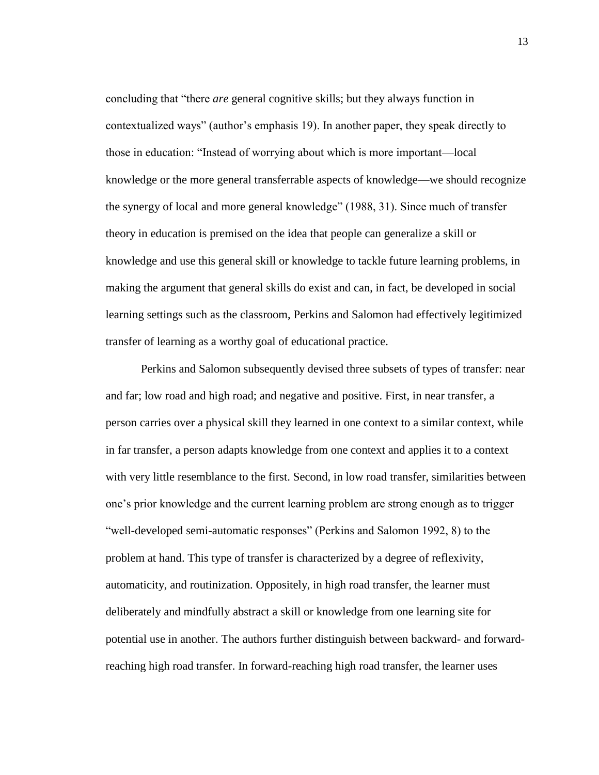concluding that "there *are* general cognitive skills; but they always function in contextualized ways" (author's emphasis 19). In another paper, they speak directly to those in education: "Instead of worrying about which is more important—local knowledge or the more general transferrable aspects of knowledge—we should recognize the synergy of local and more general knowledge" (1988, 31). Since much of transfer theory in education is premised on the idea that people can generalize a skill or knowledge and use this general skill or knowledge to tackle future learning problems, in making the argument that general skills do exist and can, in fact, be developed in social learning settings such as the classroom, Perkins and Salomon had effectively legitimized transfer of learning as a worthy goal of educational practice.

Perkins and Salomon subsequently devised three subsets of types of transfer: near and far; low road and high road; and negative and positive. First, in near transfer, a person carries over a physical skill they learned in one context to a similar context, while in far transfer, a person adapts knowledge from one context and applies it to a context with very little resemblance to the first. Second, in low road transfer, similarities between one's prior knowledge and the current learning problem are strong enough as to trigger "well-developed semi-automatic responses" (Perkins and Salomon 1992, 8) to the problem at hand. This type of transfer is characterized by a degree of reflexivity, automaticity, and routinization. Oppositely, in high road transfer, the learner must deliberately and mindfully abstract a skill or knowledge from one learning site for potential use in another. The authors further distinguish between backward- and forwardreaching high road transfer. In forward-reaching high road transfer, the learner uses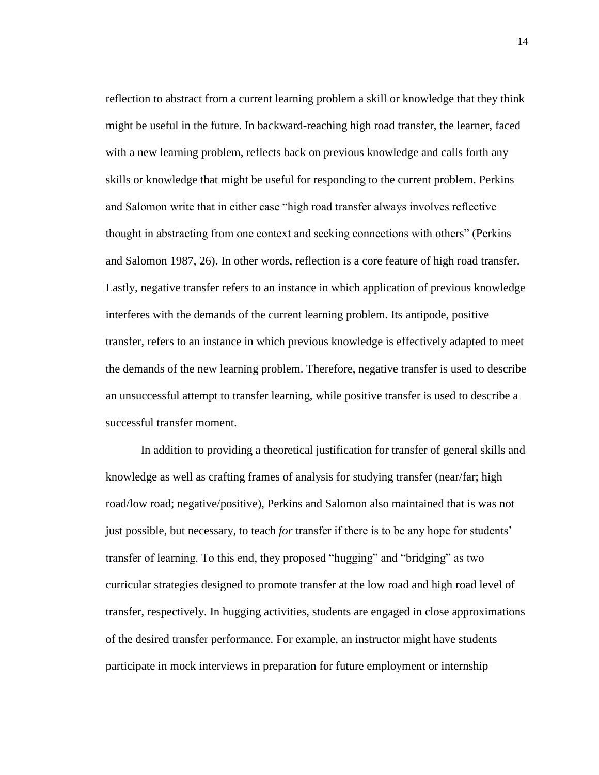reflection to abstract from a current learning problem a skill or knowledge that they think might be useful in the future. In backward-reaching high road transfer, the learner, faced with a new learning problem, reflects back on previous knowledge and calls forth any skills or knowledge that might be useful for responding to the current problem. Perkins and Salomon write that in either case "high road transfer always involves reflective thought in abstracting from one context and seeking connections with others" (Perkins and Salomon 1987, 26). In other words, reflection is a core feature of high road transfer. Lastly, negative transfer refers to an instance in which application of previous knowledge interferes with the demands of the current learning problem. Its antipode, positive transfer, refers to an instance in which previous knowledge is effectively adapted to meet the demands of the new learning problem. Therefore, negative transfer is used to describe an unsuccessful attempt to transfer learning, while positive transfer is used to describe a successful transfer moment.

In addition to providing a theoretical justification for transfer of general skills and knowledge as well as crafting frames of analysis for studying transfer (near/far; high road/low road; negative/positive), Perkins and Salomon also maintained that is was not just possible, but necessary, to teach *for* transfer if there is to be any hope for students' transfer of learning. To this end, they proposed "hugging" and "bridging" as two curricular strategies designed to promote transfer at the low road and high road level of transfer, respectively. In hugging activities, students are engaged in close approximations of the desired transfer performance. For example, an instructor might have students participate in mock interviews in preparation for future employment or internship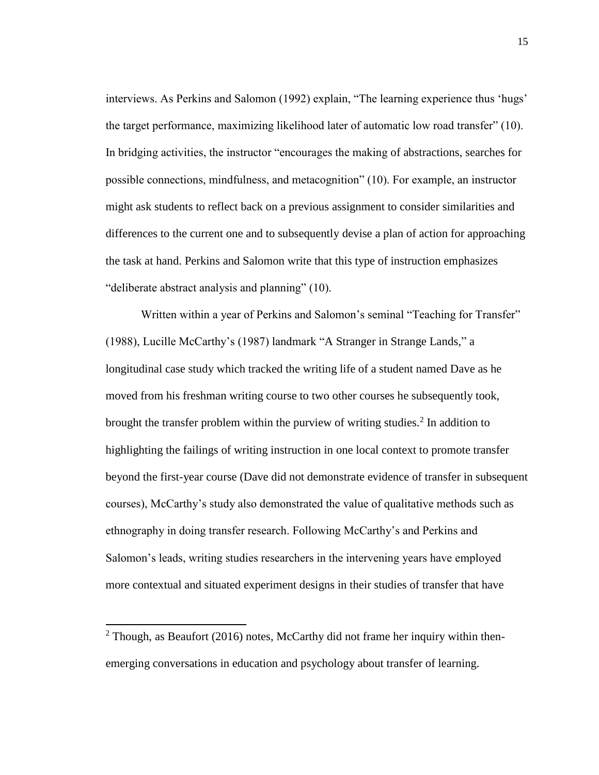interviews. As Perkins and Salomon (1992) explain, "The learning experience thus 'hugs' the target performance, maximizing likelihood later of automatic low road transfer" (10). In bridging activities, the instructor "encourages the making of abstractions, searches for possible connections, mindfulness, and metacognition" (10). For example, an instructor might ask students to reflect back on a previous assignment to consider similarities and differences to the current one and to subsequently devise a plan of action for approaching the task at hand. Perkins and Salomon write that this type of instruction emphasizes "deliberate abstract analysis and planning" (10).

Written within a year of Perkins and Salomon's seminal "Teaching for Transfer" (1988), Lucille McCarthy's (1987) landmark "A Stranger in Strange Lands," a longitudinal case study which tracked the writing life of a student named Dave as he moved from his freshman writing course to two other courses he subsequently took, brought the transfer problem within the purview of writing studies.<sup>2</sup> In addition to highlighting the failings of writing instruction in one local context to promote transfer beyond the first-year course (Dave did not demonstrate evidence of transfer in subsequent courses), McCarthy's study also demonstrated the value of qualitative methods such as ethnography in doing transfer research. Following McCarthy's and Perkins and Salomon's leads, writing studies researchers in the intervening years have employed more contextual and situated experiment designs in their studies of transfer that have

l

 $2$  Though, as Beaufort (2016) notes, McCarthy did not frame her inquiry within thenemerging conversations in education and psychology about transfer of learning.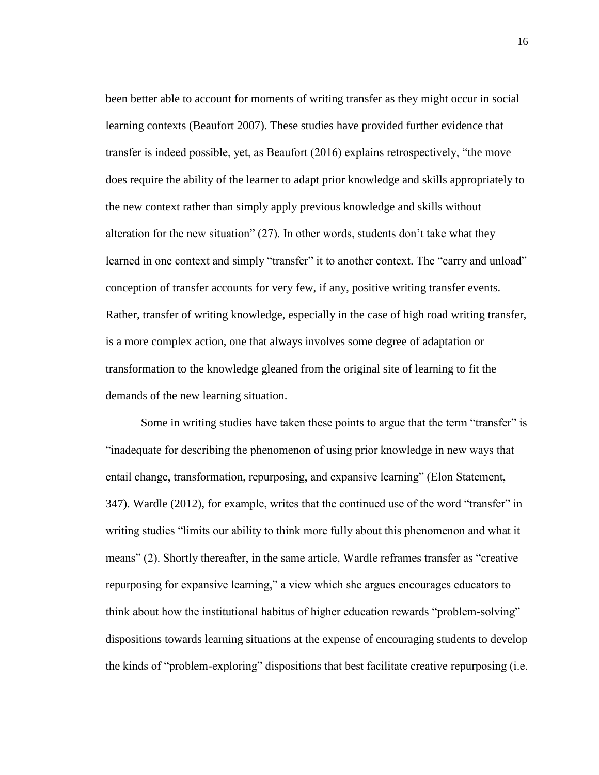been better able to account for moments of writing transfer as they might occur in social learning contexts (Beaufort 2007). These studies have provided further evidence that transfer is indeed possible, yet, as Beaufort (2016) explains retrospectively, "the move does require the ability of the learner to adapt prior knowledge and skills appropriately to the new context rather than simply apply previous knowledge and skills without alteration for the new situation" (27). In other words, students don't take what they learned in one context and simply "transfer" it to another context. The "carry and unload" conception of transfer accounts for very few, if any, positive writing transfer events. Rather, transfer of writing knowledge, especially in the case of high road writing transfer, is a more complex action, one that always involves some degree of adaptation or transformation to the knowledge gleaned from the original site of learning to fit the demands of the new learning situation.

Some in writing studies have taken these points to argue that the term "transfer" is "inadequate for describing the phenomenon of using prior knowledge in new ways that entail change, transformation, repurposing, and expansive learning" (Elon Statement, 347). Wardle (2012), for example, writes that the continued use of the word "transfer" in writing studies "limits our ability to think more fully about this phenomenon and what it means" (2). Shortly thereafter, in the same article, Wardle reframes transfer as "creative repurposing for expansive learning," a view which she argues encourages educators to think about how the institutional habitus of higher education rewards "problem-solving" dispositions towards learning situations at the expense of encouraging students to develop the kinds of "problem-exploring" dispositions that best facilitate creative repurposing (i.e.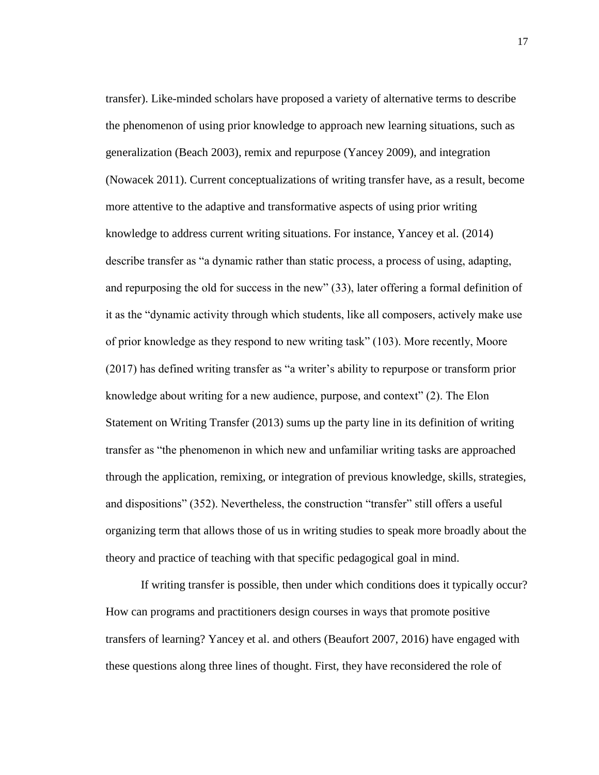transfer). Like-minded scholars have proposed a variety of alternative terms to describe the phenomenon of using prior knowledge to approach new learning situations, such as generalization (Beach 2003), remix and repurpose (Yancey 2009), and integration (Nowacek 2011). Current conceptualizations of writing transfer have, as a result, become more attentive to the adaptive and transformative aspects of using prior writing knowledge to address current writing situations. For instance, Yancey et al. (2014) describe transfer as "a dynamic rather than static process, a process of using, adapting, and repurposing the old for success in the new" (33), later offering a formal definition of it as the "dynamic activity through which students, like all composers, actively make use of prior knowledge as they respond to new writing task" (103). More recently, Moore (2017) has defined writing transfer as "a writer's ability to repurpose or transform prior knowledge about writing for a new audience, purpose, and context" (2). The Elon Statement on Writing Transfer (2013) sums up the party line in its definition of writing transfer as "the phenomenon in which new and unfamiliar writing tasks are approached through the application, remixing, or integration of previous knowledge, skills, strategies, and dispositions" (352). Nevertheless, the construction "transfer" still offers a useful organizing term that allows those of us in writing studies to speak more broadly about the theory and practice of teaching with that specific pedagogical goal in mind.

If writing transfer is possible, then under which conditions does it typically occur? How can programs and practitioners design courses in ways that promote positive transfers of learning? Yancey et al. and others (Beaufort 2007, 2016) have engaged with these questions along three lines of thought. First, they have reconsidered the role of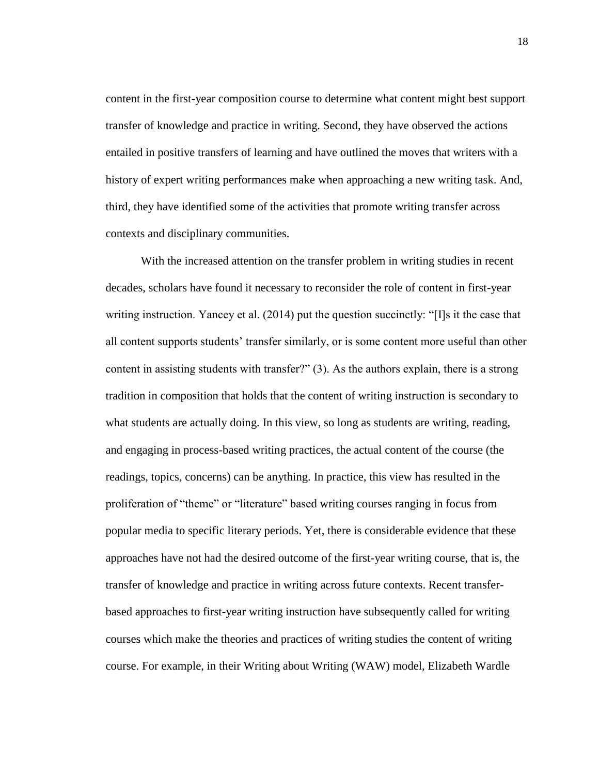content in the first-year composition course to determine what content might best support transfer of knowledge and practice in writing. Second, they have observed the actions entailed in positive transfers of learning and have outlined the moves that writers with a history of expert writing performances make when approaching a new writing task. And, third, they have identified some of the activities that promote writing transfer across contexts and disciplinary communities.

With the increased attention on the transfer problem in writing studies in recent decades, scholars have found it necessary to reconsider the role of content in first-year writing instruction. Yancey et al. (2014) put the question succinctly: "[I]s it the case that all content supports students' transfer similarly, or is some content more useful than other content in assisting students with transfer?" (3). As the authors explain, there is a strong tradition in composition that holds that the content of writing instruction is secondary to what students are actually doing. In this view, so long as students are writing, reading, and engaging in process-based writing practices, the actual content of the course (the readings, topics, concerns) can be anything. In practice, this view has resulted in the proliferation of "theme" or "literature" based writing courses ranging in focus from popular media to specific literary periods. Yet, there is considerable evidence that these approaches have not had the desired outcome of the first-year writing course, that is, the transfer of knowledge and practice in writing across future contexts. Recent transferbased approaches to first-year writing instruction have subsequently called for writing courses which make the theories and practices of writing studies the content of writing course. For example, in their Writing about Writing (WAW) model, Elizabeth Wardle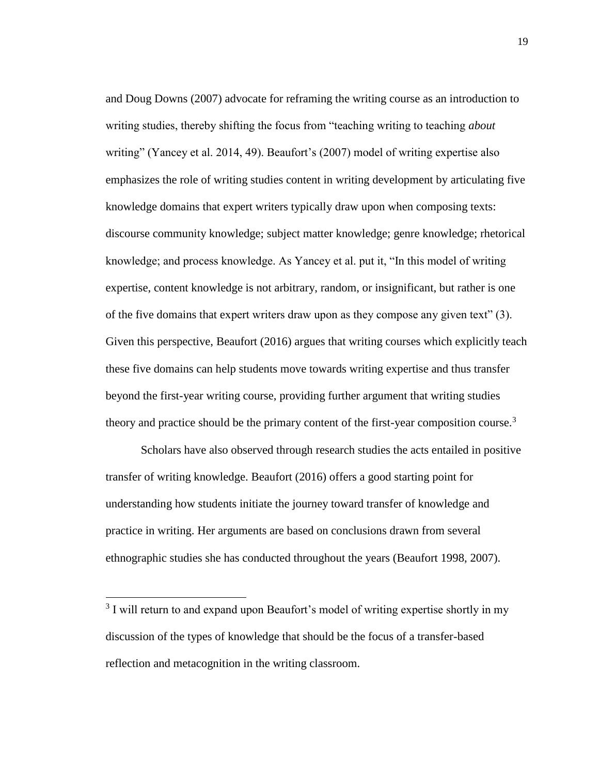and Doug Downs (2007) advocate for reframing the writing course as an introduction to writing studies, thereby shifting the focus from "teaching writing to teaching *about* writing" (Yancey et al. 2014, 49). Beaufort's (2007) model of writing expertise also emphasizes the role of writing studies content in writing development by articulating five knowledge domains that expert writers typically draw upon when composing texts: discourse community knowledge; subject matter knowledge; genre knowledge; rhetorical knowledge; and process knowledge. As Yancey et al. put it, "In this model of writing expertise, content knowledge is not arbitrary, random, or insignificant, but rather is one of the five domains that expert writers draw upon as they compose any given text" (3). Given this perspective, Beaufort (2016) argues that writing courses which explicitly teach these five domains can help students move towards writing expertise and thus transfer beyond the first-year writing course, providing further argument that writing studies theory and practice should be the primary content of the first-year composition course.<sup>3</sup>

Scholars have also observed through research studies the acts entailed in positive transfer of writing knowledge. Beaufort (2016) offers a good starting point for understanding how students initiate the journey toward transfer of knowledge and practice in writing. Her arguments are based on conclusions drawn from several ethnographic studies she has conducted throughout the years (Beaufort 1998, 2007).

 $\overline{a}$ 

 $3$  I will return to and expand upon Beaufort's model of writing expertise shortly in my discussion of the types of knowledge that should be the focus of a transfer-based reflection and metacognition in the writing classroom.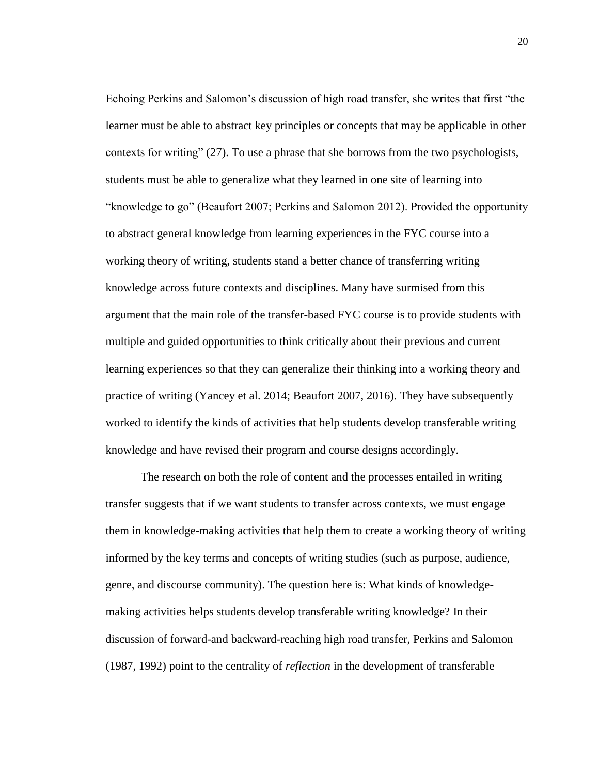Echoing Perkins and Salomon's discussion of high road transfer, she writes that first "the learner must be able to abstract key principles or concepts that may be applicable in other contexts for writing" (27). To use a phrase that she borrows from the two psychologists, students must be able to generalize what they learned in one site of learning into "knowledge to go" (Beaufort 2007; Perkins and Salomon 2012). Provided the opportunity to abstract general knowledge from learning experiences in the FYC course into a working theory of writing, students stand a better chance of transferring writing knowledge across future contexts and disciplines. Many have surmised from this argument that the main role of the transfer-based FYC course is to provide students with multiple and guided opportunities to think critically about their previous and current learning experiences so that they can generalize their thinking into a working theory and practice of writing (Yancey et al. 2014; Beaufort 2007, 2016). They have subsequently worked to identify the kinds of activities that help students develop transferable writing knowledge and have revised their program and course designs accordingly.

The research on both the role of content and the processes entailed in writing transfer suggests that if we want students to transfer across contexts, we must engage them in knowledge-making activities that help them to create a working theory of writing informed by the key terms and concepts of writing studies (such as purpose, audience, genre, and discourse community). The question here is: What kinds of knowledgemaking activities helps students develop transferable writing knowledge? In their discussion of forward-and backward-reaching high road transfer, Perkins and Salomon (1987, 1992) point to the centrality of *reflection* in the development of transferable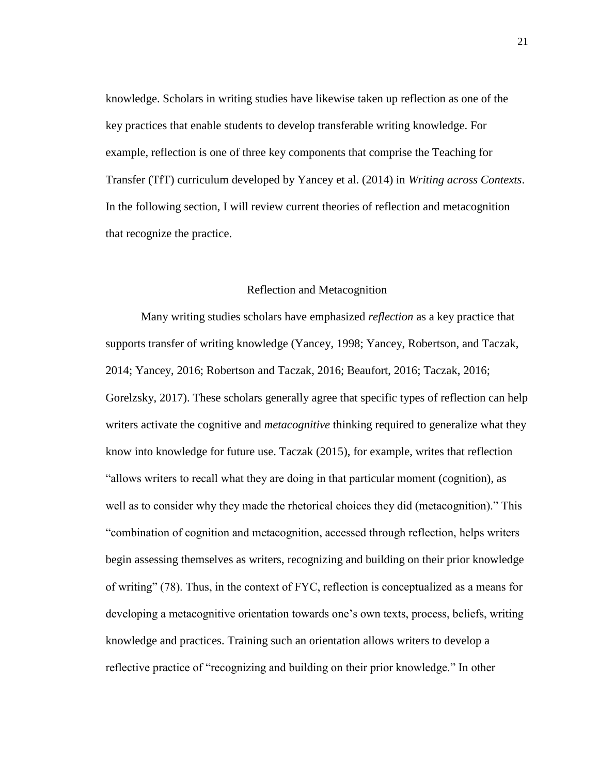knowledge. Scholars in writing studies have likewise taken up reflection as one of the key practices that enable students to develop transferable writing knowledge. For example, reflection is one of three key components that comprise the Teaching for Transfer (TfT) curriculum developed by Yancey et al. (2014) in *Writing across Contexts*. In the following section, I will review current theories of reflection and metacognition that recognize the practice.

### Reflection and Metacognition

<span id="page-27-0"></span>Many writing studies scholars have emphasized *reflection* as a key practice that supports transfer of writing knowledge (Yancey, 1998; Yancey, Robertson, and Taczak, 2014; Yancey, 2016; Robertson and Taczak, 2016; Beaufort, 2016; Taczak, 2016; Gorelzsky, 2017). These scholars generally agree that specific types of reflection can help writers activate the cognitive and *metacognitive* thinking required to generalize what they know into knowledge for future use. Taczak (2015), for example, writes that reflection "allows writers to recall what they are doing in that particular moment (cognition), as well as to consider why they made the rhetorical choices they did (metacognition)." This "combination of cognition and metacognition, accessed through reflection, helps writers begin assessing themselves as writers, recognizing and building on their prior knowledge of writing" (78). Thus, in the context of FYC, reflection is conceptualized as a means for developing a metacognitive orientation towards one's own texts, process, beliefs, writing knowledge and practices. Training such an orientation allows writers to develop a reflective practice of "recognizing and building on their prior knowledge." In other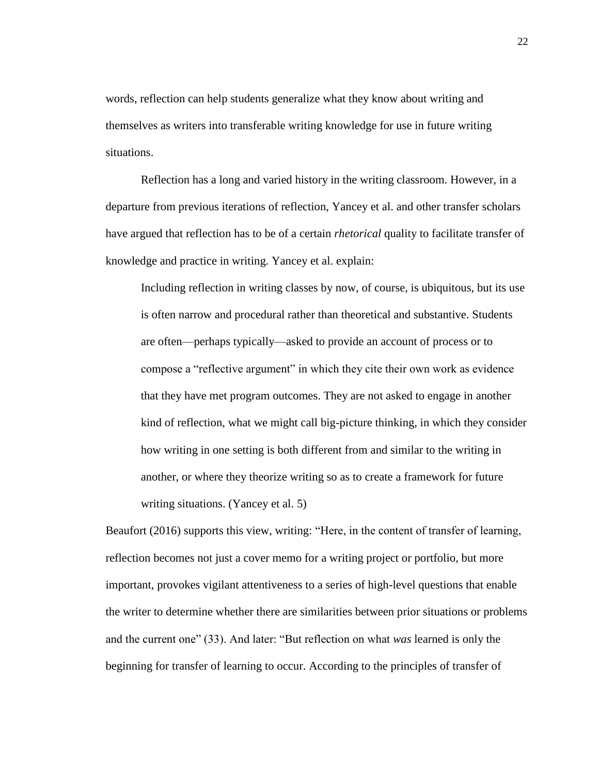words, reflection can help students generalize what they know about writing and themselves as writers into transferable writing knowledge for use in future writing situations.

Reflection has a long and varied history in the writing classroom. However, in a departure from previous iterations of reflection, Yancey et al. and other transfer scholars have argued that reflection has to be of a certain *rhetorical* quality to facilitate transfer of knowledge and practice in writing. Yancey et al. explain:

Including reflection in writing classes by now, of course, is ubiquitous, but its use is often narrow and procedural rather than theoretical and substantive. Students are often—perhaps typically—asked to provide an account of process or to compose a "reflective argument" in which they cite their own work as evidence that they have met program outcomes. They are not asked to engage in another kind of reflection, what we might call big-picture thinking, in which they consider how writing in one setting is both different from and similar to the writing in another, or where they theorize writing so as to create a framework for future writing situations. (Yancey et al. 5)

Beaufort (2016) supports this view, writing: "Here, in the content of transfer of learning, reflection becomes not just a cover memo for a writing project or portfolio, but more important, provokes vigilant attentiveness to a series of high-level questions that enable the writer to determine whether there are similarities between prior situations or problems and the current one" (33). And later: "But reflection on what *was* learned is only the beginning for transfer of learning to occur. According to the principles of transfer of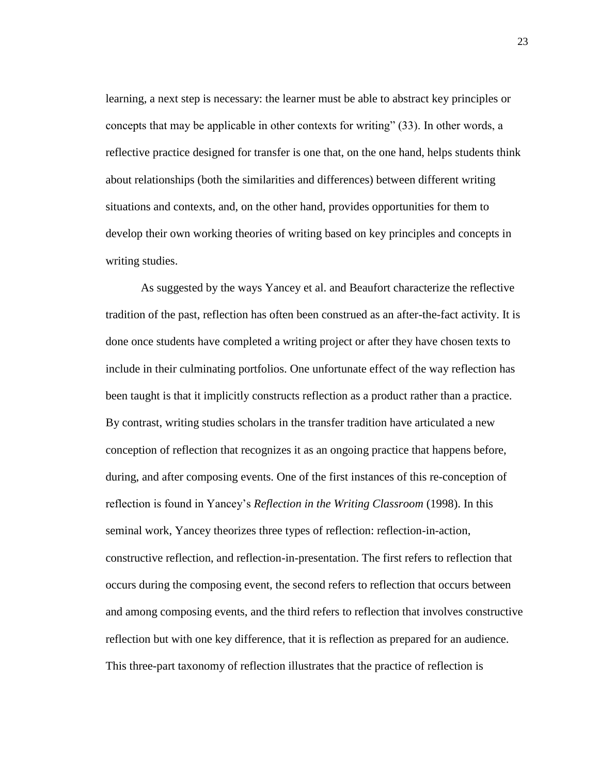learning, a next step is necessary: the learner must be able to abstract key principles or concepts that may be applicable in other contexts for writing" (33). In other words, a reflective practice designed for transfer is one that, on the one hand, helps students think about relationships (both the similarities and differences) between different writing situations and contexts, and, on the other hand, provides opportunities for them to develop their own working theories of writing based on key principles and concepts in writing studies.

As suggested by the ways Yancey et al. and Beaufort characterize the reflective tradition of the past, reflection has often been construed as an after-the-fact activity. It is done once students have completed a writing project or after they have chosen texts to include in their culminating portfolios. One unfortunate effect of the way reflection has been taught is that it implicitly constructs reflection as a product rather than a practice. By contrast, writing studies scholars in the transfer tradition have articulated a new conception of reflection that recognizes it as an ongoing practice that happens before, during, and after composing events. One of the first instances of this re-conception of reflection is found in Yancey's *Reflection in the Writing Classroom* (1998). In this seminal work, Yancey theorizes three types of reflection: reflection-in-action, constructive reflection, and reflection-in-presentation. The first refers to reflection that occurs during the composing event, the second refers to reflection that occurs between and among composing events, and the third refers to reflection that involves constructive reflection but with one key difference, that it is reflection as prepared for an audience. This three-part taxonomy of reflection illustrates that the practice of reflection is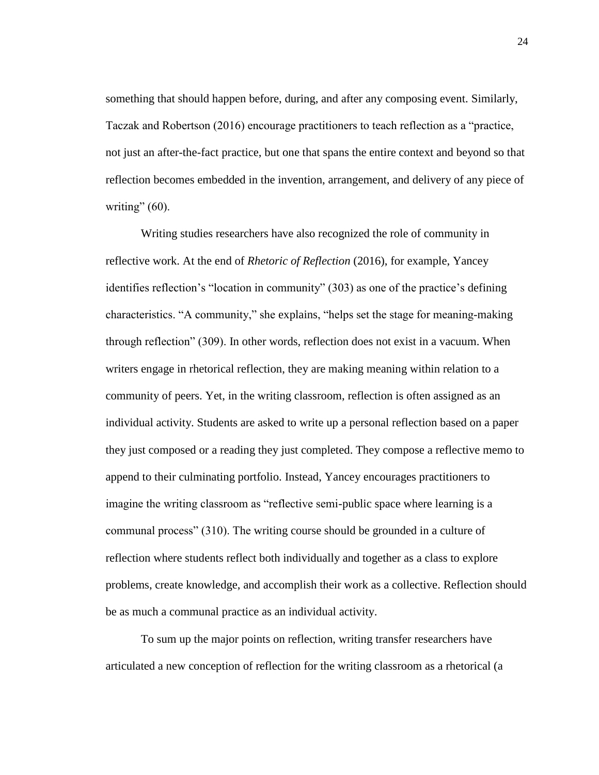something that should happen before, during, and after any composing event. Similarly, Taczak and Robertson (2016) encourage practitioners to teach reflection as a "practice, not just an after-the-fact practice, but one that spans the entire context and beyond so that reflection becomes embedded in the invention, arrangement, and delivery of any piece of writing"  $(60)$ .

Writing studies researchers have also recognized the role of community in reflective work. At the end of *Rhetoric of Reflection* (2016), for example, Yancey identifies reflection's "location in community" (303) as one of the practice's defining characteristics. "A community," she explains, "helps set the stage for meaning-making through reflection" (309). In other words, reflection does not exist in a vacuum. When writers engage in rhetorical reflection, they are making meaning within relation to a community of peers. Yet, in the writing classroom, reflection is often assigned as an individual activity. Students are asked to write up a personal reflection based on a paper they just composed or a reading they just completed. They compose a reflective memo to append to their culminating portfolio. Instead, Yancey encourages practitioners to imagine the writing classroom as "reflective semi-public space where learning is a communal process" (310). The writing course should be grounded in a culture of reflection where students reflect both individually and together as a class to explore problems, create knowledge, and accomplish their work as a collective. Reflection should be as much a communal practice as an individual activity.

To sum up the major points on reflection, writing transfer researchers have articulated a new conception of reflection for the writing classroom as a rhetorical (a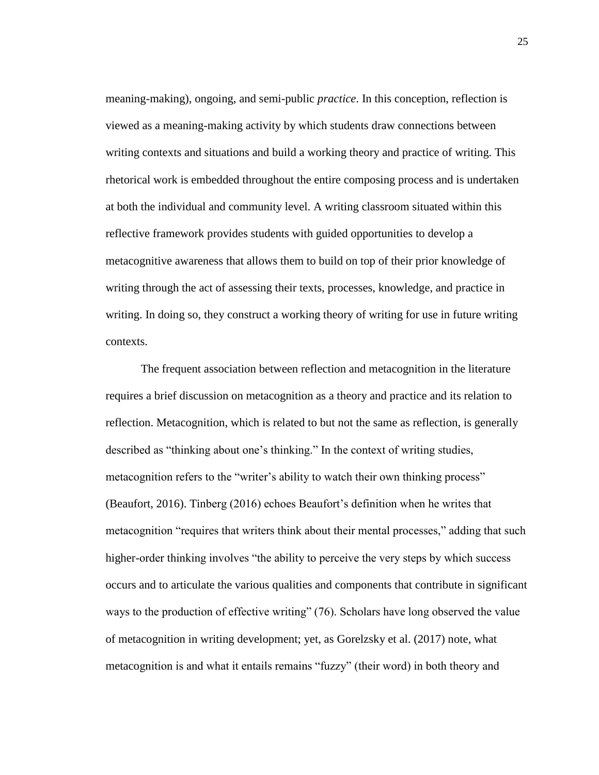meaning-making), ongoing, and semi-public *practice*. In this conception, reflection is viewed as a meaning-making activity by which students draw connections between writing contexts and situations and build a working theory and practice of writing. This rhetorical work is embedded throughout the entire composing process and is undertaken at both the individual and community level. A writing classroom situated within this reflective framework provides students with guided opportunities to develop a metacognitive awareness that allows them to build on top of their prior knowledge of writing through the act of assessing their texts, processes, knowledge, and practice in writing. In doing so, they construct a working theory of writing for use in future writing contexts.

The frequent association between reflection and metacognition in the literature requires a brief discussion on metacognition as a theory and practice and its relation to reflection. Metacognition, which is related to but not the same as reflection, is generally described as "thinking about one's thinking." In the context of writing studies, metacognition refers to the "writer's ability to watch their own thinking process" (Beaufort, 2016). Tinberg (2016) echoes Beaufort's definition when he writes that metacognition "requires that writers think about their mental processes," adding that such higher-order thinking involves "the ability to perceive the very steps by which success occurs and to articulate the various qualities and components that contribute in significant ways to the production of effective writing" (76). Scholars have long observed the value of metacognition in writing development; yet, as Gorelzsky et al. (2017) note, what metacognition is and what it entails remains "fuzzy" (their word) in both theory and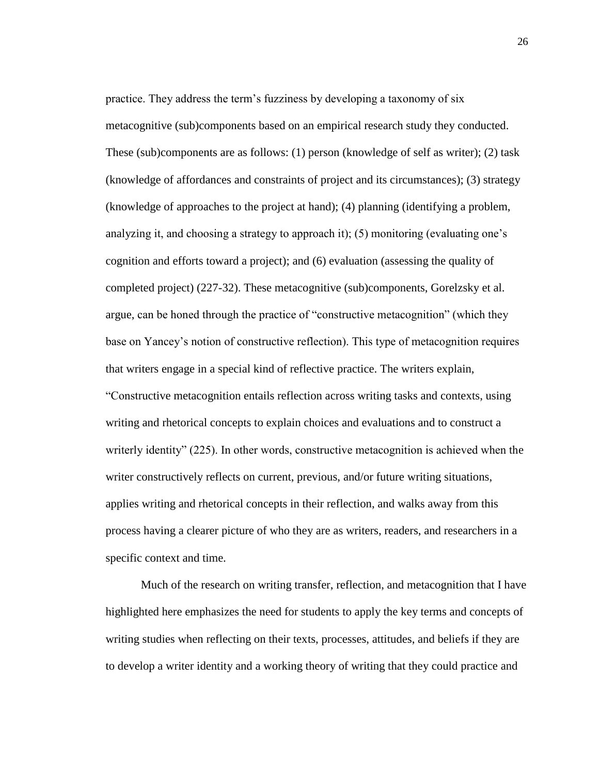practice. They address the term's fuzziness by developing a taxonomy of six metacognitive (sub)components based on an empirical research study they conducted. These (sub)components are as follows: (1) person (knowledge of self as writer); (2) task (knowledge of affordances and constraints of project and its circumstances); (3) strategy (knowledge of approaches to the project at hand); (4) planning (identifying a problem, analyzing it, and choosing a strategy to approach it); (5) monitoring (evaluating one's cognition and efforts toward a project); and (6) evaluation (assessing the quality of completed project) (227-32). These metacognitive (sub)components, Gorelzsky et al. argue, can be honed through the practice of "constructive metacognition" (which they base on Yancey's notion of constructive reflection). This type of metacognition requires that writers engage in a special kind of reflective practice. The writers explain, "Constructive metacognition entails reflection across writing tasks and contexts, using writing and rhetorical concepts to explain choices and evaluations and to construct a writerly identity" (225). In other words, constructive metacognition is achieved when the writer constructively reflects on current, previous, and/or future writing situations, applies writing and rhetorical concepts in their reflection, and walks away from this process having a clearer picture of who they are as writers, readers, and researchers in a specific context and time.

Much of the research on writing transfer, reflection, and metacognition that I have highlighted here emphasizes the need for students to apply the key terms and concepts of writing studies when reflecting on their texts, processes, attitudes, and beliefs if they are to develop a writer identity and a working theory of writing that they could practice and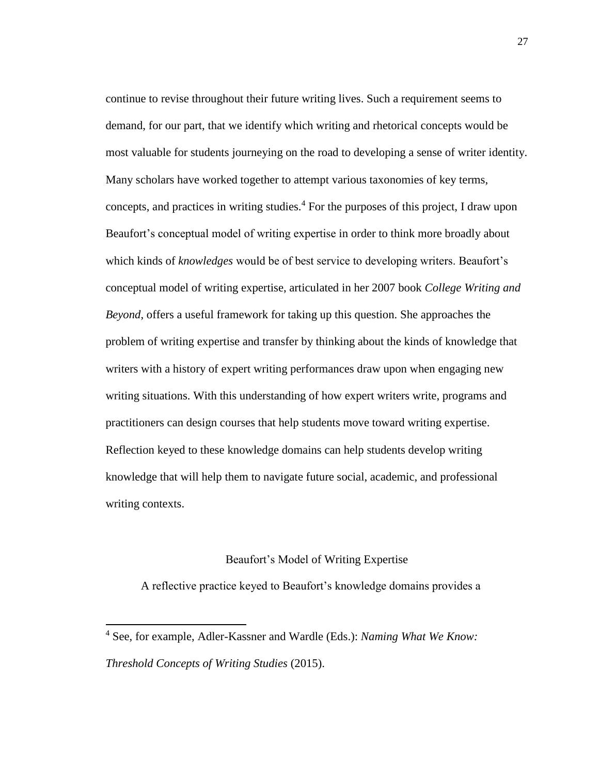continue to revise throughout their future writing lives. Such a requirement seems to demand, for our part, that we identify which writing and rhetorical concepts would be most valuable for students journeying on the road to developing a sense of writer identity. Many scholars have worked together to attempt various taxonomies of key terms, concepts, and practices in writing studies.<sup>4</sup> For the purposes of this project, I draw upon Beaufort's conceptual model of writing expertise in order to think more broadly about which kinds of *knowledges* would be of best service to developing writers. Beaufort's conceptual model of writing expertise, articulated in her 2007 book *College Writing and Beyond*, offers a useful framework for taking up this question. She approaches the problem of writing expertise and transfer by thinking about the kinds of knowledge that writers with a history of expert writing performances draw upon when engaging new writing situations. With this understanding of how expert writers write, programs and practitioners can design courses that help students move toward writing expertise. Reflection keyed to these knowledge domains can help students develop writing knowledge that will help them to navigate future social, academic, and professional writing contexts.

### Beaufort's Model of Writing Expertise

<span id="page-33-0"></span>A reflective practice keyed to Beaufort's knowledge domains provides a

l

<sup>4</sup> See, for example, Adler-Kassner and Wardle (Eds.): *Naming What We Know: Threshold Concepts of Writing Studies* (2015).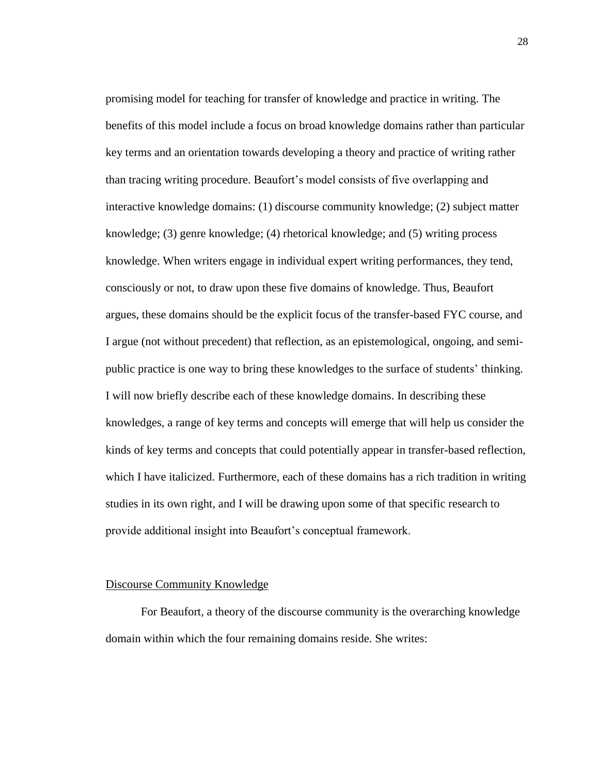promising model for teaching for transfer of knowledge and practice in writing. The benefits of this model include a focus on broad knowledge domains rather than particular key terms and an orientation towards developing a theory and practice of writing rather than tracing writing procedure. Beaufort's model consists of five overlapping and interactive knowledge domains: (1) discourse community knowledge; (2) subject matter knowledge; (3) genre knowledge; (4) rhetorical knowledge; and (5) writing process knowledge. When writers engage in individual expert writing performances, they tend, consciously or not, to draw upon these five domains of knowledge. Thus, Beaufort argues, these domains should be the explicit focus of the transfer-based FYC course, and I argue (not without precedent) that reflection, as an epistemological, ongoing, and semipublic practice is one way to bring these knowledges to the surface of students' thinking. I will now briefly describe each of these knowledge domains. In describing these knowledges, a range of key terms and concepts will emerge that will help us consider the kinds of key terms and concepts that could potentially appear in transfer-based reflection, which I have italicized. Furthermore, each of these domains has a rich tradition in writing studies in its own right, and I will be drawing upon some of that specific research to provide additional insight into Beaufort's conceptual framework.

### <span id="page-34-0"></span>Discourse Community Knowledge

For Beaufort, a theory of the discourse community is the overarching knowledge domain within which the four remaining domains reside. She writes: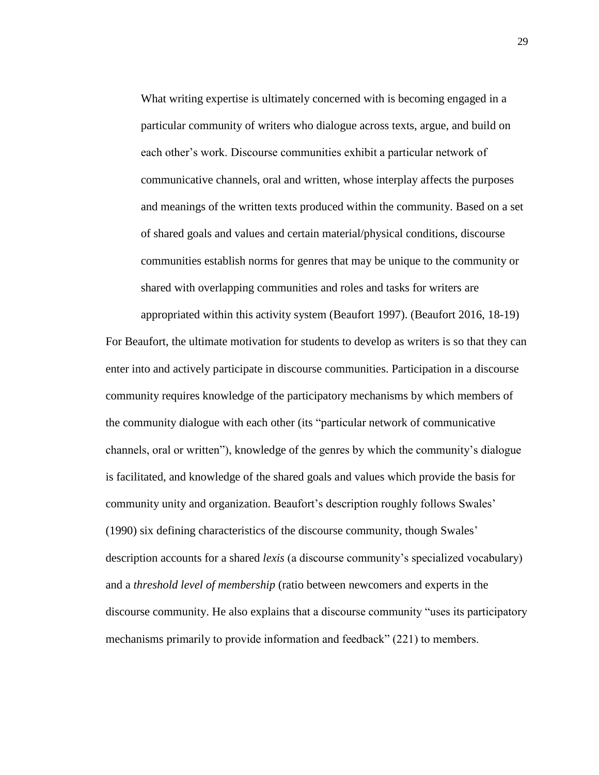What writing expertise is ultimately concerned with is becoming engaged in a particular community of writers who dialogue across texts, argue, and build on each other's work. Discourse communities exhibit a particular network of communicative channels, oral and written, whose interplay affects the purposes and meanings of the written texts produced within the community. Based on a set of shared goals and values and certain material/physical conditions, discourse communities establish norms for genres that may be unique to the community or shared with overlapping communities and roles and tasks for writers are

appropriated within this activity system (Beaufort 1997). (Beaufort 2016, 18-19) For Beaufort, the ultimate motivation for students to develop as writers is so that they can enter into and actively participate in discourse communities. Participation in a discourse community requires knowledge of the participatory mechanisms by which members of the community dialogue with each other (its "particular network of communicative channels, oral or written"), knowledge of the genres by which the community's dialogue is facilitated, and knowledge of the shared goals and values which provide the basis for community unity and organization. Beaufort's description roughly follows Swales' (1990) six defining characteristics of the discourse community, though Swales' description accounts for a shared *lexis* (a discourse community's specialized vocabulary) and a *threshold level of membership* (ratio between newcomers and experts in the discourse community. He also explains that a discourse community "uses its participatory mechanisms primarily to provide information and feedback" (221) to members.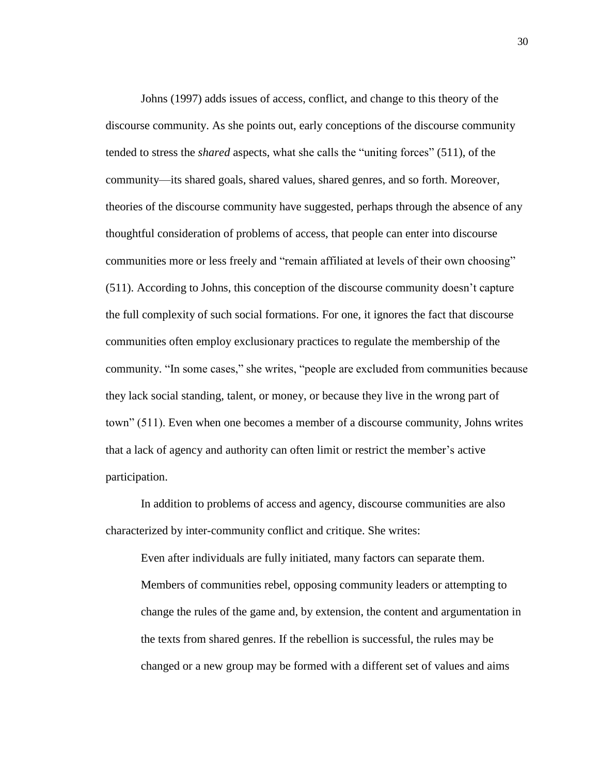Johns (1997) adds issues of access, conflict, and change to this theory of the discourse community. As she points out, early conceptions of the discourse community tended to stress the *shared* aspects, what she calls the "uniting forces" (511), of the community—its shared goals, shared values, shared genres, and so forth. Moreover, theories of the discourse community have suggested, perhaps through the absence of any thoughtful consideration of problems of access, that people can enter into discourse communities more or less freely and "remain affiliated at levels of their own choosing" (511). According to Johns, this conception of the discourse community doesn't capture the full complexity of such social formations. For one, it ignores the fact that discourse communities often employ exclusionary practices to regulate the membership of the community. "In some cases," she writes, "people are excluded from communities because they lack social standing, talent, or money, or because they live in the wrong part of town" (511). Even when one becomes a member of a discourse community, Johns writes that a lack of agency and authority can often limit or restrict the member's active participation.

In addition to problems of access and agency, discourse communities are also characterized by inter-community conflict and critique. She writes:

Even after individuals are fully initiated, many factors can separate them. Members of communities rebel, opposing community leaders or attempting to change the rules of the game and, by extension, the content and argumentation in the texts from shared genres. If the rebellion is successful, the rules may be changed or a new group may be formed with a different set of values and aims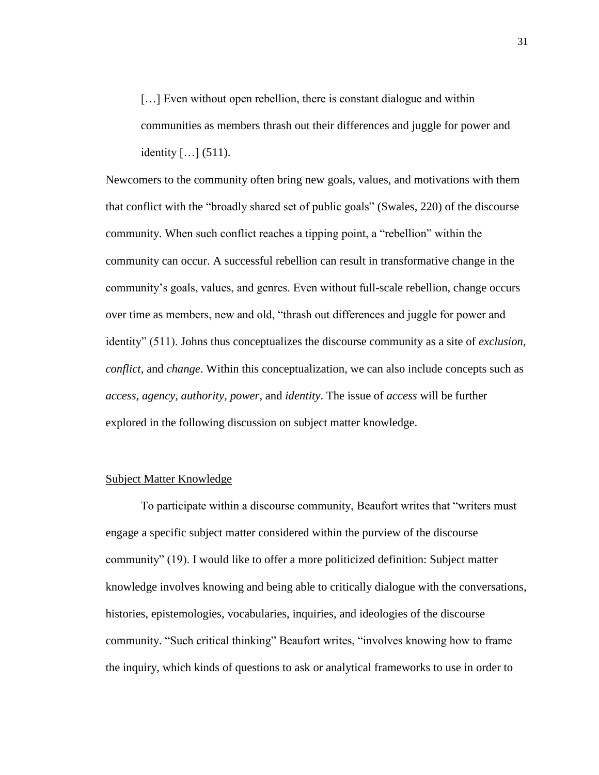[...] Even without open rebellion, there is constant dialogue and within communities as members thrash out their differences and juggle for power and identity […] (511).

Newcomers to the community often bring new goals, values, and motivations with them that conflict with the "broadly shared set of public goals" (Swales, 220) of the discourse community. When such conflict reaches a tipping point, a "rebellion" within the community can occur. A successful rebellion can result in transformative change in the community's goals, values, and genres. Even without full-scale rebellion, change occurs over time as members, new and old, "thrash out differences and juggle for power and identity" (511). Johns thus conceptualizes the discourse community as a site of *exclusion*, *conflict*, and *change*. Within this conceptualization, we can also include concepts such as *access*, *agency*, *authority*, *power*, and *identity*. The issue of *access* will be further explored in the following discussion on subject matter knowledge.

## Subject Matter Knowledge

To participate within a discourse community, Beaufort writes that "writers must engage a specific subject matter considered within the purview of the discourse community" (19). I would like to offer a more politicized definition: Subject matter knowledge involves knowing and being able to critically dialogue with the conversations, histories, epistemologies, vocabularies, inquiries, and ideologies of the discourse community. "Such critical thinking" Beaufort writes, "involves knowing how to frame the inquiry, which kinds of questions to ask or analytical frameworks to use in order to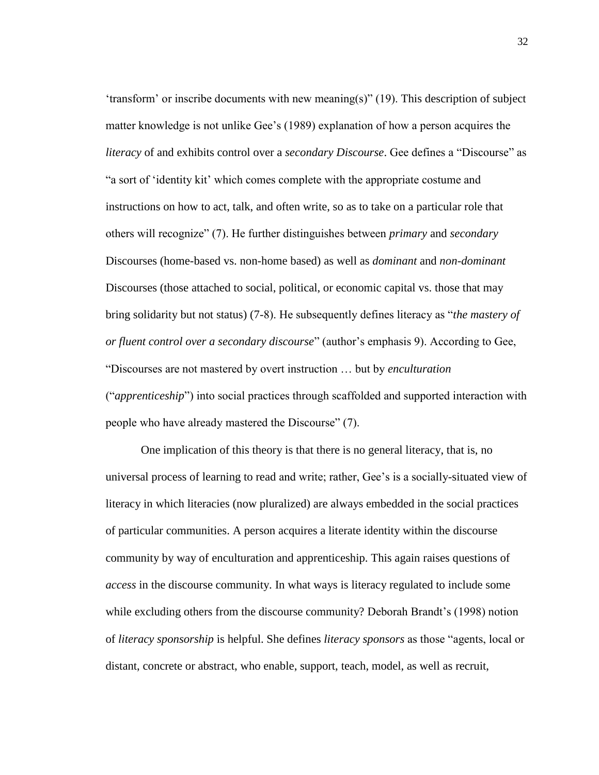'transform' or inscribe documents with new meaning(s)" (19). This description of subject matter knowledge is not unlike Gee's (1989) explanation of how a person acquires the *literacy* of and exhibits control over a *secondary Discourse*. Gee defines a "Discourse" as "a sort of 'identity kit' which comes complete with the appropriate costume and instructions on how to act, talk, and often write, so as to take on a particular role that others will recognize" (7). He further distinguishes between *primary* and *secondary* Discourses (home-based vs. non-home based) as well as *dominant* and *non-dominant* Discourses (those attached to social, political, or economic capital vs. those that may bring solidarity but not status) (7-8). He subsequently defines literacy as "*the mastery of or fluent control over a secondary discourse*" (author's emphasis 9). According to Gee, "Discourses are not mastered by overt instruction … but by *enculturation* ("*apprenticeship*") into social practices through scaffolded and supported interaction with people who have already mastered the Discourse" (7).

One implication of this theory is that there is no general literacy, that is, no universal process of learning to read and write; rather, Gee's is a socially-situated view of literacy in which literacies (now pluralized) are always embedded in the social practices of particular communities. A person acquires a literate identity within the discourse community by way of enculturation and apprenticeship. This again raises questions of *access* in the discourse community. In what ways is literacy regulated to include some while excluding others from the discourse community? Deborah Brandt's (1998) notion of *literacy sponsorship* is helpful. She defines *literacy sponsors* as those "agents, local or distant, concrete or abstract, who enable, support, teach, model, as well as recruit,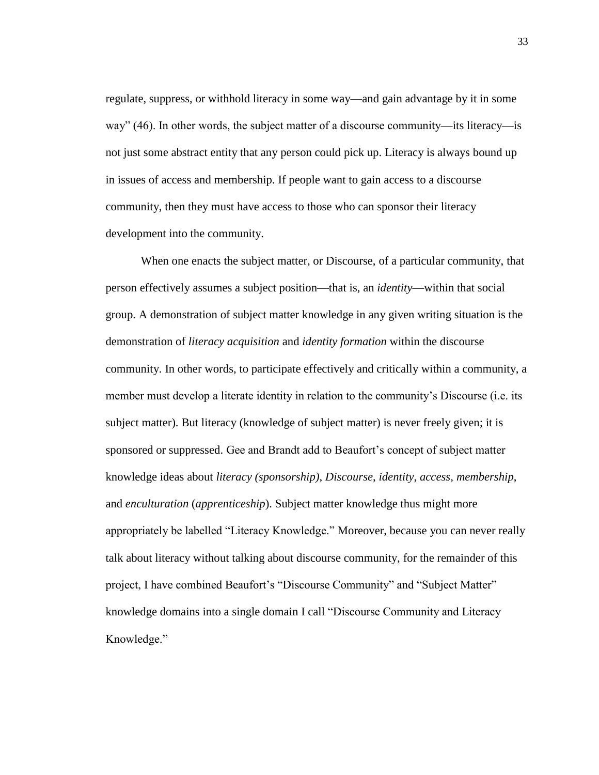regulate, suppress, or withhold literacy in some way—and gain advantage by it in some way" (46). In other words, the subject matter of a discourse community—its literacy—is not just some abstract entity that any person could pick up. Literacy is always bound up in issues of access and membership. If people want to gain access to a discourse community, then they must have access to those who can sponsor their literacy development into the community.

When one enacts the subject matter, or Discourse, of a particular community, that person effectively assumes a subject position—that is, an *identity*—within that social group. A demonstration of subject matter knowledge in any given writing situation is the demonstration of *literacy acquisition* and *identity formation* within the discourse community. In other words, to participate effectively and critically within a community, a member must develop a literate identity in relation to the community's Discourse (i.e. its subject matter). But literacy (knowledge of subject matter) is never freely given; it is sponsored or suppressed. Gee and Brandt add to Beaufort's concept of subject matter knowledge ideas about *literacy (sponsorship)*, *Discourse*, *identity*, *access*, *membership*, and *enculturation* (*apprenticeship*). Subject matter knowledge thus might more appropriately be labelled "Literacy Knowledge." Moreover, because you can never really talk about literacy without talking about discourse community, for the remainder of this project, I have combined Beaufort's "Discourse Community" and "Subject Matter" knowledge domains into a single domain I call "Discourse Community and Literacy Knowledge."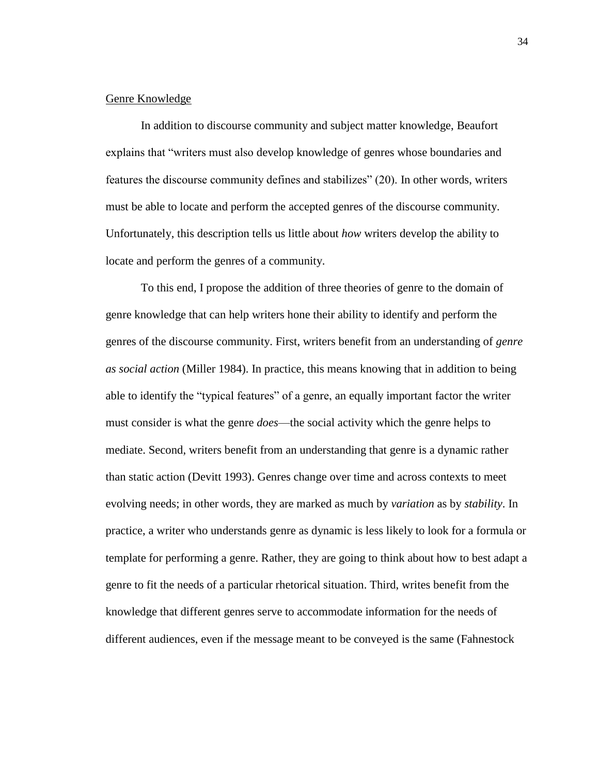# Genre Knowledge

In addition to discourse community and subject matter knowledge, Beaufort explains that "writers must also develop knowledge of genres whose boundaries and features the discourse community defines and stabilizes" (20). In other words, writers must be able to locate and perform the accepted genres of the discourse community. Unfortunately, this description tells us little about *how* writers develop the ability to locate and perform the genres of a community.

To this end, I propose the addition of three theories of genre to the domain of genre knowledge that can help writers hone their ability to identify and perform the genres of the discourse community. First, writers benefit from an understanding of *genre as social action* (Miller 1984). In practice, this means knowing that in addition to being able to identify the "typical features" of a genre, an equally important factor the writer must consider is what the genre *does*—the social activity which the genre helps to mediate. Second, writers benefit from an understanding that genre is a dynamic rather than static action (Devitt 1993). Genres change over time and across contexts to meet evolving needs; in other words, they are marked as much by *variation* as by *stability*. In practice, a writer who understands genre as dynamic is less likely to look for a formula or template for performing a genre. Rather, they are going to think about how to best adapt a genre to fit the needs of a particular rhetorical situation. Third, writes benefit from the knowledge that different genres serve to accommodate information for the needs of different audiences, even if the message meant to be conveyed is the same (Fahnestock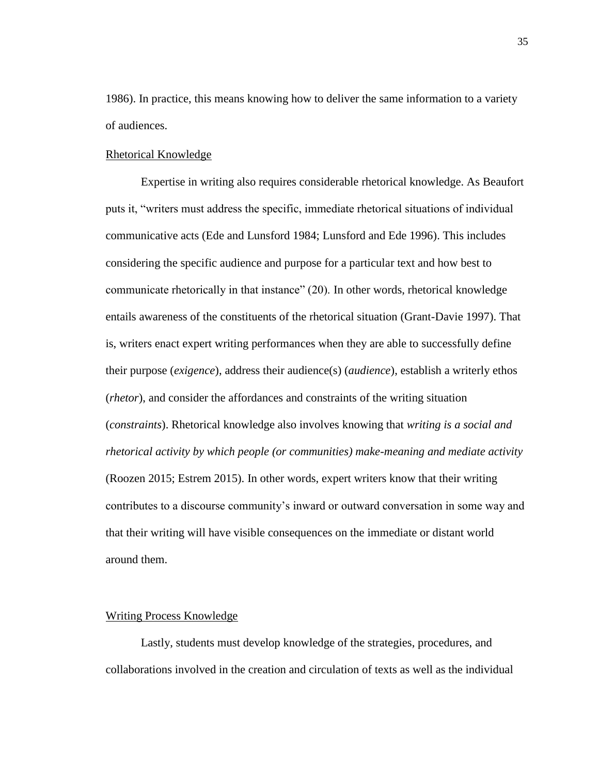1986). In practice, this means knowing how to deliver the same information to a variety of audiences.

### Rhetorical Knowledge

Expertise in writing also requires considerable rhetorical knowledge. As Beaufort puts it, "writers must address the specific, immediate rhetorical situations of individual communicative acts (Ede and Lunsford 1984; Lunsford and Ede 1996). This includes considering the specific audience and purpose for a particular text and how best to communicate rhetorically in that instance" (20). In other words, rhetorical knowledge entails awareness of the constituents of the rhetorical situation (Grant-Davie 1997). That is, writers enact expert writing performances when they are able to successfully define their purpose (*exigence*), address their audience(s) (*audience*), establish a writerly ethos (*rhetor*), and consider the affordances and constraints of the writing situation (*constraints*). Rhetorical knowledge also involves knowing that *writing is a social and rhetorical activity by which people (or communities) make-meaning and mediate activity* (Roozen 2015; Estrem 2015). In other words, expert writers know that their writing contributes to a discourse community's inward or outward conversation in some way and that their writing will have visible consequences on the immediate or distant world around them.

### Writing Process Knowledge

Lastly, students must develop knowledge of the strategies, procedures, and collaborations involved in the creation and circulation of texts as well as the individual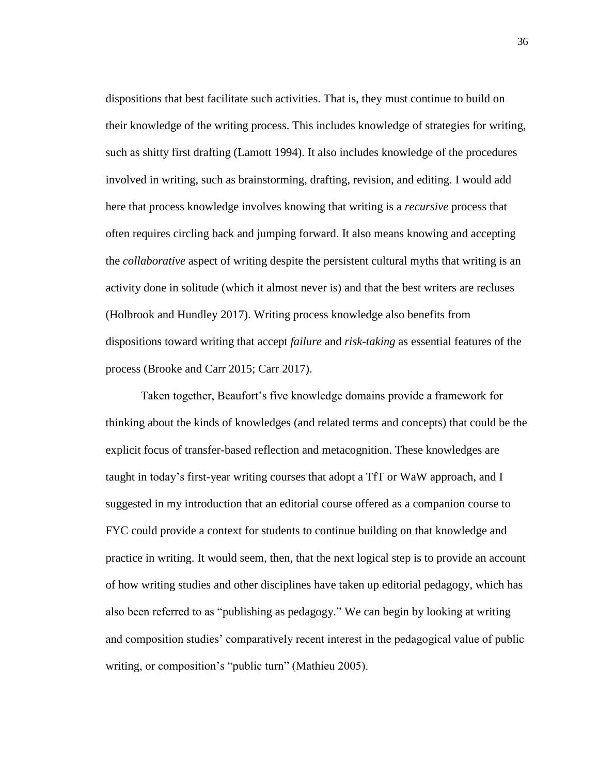dispositions that best facilitate such activities. That is, they must continue to build on their knowledge of the writing process. This includes knowledge of strategies for writing, such as shitty first drafting (Lamott 1994). It also includes knowledge of the procedures involved in writing, such as brainstorming, drafting, revision, and editing. I would add here that process knowledge involves knowing that writing is a *recursive* process that often requires circling back and jumping forward. It also means knowing and accepting the *collaborative* aspect of writing despite the persistent cultural myths that writing is an activity done in solitude (which it almost never is) and that the best writers are recluses (Holbrook and Hundley 2017). Writing process knowledge also benefits from dispositions toward writing that accept *failure* and *risk-taking* as essential features of the process (Brooke and Carr 2015; Carr 2017).

Taken together, Beaufort's five knowledge domains provide a framework for thinking about the kinds of knowledges (and related terms and concepts) that could be the explicit focus of transfer-based reflection and metacognition. These knowledges are taught in today's first-year writing courses that adopt a TfT or WaW approach, and I suggested in my introduction that an editorial course offered as a companion course to FYC could provide a context for students to continue building on that knowledge and practice in writing. It would seem, then, that the next logical step is to provide an account of how writing studies and other disciplines have taken up editorial pedagogy, which has also been referred to as "publishing as pedagogy." We can begin by looking at writing and composition studies' comparatively recent interest in the pedagogical value of public writing, or composition's "public turn" (Mathieu 2005).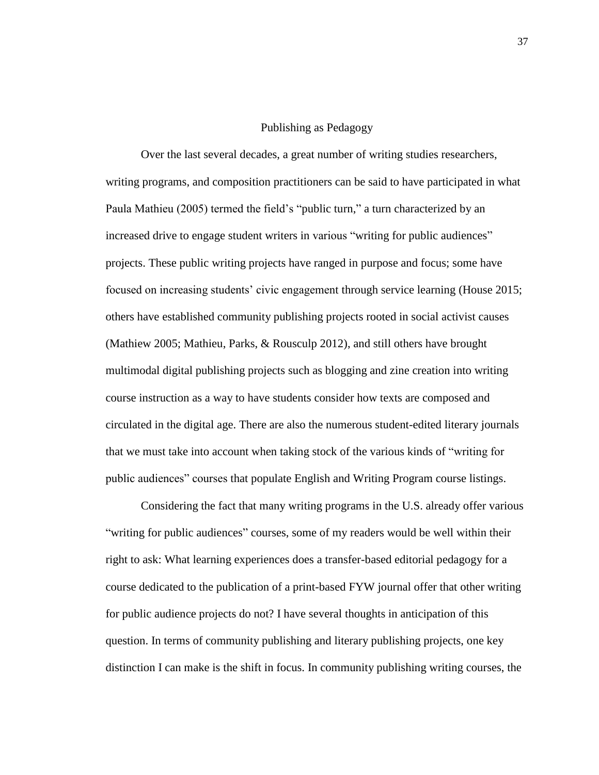#### Publishing as Pedagogy

Over the last several decades, a great number of writing studies researchers, writing programs, and composition practitioners can be said to have participated in what Paula Mathieu (2005) termed the field's "public turn," a turn characterized by an increased drive to engage student writers in various "writing for public audiences" projects. These public writing projects have ranged in purpose and focus; some have focused on increasing students' civic engagement through service learning (House 2015; others have established community publishing projects rooted in social activist causes (Mathiew 2005; Mathieu, Parks, & Rousculp 2012), and still others have brought multimodal digital publishing projects such as blogging and zine creation into writing course instruction as a way to have students consider how texts are composed and circulated in the digital age. There are also the numerous student-edited literary journals that we must take into account when taking stock of the various kinds of "writing for public audiences" courses that populate English and Writing Program course listings.

Considering the fact that many writing programs in the U.S. already offer various "writing for public audiences" courses, some of my readers would be well within their right to ask: What learning experiences does a transfer-based editorial pedagogy for a course dedicated to the publication of a print-based FYW journal offer that other writing for public audience projects do not? I have several thoughts in anticipation of this question. In terms of community publishing and literary publishing projects, one key distinction I can make is the shift in focus. In community publishing writing courses, the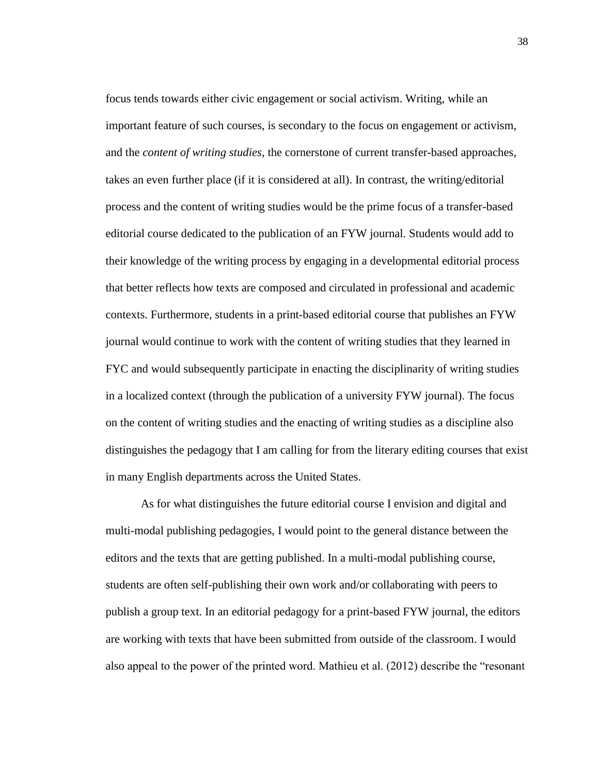focus tends towards either civic engagement or social activism. Writing, while an important feature of such courses, is secondary to the focus on engagement or activism, and the *content of writing studies*, the cornerstone of current transfer-based approaches, takes an even further place (if it is considered at all). In contrast, the writing/editorial process and the content of writing studies would be the prime focus of a transfer-based editorial course dedicated to the publication of an FYW journal. Students would add to their knowledge of the writing process by engaging in a developmental editorial process that better reflects how texts are composed and circulated in professional and academic contexts. Furthermore, students in a print-based editorial course that publishes an FYW journal would continue to work with the content of writing studies that they learned in FYC and would subsequently participate in enacting the disciplinarity of writing studies in a localized context (through the publication of a university FYW journal). The focus on the content of writing studies and the enacting of writing studies as a discipline also distinguishes the pedagogy that I am calling for from the literary editing courses that exist in many English departments across the United States.

As for what distinguishes the future editorial course I envision and digital and multi-modal publishing pedagogies, I would point to the general distance between the editors and the texts that are getting published. In a multi-modal publishing course, students are often self-publishing their own work and/or collaborating with peers to publish a group text. In an editorial pedagogy for a print-based FYW journal, the editors are working with texts that have been submitted from outside of the classroom. I would also appeal to the power of the printed word. Mathieu et al. (2012) describe the "resonant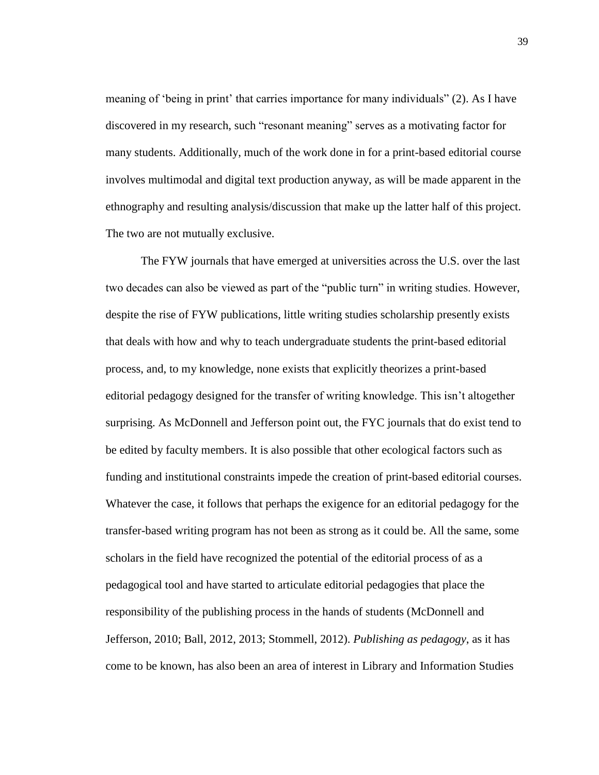meaning of 'being in print' that carries importance for many individuals" (2). As I have discovered in my research, such "resonant meaning" serves as a motivating factor for many students. Additionally, much of the work done in for a print-based editorial course involves multimodal and digital text production anyway, as will be made apparent in the ethnography and resulting analysis/discussion that make up the latter half of this project. The two are not mutually exclusive.

The FYW journals that have emerged at universities across the U.S. over the last two decades can also be viewed as part of the "public turn" in writing studies. However, despite the rise of FYW publications, little writing studies scholarship presently exists that deals with how and why to teach undergraduate students the print-based editorial process, and, to my knowledge, none exists that explicitly theorizes a print-based editorial pedagogy designed for the transfer of writing knowledge. This isn't altogether surprising. As McDonnell and Jefferson point out, the FYC journals that do exist tend to be edited by faculty members. It is also possible that other ecological factors such as funding and institutional constraints impede the creation of print-based editorial courses. Whatever the case, it follows that perhaps the exigence for an editorial pedagogy for the transfer-based writing program has not been as strong as it could be. All the same, some scholars in the field have recognized the potential of the editorial process of as a pedagogical tool and have started to articulate editorial pedagogies that place the responsibility of the publishing process in the hands of students (McDonnell and Jefferson, 2010; Ball, 2012, 2013; Stommell, 2012). *Publishing as pedagogy*, as it has come to be known, has also been an area of interest in Library and Information Studies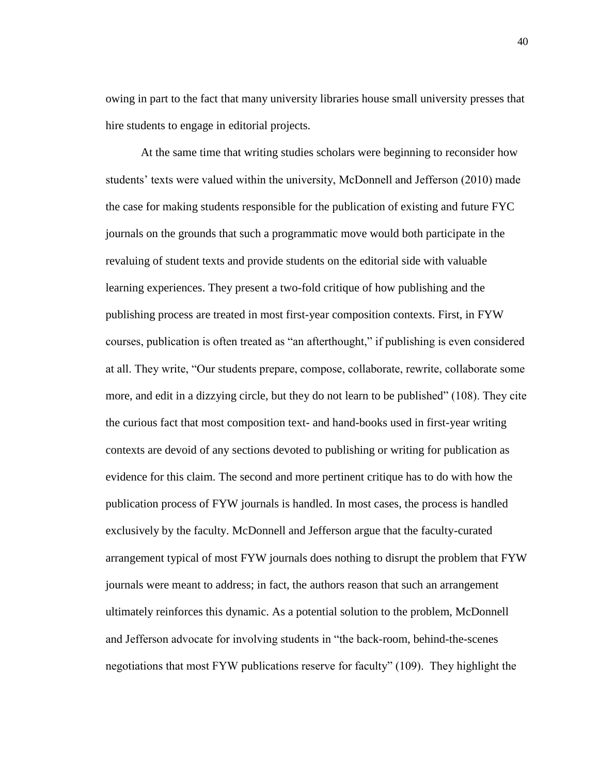owing in part to the fact that many university libraries house small university presses that hire students to engage in editorial projects.

At the same time that writing studies scholars were beginning to reconsider how students' texts were valued within the university, McDonnell and Jefferson (2010) made the case for making students responsible for the publication of existing and future FYC journals on the grounds that such a programmatic move would both participate in the revaluing of student texts and provide students on the editorial side with valuable learning experiences. They present a two-fold critique of how publishing and the publishing process are treated in most first-year composition contexts. First, in FYW courses, publication is often treated as "an afterthought," if publishing is even considered at all. They write, "Our students prepare, compose, collaborate, rewrite, collaborate some more, and edit in a dizzying circle, but they do not learn to be published" (108). They cite the curious fact that most composition text- and hand-books used in first-year writing contexts are devoid of any sections devoted to publishing or writing for publication as evidence for this claim. The second and more pertinent critique has to do with how the publication process of FYW journals is handled. In most cases, the process is handled exclusively by the faculty. McDonnell and Jefferson argue that the faculty-curated arrangement typical of most FYW journals does nothing to disrupt the problem that FYW journals were meant to address; in fact, the authors reason that such an arrangement ultimately reinforces this dynamic. As a potential solution to the problem, McDonnell and Jefferson advocate for involving students in "the back-room, behind-the-scenes negotiations that most FYW publications reserve for faculty" (109). They highlight the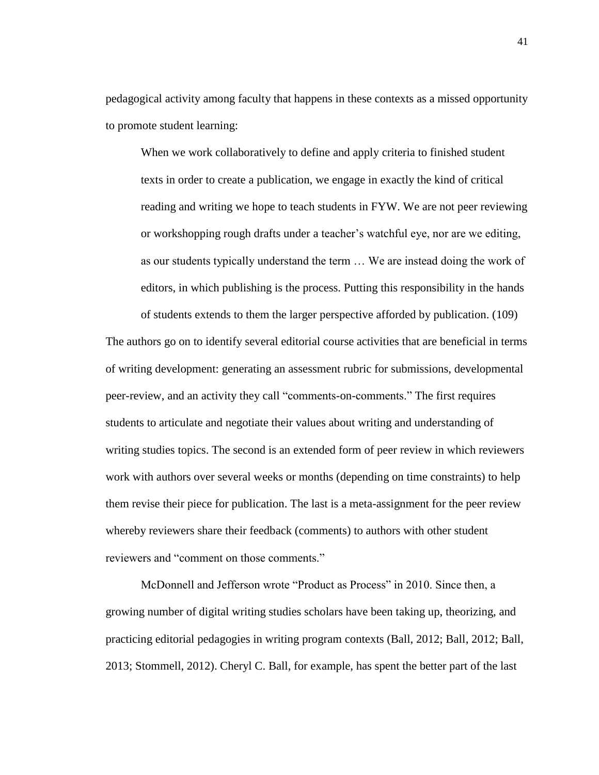pedagogical activity among faculty that happens in these contexts as a missed opportunity to promote student learning:

When we work collaboratively to define and apply criteria to finished student texts in order to create a publication, we engage in exactly the kind of critical reading and writing we hope to teach students in FYW. We are not peer reviewing or workshopping rough drafts under a teacher's watchful eye, nor are we editing, as our students typically understand the term … We are instead doing the work of editors, in which publishing is the process. Putting this responsibility in the hands of students extends to them the larger perspective afforded by publication. (109)

The authors go on to identify several editorial course activities that are beneficial in terms of writing development: generating an assessment rubric for submissions, developmental peer-review, and an activity they call "comments-on-comments." The first requires students to articulate and negotiate their values about writing and understanding of writing studies topics. The second is an extended form of peer review in which reviewers work with authors over several weeks or months (depending on time constraints) to help them revise their piece for publication. The last is a meta-assignment for the peer review whereby reviewers share their feedback (comments) to authors with other student reviewers and "comment on those comments."

McDonnell and Jefferson wrote "Product as Process" in 2010. Since then, a growing number of digital writing studies scholars have been taking up, theorizing, and practicing editorial pedagogies in writing program contexts (Ball, 2012; Ball, 2012; Ball, 2013; Stommell, 2012). Cheryl C. Ball, for example, has spent the better part of the last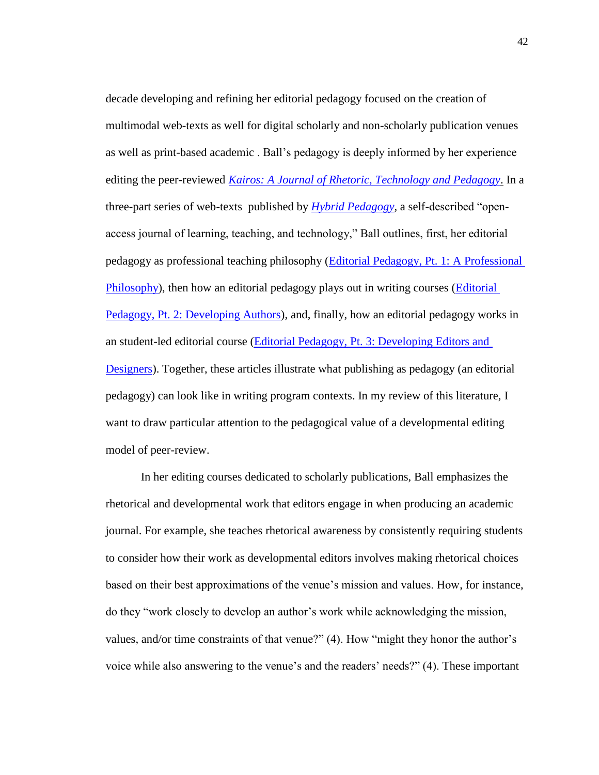decade developing and refining her editorial pedagogy focused on the creation of multimodal web-texts as well for digital scholarly and non-scholarly publication venues as well as print-based academic . Ball's pedagogy is deeply informed by her experience editing the peer-reviewed *[Kairos: A Journal of Rhetoric, Technology and Pedagogy](http://kairos.technorhetoric.net/)*. In a three-part series of web-texts published by *[Hybrid Pedagogy](http://hybridpedagogy.org/)*, a self-described "openaccess journal of learning, teaching, and technology," Ball outlines, first, her editorial pedagogy as professional teaching philosophy [\(Editorial Pedagogy, Pt. 1: A Professional](http://hybridpedagogy.org/editorial-pedagogy-pt-1-a-professional-philosophy/)  [Philosophy\)](http://hybridpedagogy.org/editorial-pedagogy-pt-1-a-professional-philosophy/), then how an editorial pedagogy plays out in writing courses [\(Editorial](http://hybridpedagogy.org/editorial-pedagogy-pt-2-developing-authors/)  [Pedagogy, Pt. 2: Developing Authors\)](http://hybridpedagogy.org/editorial-pedagogy-pt-2-developing-authors/), and, finally, how an editorial pedagogy works in an student-led editorial course [\(Editorial Pedagogy, Pt. 3: Developing Editors and](http://hybridpedagogy.org/editorial-pedagogy-pt-3-developing-editors-designers/)  [Designers\)](http://hybridpedagogy.org/editorial-pedagogy-pt-3-developing-editors-designers/). Together, these articles illustrate what publishing as pedagogy (an editorial pedagogy) can look like in writing program contexts. In my review of this literature, I want to draw particular attention to the pedagogical value of a developmental editing model of peer-review.

In her editing courses dedicated to scholarly publications, Ball emphasizes the rhetorical and developmental work that editors engage in when producing an academic journal. For example, she teaches rhetorical awareness by consistently requiring students to consider how their work as developmental editors involves making rhetorical choices based on their best approximations of the venue's mission and values. How, for instance, do they "work closely to develop an author's work while acknowledging the mission, values, and/or time constraints of that venue?" (4). How "might they honor the author's voice while also answering to the venue's and the readers' needs?" (4). These important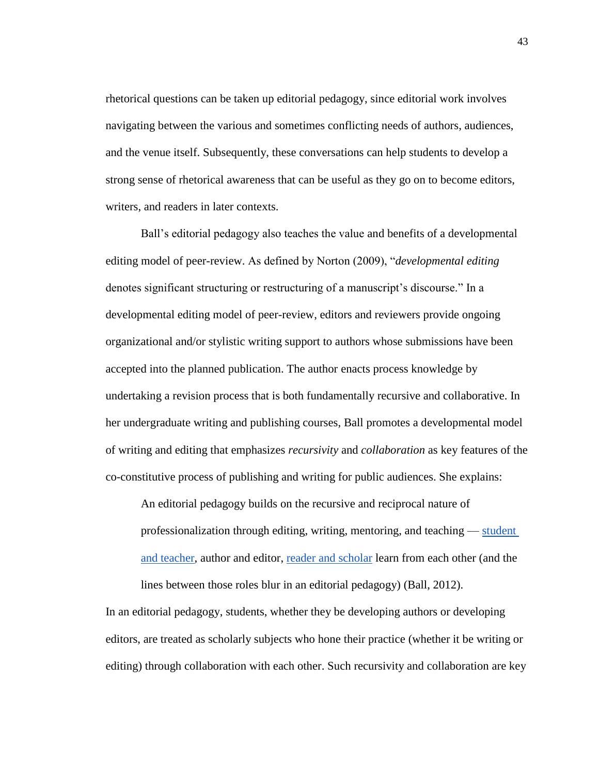rhetorical questions can be taken up editorial pedagogy, since editorial work involves navigating between the various and sometimes conflicting needs of authors, audiences, and the venue itself. Subsequently, these conversations can help students to develop a strong sense of rhetorical awareness that can be useful as they go on to become editors, writers, and readers in later contexts.

Ball's editorial pedagogy also teaches the value and benefits of a developmental editing model of peer-review. As defined by Norton (2009), "*developmental editing* denotes significant structuring or restructuring of a manuscript's discourse." In a developmental editing model of peer-review, editors and reviewers provide ongoing organizational and/or stylistic writing support to authors whose submissions have been accepted into the planned publication. The author enacts process knowledge by undertaking a revision process that is both fundamentally recursive and collaborative. In her undergraduate writing and publishing courses, Ball promotes a developmental model of writing and editing that emphasizes *recursivity* and *collaboration* as key features of the co-constitutive process of publishing and writing for public audiences. She explains:

An editorial pedagogy builds on the recursive and reciprocal nature of professionalization through editing, writing, mentoring, and teaching — [student](http://www.phd2published.com/2012/04/12/2020/)  [and teacher,](http://www.phd2published.com/2012/04/12/2020/) author and editor, [reader and scholar](http://www.hybridpedagogy.com/Journal/files/Pedagogy_as_Publishing.html) learn from each other (and the lines between those roles blur in an editorial pedagogy) (Ball, 2012).

In an editorial pedagogy, students, whether they be developing authors or developing editors, are treated as scholarly subjects who hone their practice (whether it be writing or editing) through collaboration with each other. Such recursivity and collaboration are key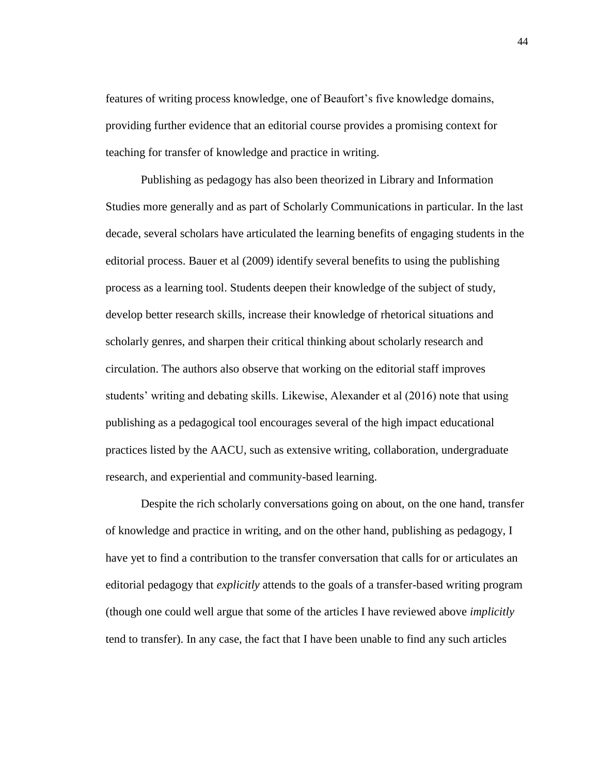features of writing process knowledge, one of Beaufort's five knowledge domains, providing further evidence that an editorial course provides a promising context for teaching for transfer of knowledge and practice in writing.

Publishing as pedagogy has also been theorized in Library and Information Studies more generally and as part of Scholarly Communications in particular. In the last decade, several scholars have articulated the learning benefits of engaging students in the editorial process. Bauer et al (2009) identify several benefits to using the publishing process as a learning tool. Students deepen their knowledge of the subject of study, develop better research skills, increase their knowledge of rhetorical situations and scholarly genres, and sharpen their critical thinking about scholarly research and circulation. The authors also observe that working on the editorial staff improves students' writing and debating skills. Likewise, Alexander et al (2016) note that using publishing as a pedagogical tool encourages several of the high impact educational practices listed by the AACU, such as extensive writing, collaboration, undergraduate research, and experiential and community-based learning.

Despite the rich scholarly conversations going on about, on the one hand, transfer of knowledge and practice in writing, and on the other hand, publishing as pedagogy, I have yet to find a contribution to the transfer conversation that calls for or articulates an editorial pedagogy that *explicitly* attends to the goals of a transfer-based writing program (though one could well argue that some of the articles I have reviewed above *implicitly* tend to transfer). In any case, the fact that I have been unable to find any such articles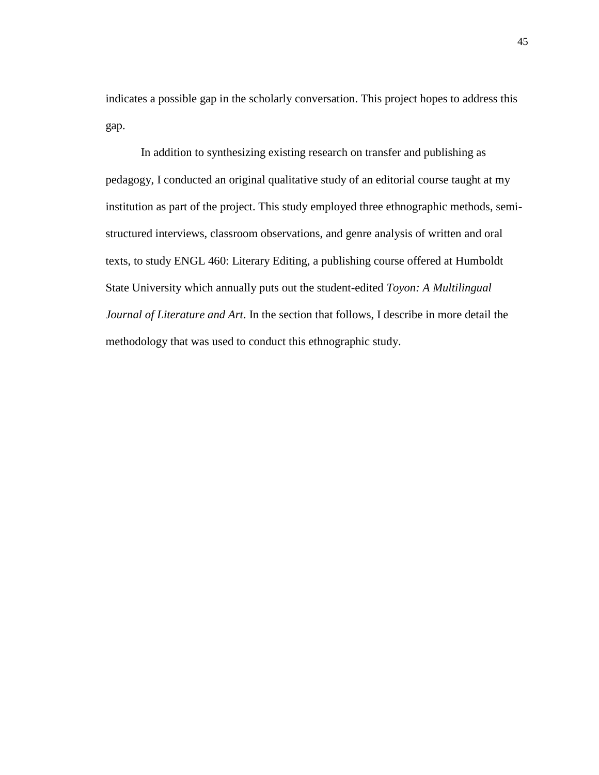indicates a possible gap in the scholarly conversation. This project hopes to address this gap.

In addition to synthesizing existing research on transfer and publishing as pedagogy, I conducted an original qualitative study of an editorial course taught at my institution as part of the project. This study employed three ethnographic methods, semistructured interviews, classroom observations, and genre analysis of written and oral texts, to study ENGL 460: Literary Editing, a publishing course offered at Humboldt State University which annually puts out the student-edited *Toyon: A Multilingual Journal of Literature and Art*. In the section that follows, I describe in more detail the methodology that was used to conduct this ethnographic study.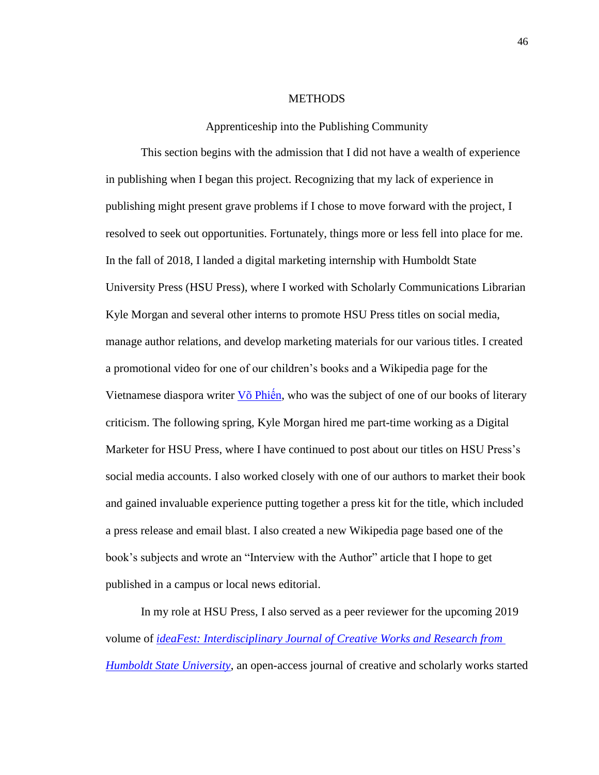#### **METHODS**

Apprenticeship into the Publishing Community

This section begins with the admission that I did not have a wealth of experience in publishing when I began this project. Recognizing that my lack of experience in publishing might present grave problems if I chose to move forward with the project, I resolved to seek out opportunities. Fortunately, things more or less fell into place for me. In the fall of 2018, I landed a digital marketing internship with Humboldt State University Press (HSU Press), where I worked with Scholarly Communications Librarian Kyle Morgan and several other interns to promote HSU Press titles on social media, manage author relations, and develop marketing materials for our various titles. I created a promotional video for one of our children's books and a Wikipedia page for the Vietnamese diaspora writer  $V\ddot{\text{o}}$  Phiến, who was the subject of one of our books of literary criticism. The following spring, Kyle Morgan hired me part-time working as a Digital Marketer for HSU Press, where I have continued to post about our titles on HSU Press's social media accounts. I also worked closely with one of our authors to market their book and gained invaluable experience putting together a press kit for the title, which included a press release and email blast. I also created a new Wikipedia page based one of the book's subjects and wrote an "Interview with the Author" article that I hope to get published in a campus or local news editorial.

In my role at HSU Press, I also served as a peer reviewer for the upcoming 2019 volume of *[ideaFest: Interdisciplinary Journal of Creative Works and Research from](https://digitalcommons.humboldt.edu/ideafest/)  [Humboldt State University](https://digitalcommons.humboldt.edu/ideafest/)*, an open-access journal of creative and scholarly works started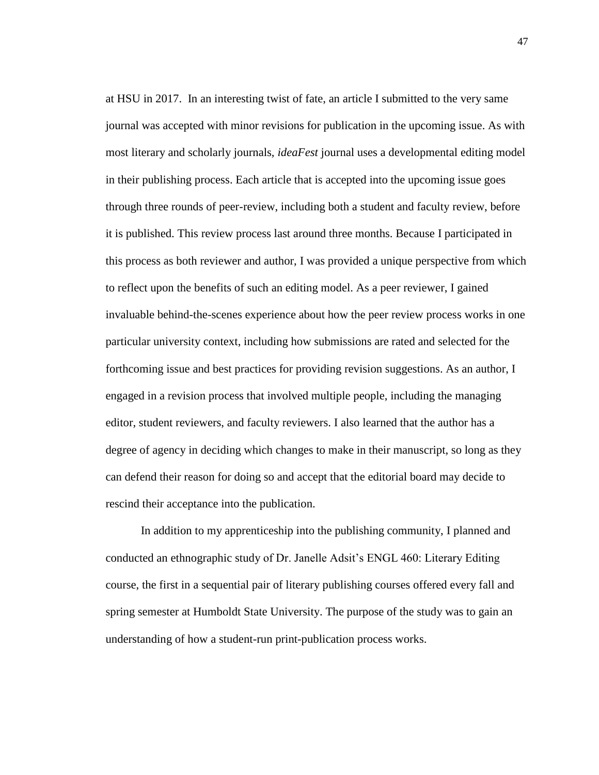at HSU in 2017. In an interesting twist of fate, an article I submitted to the very same journal was accepted with minor revisions for publication in the upcoming issue. As with most literary and scholarly journals, *ideaFest* journal uses a developmental editing model in their publishing process. Each article that is accepted into the upcoming issue goes through three rounds of peer-review, including both a student and faculty review, before it is published. This review process last around three months. Because I participated in this process as both reviewer and author, I was provided a unique perspective from which to reflect upon the benefits of such an editing model. As a peer reviewer, I gained invaluable behind-the-scenes experience about how the peer review process works in one particular university context, including how submissions are rated and selected for the forthcoming issue and best practices for providing revision suggestions. As an author, I engaged in a revision process that involved multiple people, including the managing editor, student reviewers, and faculty reviewers. I also learned that the author has a degree of agency in deciding which changes to make in their manuscript, so long as they can defend their reason for doing so and accept that the editorial board may decide to rescind their acceptance into the publication.

In addition to my apprenticeship into the publishing community, I planned and conducted an ethnographic study of Dr. Janelle Adsit's ENGL 460: Literary Editing course, the first in a sequential pair of literary publishing courses offered every fall and spring semester at Humboldt State University. The purpose of the study was to gain an understanding of how a student-run print-publication process works.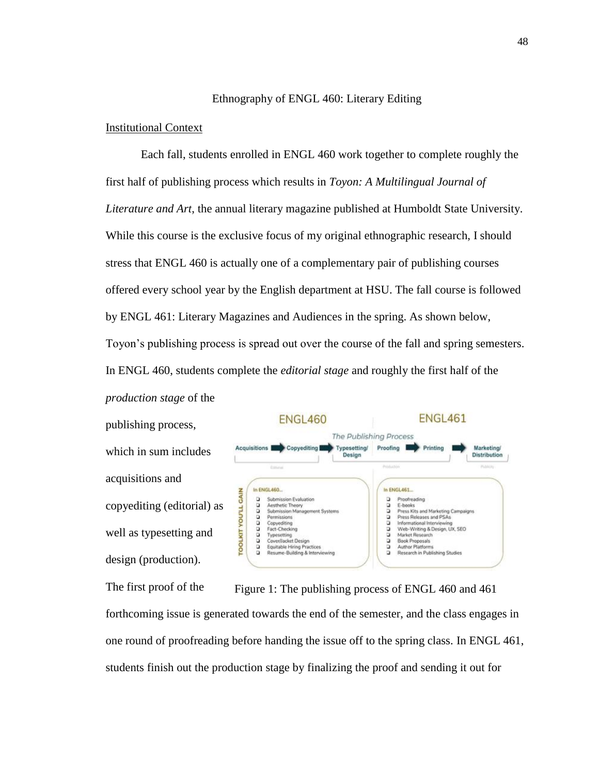## Ethnography of ENGL 460: Literary Editing

## Institutional Context

Each fall, students enrolled in ENGL 460 work together to complete roughly the first half of publishing process which results in *Toyon: A Multilingual Journal of Literature and Art*, the annual literary magazine published at Humboldt State University. While this course is the exclusive focus of my original ethnographic research, I should stress that ENGL 460 is actually one of a complementary pair of publishing courses offered every school year by the English department at HSU. The fall course is followed by ENGL 461: Literary Magazines and Audiences in the spring. As shown below, Toyon's publishing process is spread out over the course of the fall and spring semesters. In ENGL 460, students complete the *editorial stage* and roughly the first half of the *production stage* of the

publishing process, which in sum includes acquisitions and copyediting (editorial) as well as typesetting and design (production).



The first proof of the forthcoming issue is generated towards the end of the semester, and the class engages in one round of proofreading before handing the issue off to the spring class. In ENGL 461, students finish out the production stage by finalizing the proof and sending it out for Figure 1: The publishing process of ENGL 460 and 461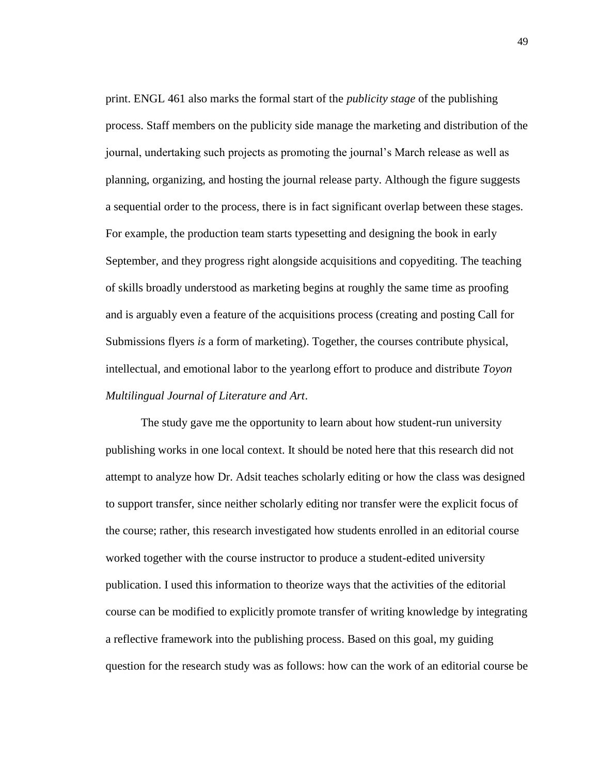print. ENGL 461 also marks the formal start of the *publicity stage* of the publishing process. Staff members on the publicity side manage the marketing and distribution of the journal, undertaking such projects as promoting the journal's March release as well as planning, organizing, and hosting the journal release party. Although the figure suggests a sequential order to the process, there is in fact significant overlap between these stages. For example, the production team starts typesetting and designing the book in early September, and they progress right alongside acquisitions and copyediting. The teaching of skills broadly understood as marketing begins at roughly the same time as proofing and is arguably even a feature of the acquisitions process (creating and posting Call for Submissions flyers *is* a form of marketing). Together, the courses contribute physical, intellectual, and emotional labor to the yearlong effort to produce and distribute *Toyon Multilingual Journal of Literature and Art*.

The study gave me the opportunity to learn about how student-run university publishing works in one local context. It should be noted here that this research did not attempt to analyze how Dr. Adsit teaches scholarly editing or how the class was designed to support transfer, since neither scholarly editing nor transfer were the explicit focus of the course; rather, this research investigated how students enrolled in an editorial course worked together with the course instructor to produce a student-edited university publication. I used this information to theorize ways that the activities of the editorial course can be modified to explicitly promote transfer of writing knowledge by integrating a reflective framework into the publishing process. Based on this goal, my guiding question for the research study was as follows: how can the work of an editorial course be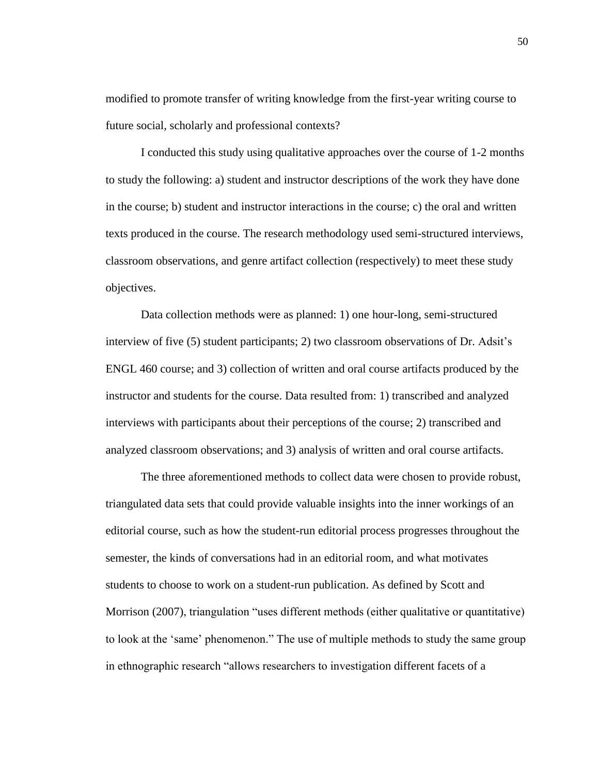modified to promote transfer of writing knowledge from the first-year writing course to future social, scholarly and professional contexts?

I conducted this study using qualitative approaches over the course of 1-2 months to study the following: a) student and instructor descriptions of the work they have done in the course; b) student and instructor interactions in the course; c) the oral and written texts produced in the course. The research methodology used semi-structured interviews, classroom observations, and genre artifact collection (respectively) to meet these study objectives.

Data collection methods were as planned: 1) one hour-long, semi-structured interview of five (5) student participants; 2) two classroom observations of Dr. Adsit's ENGL 460 course; and 3) collection of written and oral course artifacts produced by the instructor and students for the course. Data resulted from: 1) transcribed and analyzed interviews with participants about their perceptions of the course; 2) transcribed and analyzed classroom observations; and 3) analysis of written and oral course artifacts.

The three aforementioned methods to collect data were chosen to provide robust, triangulated data sets that could provide valuable insights into the inner workings of an editorial course, such as how the student-run editorial process progresses throughout the semester, the kinds of conversations had in an editorial room, and what motivates students to choose to work on a student-run publication. As defined by Scott and Morrison (2007), triangulation "uses different methods (either qualitative or quantitative) to look at the 'same' phenomenon." The use of multiple methods to study the same group in ethnographic research "allows researchers to investigation different facets of a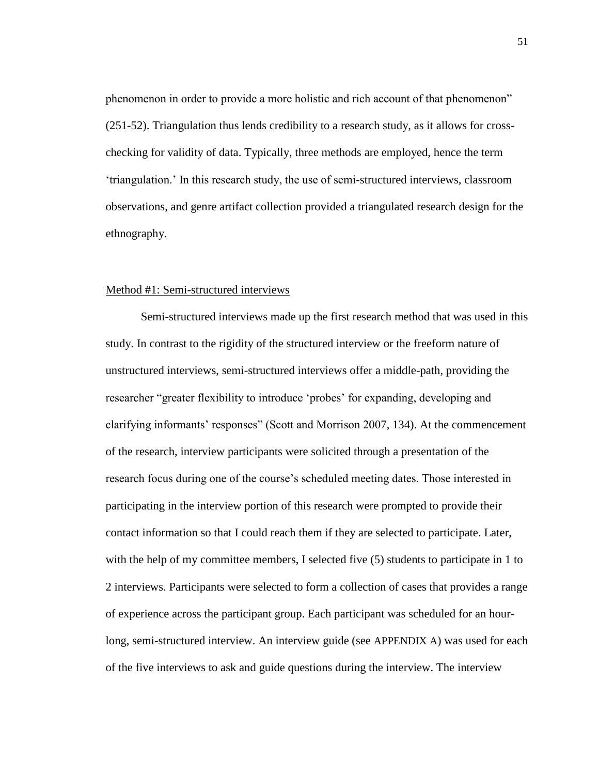phenomenon in order to provide a more holistic and rich account of that phenomenon" (251-52). Triangulation thus lends credibility to a research study, as it allows for crosschecking for validity of data. Typically, three methods are employed, hence the term 'triangulation.' In this research study, the use of semi-structured interviews, classroom observations, and genre artifact collection provided a triangulated research design for the ethnography.

# Method #1: Semi-structured interviews

Semi-structured interviews made up the first research method that was used in this study. In contrast to the rigidity of the structured interview or the freeform nature of unstructured interviews, semi-structured interviews offer a middle-path, providing the researcher "greater flexibility to introduce 'probes' for expanding, developing and clarifying informants' responses" (Scott and Morrison 2007, 134). At the commencement of the research, interview participants were solicited through a presentation of the research focus during one of the course's scheduled meeting dates. Those interested in participating in the interview portion of this research were prompted to provide their contact information so that I could reach them if they are selected to participate. Later, with the help of my committee members, I selected five (5) students to participate in 1 to 2 interviews. Participants were selected to form a collection of cases that provides a range of experience across the participant group. Each participant was scheduled for an hourlong, semi-structured interview. An interview guide (see [APPENDIX A](#page-108-0)) was used for each of the five interviews to ask and guide questions during the interview. The interview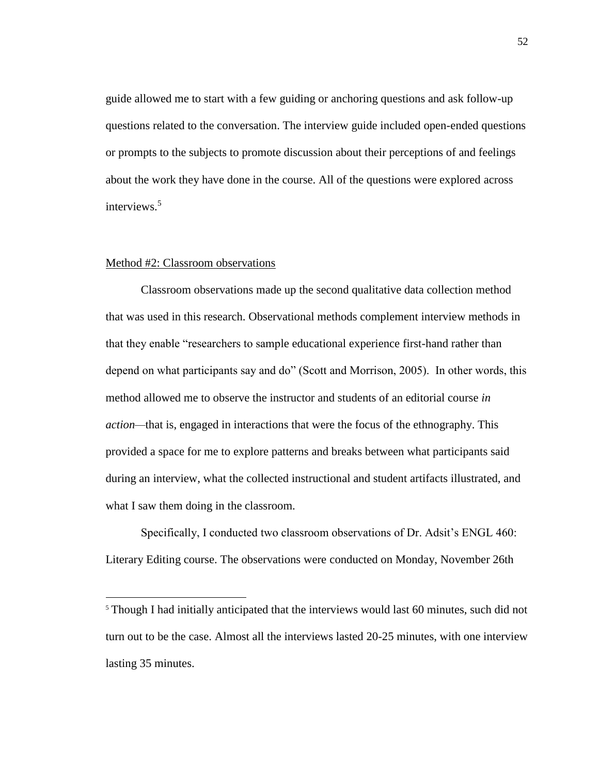guide allowed me to start with a few guiding or anchoring questions and ask follow-up questions related to the conversation. The interview guide included open-ended questions or prompts to the subjects to promote discussion about their perceptions of and feelings about the work they have done in the course. All of the questions were explored across interviews.<sup>5</sup>

#### Method #2: Classroom observations

 $\overline{a}$ 

Classroom observations made up the second qualitative data collection method that was used in this research. Observational methods complement interview methods in that they enable "researchers to sample educational experience first-hand rather than depend on what participants say and do" (Scott and Morrison, 2005). In other words, this method allowed me to observe the instructor and students of an editorial course *in action—*that is, engaged in interactions that were the focus of the ethnography. This provided a space for me to explore patterns and breaks between what participants said during an interview, what the collected instructional and student artifacts illustrated, and what I saw them doing in the classroom.

Specifically, I conducted two classroom observations of Dr. Adsit's ENGL 460: Literary Editing course. The observations were conducted on Monday, November 26th

<sup>&</sup>lt;sup>5</sup> Though I had initially anticipated that the interviews would last 60 minutes, such did not turn out to be the case. Almost all the interviews lasted 20-25 minutes, with one interview lasting 35 minutes.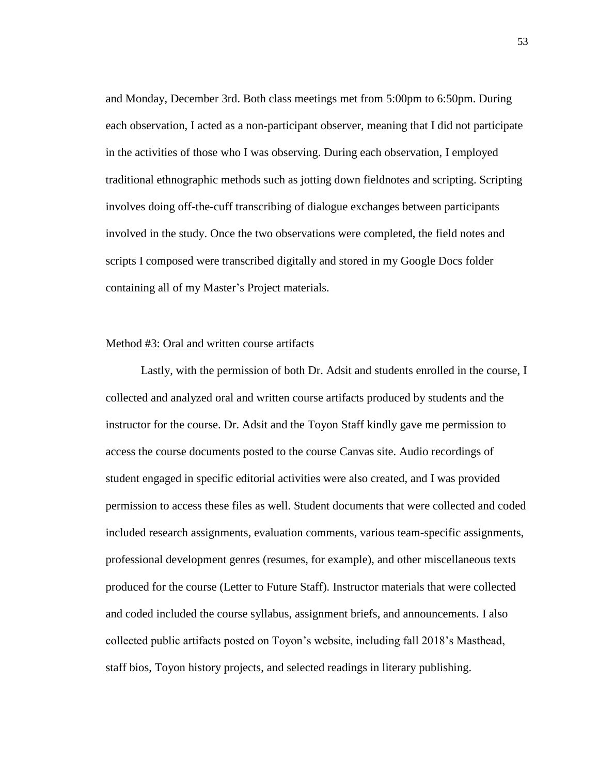and Monday, December 3rd. Both class meetings met from 5:00pm to 6:50pm. During each observation, I acted as a non-participant observer, meaning that I did not participate in the activities of those who I was observing. During each observation, I employed traditional ethnographic methods such as jotting down fieldnotes and scripting. Scripting involves doing off-the-cuff transcribing of dialogue exchanges between participants involved in the study. Once the two observations were completed, the field notes and scripts I composed were transcribed digitally and stored in my Google Docs folder containing all of my Master's Project materials.

## Method #3: Oral and written course artifacts

Lastly, with the permission of both Dr. Adsit and students enrolled in the course, I collected and analyzed oral and written course artifacts produced by students and the instructor for the course. Dr. Adsit and the Toyon Staff kindly gave me permission to access the course documents posted to the course Canvas site. Audio recordings of student engaged in specific editorial activities were also created, and I was provided permission to access these files as well. Student documents that were collected and coded included research assignments, evaluation comments, various team-specific assignments, professional development genres (resumes, for example), and other miscellaneous texts produced for the course (Letter to Future Staff). Instructor materials that were collected and coded included the course syllabus, assignment briefs, and announcements. I also collected public artifacts posted on Toyon's website, including fall 2018's Masthead, staff bios, Toyon history projects, and selected readings in literary publishing.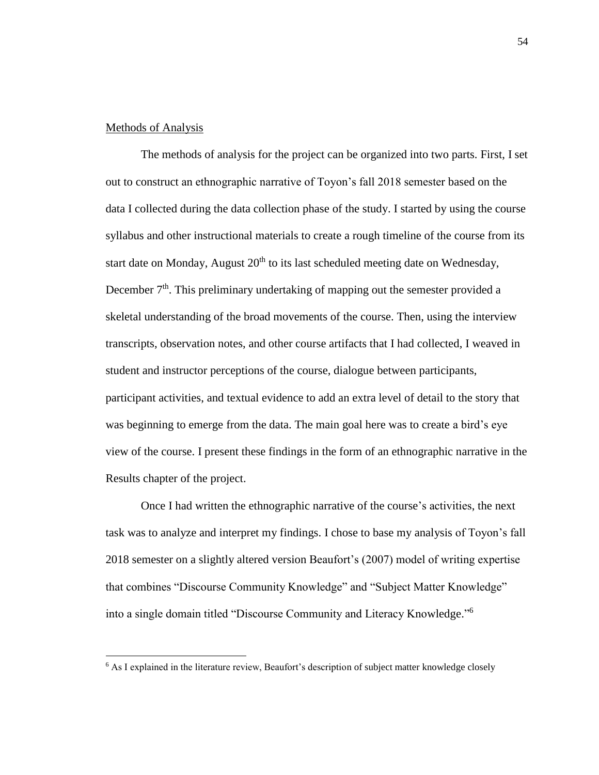## Methods of Analysis

l

The methods of analysis for the project can be organized into two parts. First, I set out to construct an ethnographic narrative of Toyon's fall 2018 semester based on the data I collected during the data collection phase of the study. I started by using the course syllabus and other instructional materials to create a rough timeline of the course from its start date on Monday, August  $20<sup>th</sup>$  to its last scheduled meeting date on Wednesday, December  $7<sup>th</sup>$ . This preliminary undertaking of mapping out the semester provided a skeletal understanding of the broad movements of the course. Then, using the interview transcripts, observation notes, and other course artifacts that I had collected, I weaved in student and instructor perceptions of the course, dialogue between participants, participant activities, and textual evidence to add an extra level of detail to the story that was beginning to emerge from the data. The main goal here was to create a bird's eye view of the course. I present these findings in the form of an ethnographic narrative in the Results chapter of the project.

Once I had written the ethnographic narrative of the course's activities, the next task was to analyze and interpret my findings. I chose to base my analysis of Toyon's fall 2018 semester on a slightly altered version Beaufort's (2007) model of writing expertise that combines "Discourse Community Knowledge" and "Subject Matter Knowledge" into a single domain titled "Discourse Community and Literacy Knowledge." 6

<sup>6</sup> As I explained in the literature review, Beaufort's description of subject matter knowledge closely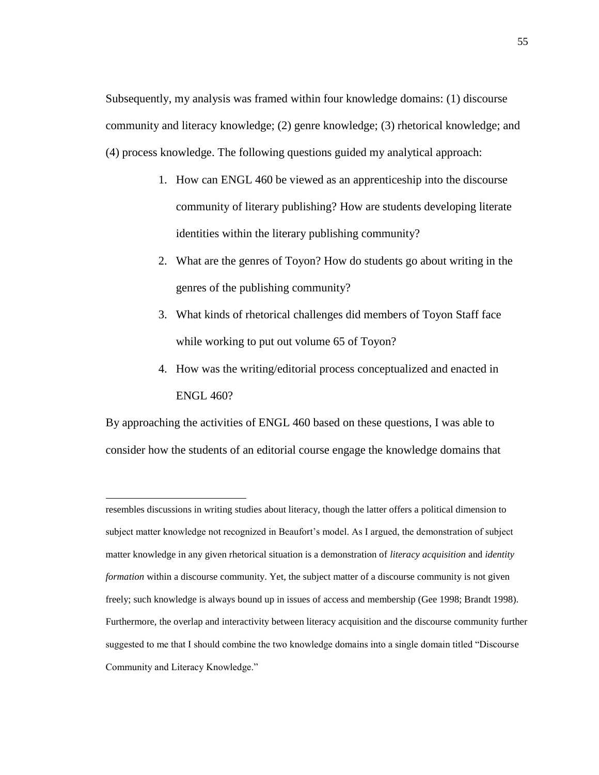Subsequently, my analysis was framed within four knowledge domains: (1) discourse community and literacy knowledge; (2) genre knowledge; (3) rhetorical knowledge; and (4) process knowledge. The following questions guided my analytical approach:

- 1. How can ENGL 460 be viewed as an apprenticeship into the discourse community of literary publishing? How are students developing literate identities within the literary publishing community?
- 2. What are the genres of Toyon? How do students go about writing in the genres of the publishing community?
- 3. What kinds of rhetorical challenges did members of Toyon Staff face while working to put out volume 65 of Toyon?
- 4. How was the writing/editorial process conceptualized and enacted in ENGL 460?

By approaching the activities of ENGL 460 based on these questions, I was able to consider how the students of an editorial course engage the knowledge domains that

 $\overline{a}$ 

resembles discussions in writing studies about literacy, though the latter offers a political dimension to subject matter knowledge not recognized in Beaufort's model. As I argued, the demonstration of subject matter knowledge in any given rhetorical situation is a demonstration of *literacy acquisition* and *identity formation* within a discourse community. Yet, the subject matter of a discourse community is not given freely; such knowledge is always bound up in issues of access and membership (Gee 1998; Brandt 1998). Furthermore, the overlap and interactivity between literacy acquisition and the discourse community further suggested to me that I should combine the two knowledge domains into a single domain titled "Discourse Community and Literacy Knowledge."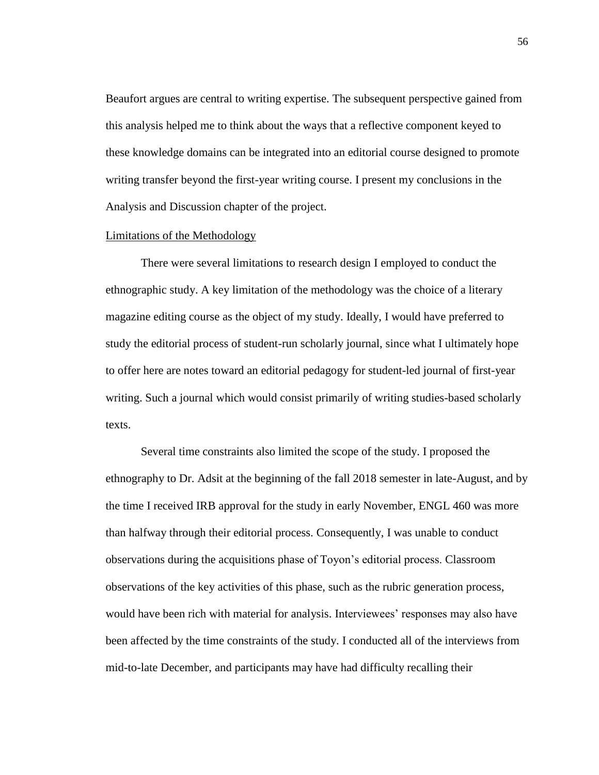Beaufort argues are central to writing expertise. The subsequent perspective gained from this analysis helped me to think about the ways that a reflective component keyed to these knowledge domains can be integrated into an editorial course designed to promote writing transfer beyond the first-year writing course. I present my conclusions in the Analysis and Discussion chapter of the project.

#### Limitations of the Methodology

There were several limitations to research design I employed to conduct the ethnographic study. A key limitation of the methodology was the choice of a literary magazine editing course as the object of my study. Ideally, I would have preferred to study the editorial process of student-run scholarly journal, since what I ultimately hope to offer here are notes toward an editorial pedagogy for student-led journal of first-year writing. Such a journal which would consist primarily of writing studies-based scholarly texts.

Several time constraints also limited the scope of the study. I proposed the ethnography to Dr. Adsit at the beginning of the fall 2018 semester in late-August, and by the time I received IRB approval for the study in early November, ENGL 460 was more than halfway through their editorial process. Consequently, I was unable to conduct observations during the acquisitions phase of Toyon's editorial process. Classroom observations of the key activities of this phase, such as the rubric generation process, would have been rich with material for analysis. Interviewees' responses may also have been affected by the time constraints of the study. I conducted all of the interviews from mid-to-late December, and participants may have had difficulty recalling their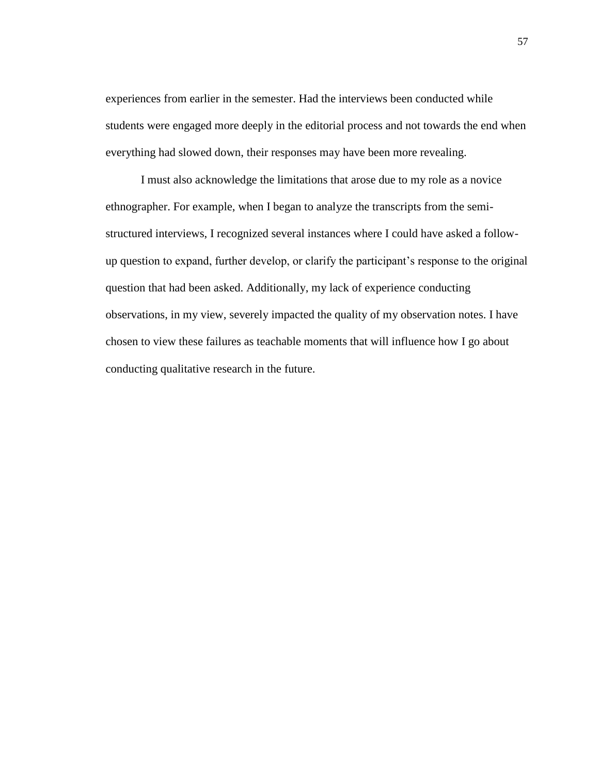experiences from earlier in the semester. Had the interviews been conducted while students were engaged more deeply in the editorial process and not towards the end when everything had slowed down, their responses may have been more revealing.

I must also acknowledge the limitations that arose due to my role as a novice ethnographer. For example, when I began to analyze the transcripts from the semistructured interviews, I recognized several instances where I could have asked a followup question to expand, further develop, or clarify the participant's response to the original question that had been asked. Additionally, my lack of experience conducting observations, in my view, severely impacted the quality of my observation notes. I have chosen to view these failures as teachable moments that will influence how I go about conducting qualitative research in the future.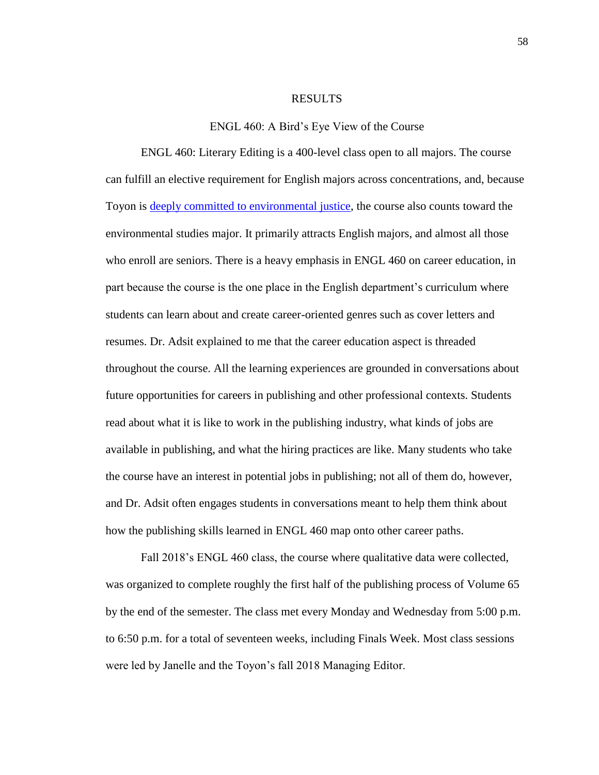#### RESULTS

#### ENGL 460: A Bird's Eye View of the Course

ENGL 460: Literary Editing is a 400-level class open to all majors. The course can fulfill an elective requirement for English majors across concentrations, and, because Toyon is [deeply committed to environmental justice,](https://www.toyonliterarymagazine.org/environmental-writing.html) the course also counts toward the environmental studies major. It primarily attracts English majors, and almost all those who enroll are seniors. There is a heavy emphasis in ENGL 460 on career education, in part because the course is the one place in the English department's curriculum where students can learn about and create career-oriented genres such as cover letters and resumes. Dr. Adsit explained to me that the career education aspect is threaded throughout the course. All the learning experiences are grounded in conversations about future opportunities for careers in publishing and other professional contexts. Students read about what it is like to work in the publishing industry, what kinds of jobs are available in publishing, and what the hiring practices are like. Many students who take the course have an interest in potential jobs in publishing; not all of them do, however, and Dr. Adsit often engages students in conversations meant to help them think about how the publishing skills learned in ENGL 460 map onto other career paths.

Fall 2018's ENGL 460 class, the course where qualitative data were collected, was organized to complete roughly the first half of the publishing process of Volume 65 by the end of the semester. The class met every Monday and Wednesday from 5:00 p.m. to 6:50 p.m. for a total of seventeen weeks, including Finals Week. Most class sessions were led by Janelle and the Toyon's fall 2018 Managing Editor.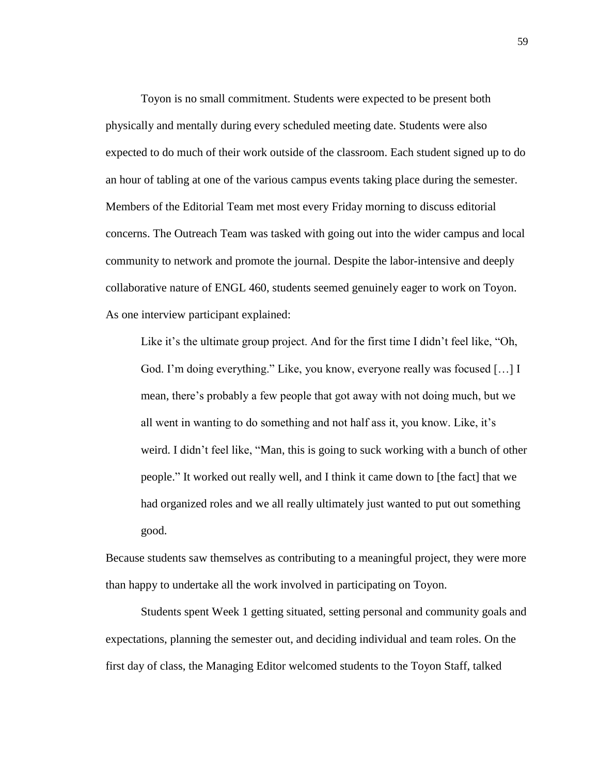Toyon is no small commitment. Students were expected to be present both physically and mentally during every scheduled meeting date. Students were also expected to do much of their work outside of the classroom. Each student signed up to do an hour of tabling at one of the various campus events taking place during the semester. Members of the Editorial Team met most every Friday morning to discuss editorial concerns. The Outreach Team was tasked with going out into the wider campus and local community to network and promote the journal. Despite the labor-intensive and deeply collaborative nature of ENGL 460, students seemed genuinely eager to work on Toyon. As one interview participant explained:

Like it's the ultimate group project. And for the first time I didn't feel like, "Oh, God. I'm doing everything." Like, you know, everyone really was focused […] I mean, there's probably a few people that got away with not doing much, but we all went in wanting to do something and not half ass it, you know. Like, it's weird. I didn't feel like, "Man, this is going to suck working with a bunch of other people." It worked out really well, and I think it came down to [the fact] that we had organized roles and we all really ultimately just wanted to put out something good.

Because students saw themselves as contributing to a meaningful project, they were more than happy to undertake all the work involved in participating on Toyon.

Students spent Week 1 getting situated, setting personal and community goals and expectations, planning the semester out, and deciding individual and team roles. On the first day of class, the Managing Editor welcomed students to the Toyon Staff, talked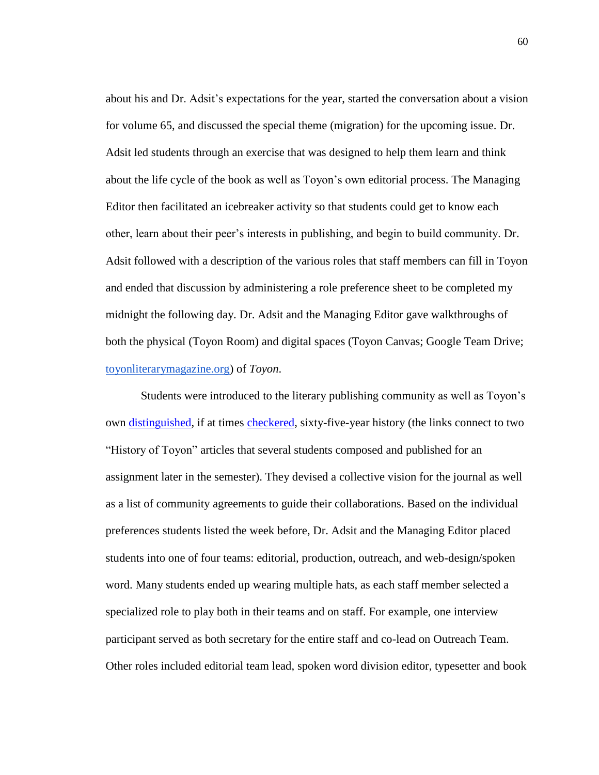about his and Dr. Adsit's expectations for the year, started the conversation about a vision for volume 65, and discussed the special theme (migration) for the upcoming issue. Dr. Adsit led students through an exercise that was designed to help them learn and think about the life cycle of the book as well as Toyon's own editorial process. The Managing Editor then facilitated an icebreaker activity so that students could get to know each other, learn about their peer's interests in publishing, and begin to build community. Dr. Adsit followed with a description of the various roles that staff members can fill in Toyon and ended that discussion by administering a role preference sheet to be completed my midnight the following day. Dr. Adsit and the Managing Editor gave walkthroughs of both the physical (Toyon Room) and digital spaces (Toyon Canvas; Google Team Drive; [toyonliterarymagazine.org\)](https://www.toyonliterarymagazine.org/) of *Toyon*.

Students were introduced to the literary publishing community as well as Toyon's own [distinguished,](https://www.toyonliterarymagazine.org/raymond-carver.html) if at times [checkered,](https://www.toyonliterarymagazine.org/acknowledging-the-complicated-history-of-our-past-issues.html) sixty-five-year history (the links connect to two "History of Toyon" articles that several students composed and published for an assignment later in the semester). They devised a collective vision for the journal as well as a list of community agreements to guide their collaborations. Based on the individual preferences students listed the week before, Dr. Adsit and the Managing Editor placed students into one of four teams: editorial, production, outreach, and web-design/spoken word. Many students ended up wearing multiple hats, as each staff member selected a specialized role to play both in their teams and on staff. For example, one interview participant served as both secretary for the entire staff and co-lead on Outreach Team. Other roles included editorial team lead, spoken word division editor, typesetter and book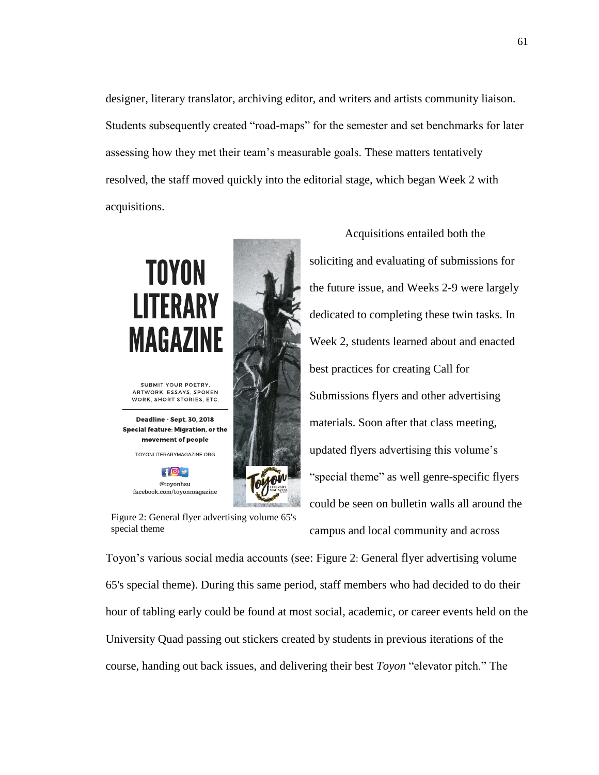designer, literary translator, archiving editor, and writers and artists community liaison. Students subsequently created "road-maps" for the semester and set benchmarks for later assessing how they met their team's measurable goals. These matters tentatively resolved, the staff moved quickly into the editorial stage, which began Week 2 with acquisitions.

# **TOYON LITERARY MAGAZINE**

SUBMIT YOUR POETRY, ARTWORK, ESSAYS, SPOKEN WORK, SHORT STORIES, ETC.

Deadline - Sept. 30, 2018 Special feature: Migration, or the movement of people

TOYONLITERARYMAGAZINE.ORG

 $+0$ @tovonhsu facebook.com/toyonmagazine



Acquisitions entailed both the soliciting and evaluating of submissions for the future issue, and Weeks 2-9 were largely dedicated to completing these twin tasks. In Week 2, students learned about and enacted best practices for creating Call for Submissions flyers and other advertising materials. Soon after that class meeting, updated flyers advertising this volume's "special theme" as well genre-specific flyers could be seen on bulletin walls all around the

<span id="page-67-0"></span>Figure 2: General flyer advertising volume 65's special theme

campus and local community and across

Toyon's various social media accounts (see: Figure 2: [General flyer advertising volume](#page-67-0)  [65's special theme\)](#page-67-0). During this same period, staff members who had decided to do their hour of tabling early could be found at most social, academic, or career events held on the University Quad passing out stickers created by students in previous iterations of the course, handing out back issues, and delivering their best *Toyon* "elevator pitch." The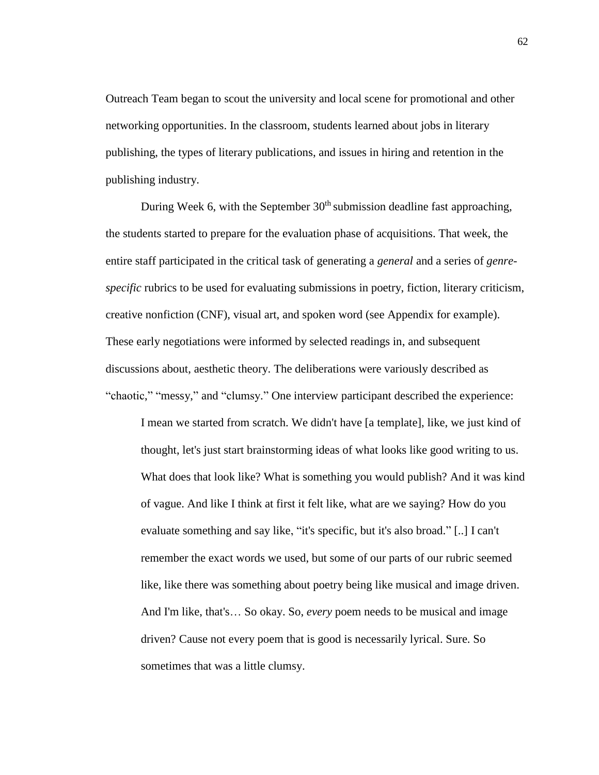Outreach Team began to scout the university and local scene for promotional and other networking opportunities. In the classroom, students learned about jobs in literary publishing, the types of literary publications, and issues in hiring and retention in the publishing industry.

During Week 6, with the September  $30<sup>th</sup>$  submission deadline fast approaching, the students started to prepare for the evaluation phase of acquisitions. That week, the entire staff participated in the critical task of generating a *general* and a series of *genrespecific* rubrics to be used for evaluating submissions in poetry, fiction, literary criticism, creative nonfiction (CNF), visual art, and spoken word (see Appendix for example). These early negotiations were informed by selected readings in, and subsequent discussions about, aesthetic theory. The deliberations were variously described as "chaotic," "messy," and "clumsy." One interview participant described the experience:

I mean we started from scratch. We didn't have [a template], like, we just kind of thought, let's just start brainstorming ideas of what looks like good writing to us. What does that look like? What is something you would publish? And it was kind of vague. And like I think at first it felt like, what are we saying? How do you evaluate something and say like, "it's specific, but it's also broad." [..] I can't remember the exact words we used, but some of our parts of our rubric seemed like, like there was something about poetry being like musical and image driven. And I'm like, that's… So okay. So, *every* poem needs to be musical and image driven? Cause not every poem that is good is necessarily lyrical. Sure. So sometimes that was a little clumsy.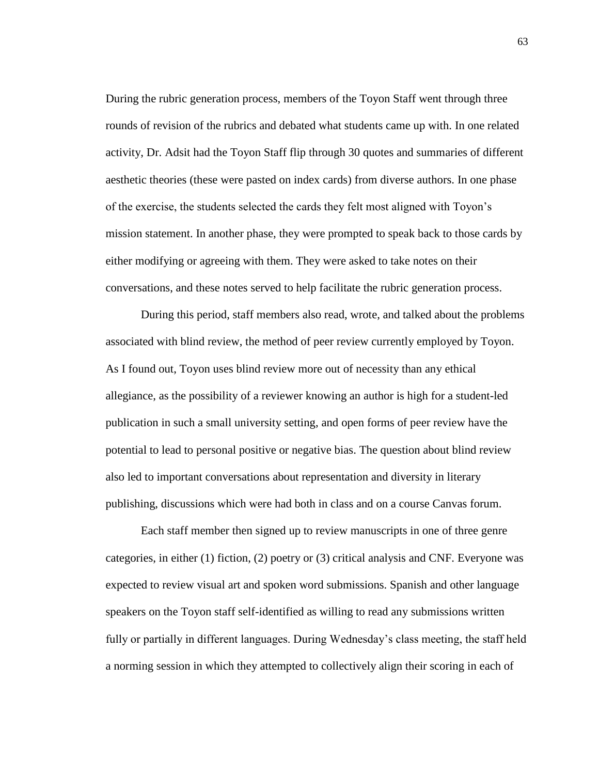During the rubric generation process, members of the Toyon Staff went through three rounds of revision of the rubrics and debated what students came up with. In one related activity, Dr. Adsit had the Toyon Staff flip through 30 quotes and summaries of different aesthetic theories (these were pasted on index cards) from diverse authors. In one phase of the exercise, the students selected the cards they felt most aligned with Toyon's mission statement. In another phase, they were prompted to speak back to those cards by either modifying or agreeing with them. They were asked to take notes on their conversations, and these notes served to help facilitate the rubric generation process.

During this period, staff members also read, wrote, and talked about the problems associated with blind review, the method of peer review currently employed by Toyon. As I found out, Toyon uses blind review more out of necessity than any ethical allegiance, as the possibility of a reviewer knowing an author is high for a student-led publication in such a small university setting, and open forms of peer review have the potential to lead to personal positive or negative bias. The question about blind review also led to important conversations about representation and diversity in literary publishing, discussions which were had both in class and on a course Canvas forum.

Each staff member then signed up to review manuscripts in one of three genre categories, in either (1) fiction, (2) poetry or (3) critical analysis and CNF. Everyone was expected to review visual art and spoken word submissions. Spanish and other language speakers on the Toyon staff self-identified as willing to read any submissions written fully or partially in different languages. During Wednesday's class meeting, the staff held a norming session in which they attempted to collectively align their scoring in each of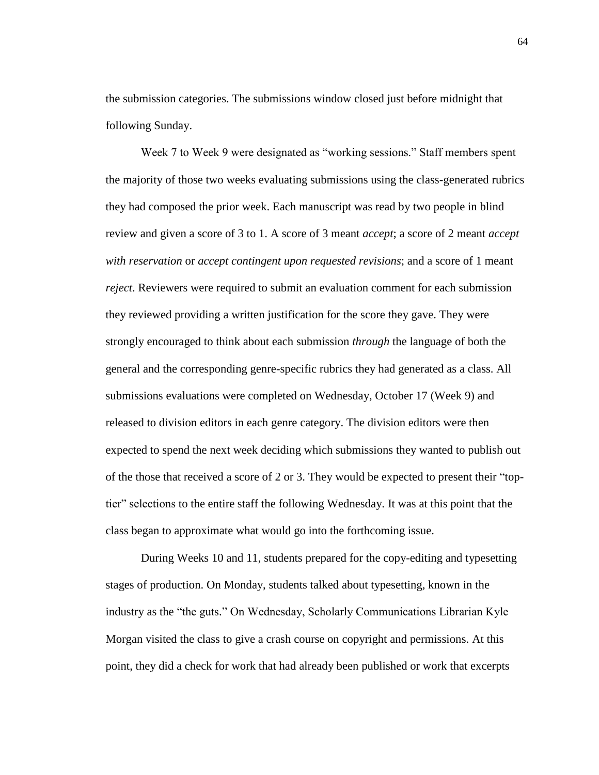the submission categories. The submissions window closed just before midnight that following Sunday.

Week 7 to Week 9 were designated as "working sessions." Staff members spent the majority of those two weeks evaluating submissions using the class-generated rubrics they had composed the prior week. Each manuscript was read by two people in blind review and given a score of 3 to 1. A score of 3 meant *accept*; a score of 2 meant *accept with reservation* or *accept contingent upon requested revisions*; and a score of 1 meant *reject*. Reviewers were required to submit an evaluation comment for each submission they reviewed providing a written justification for the score they gave. They were strongly encouraged to think about each submission *through* the language of both the general and the corresponding genre-specific rubrics they had generated as a class. All submissions evaluations were completed on Wednesday, October 17 (Week 9) and released to division editors in each genre category. The division editors were then expected to spend the next week deciding which submissions they wanted to publish out of the those that received a score of 2 or 3. They would be expected to present their "toptier" selections to the entire staff the following Wednesday. It was at this point that the class began to approximate what would go into the forthcoming issue.

During Weeks 10 and 11, students prepared for the copy-editing and typesetting stages of production. On Monday, students talked about typesetting, known in the industry as the "the guts." On Wednesday, Scholarly Communications Librarian Kyle Morgan visited the class to give a crash course on copyright and permissions. At this point, they did a check for work that had already been published or work that excerpts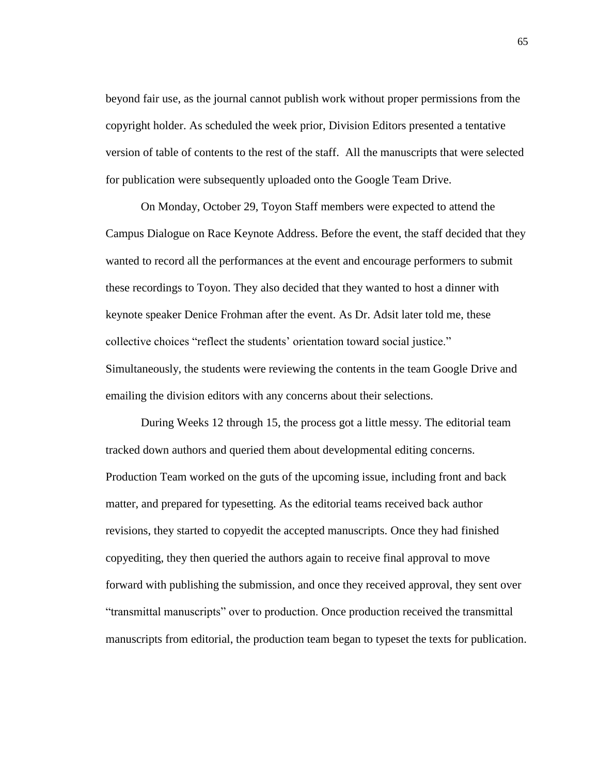beyond fair use, as the journal cannot publish work without proper permissions from the copyright holder. As scheduled the week prior, Division Editors presented a tentative version of table of contents to the rest of the staff. All the manuscripts that were selected for publication were subsequently uploaded onto the Google Team Drive.

On Monday, October 29, Toyon Staff members were expected to attend the Campus Dialogue on Race Keynote Address. Before the event, the staff decided that they wanted to record all the performances at the event and encourage performers to submit these recordings to Toyon. They also decided that they wanted to host a dinner with keynote speaker Denice Frohman after the event. As Dr. Adsit later told me, these collective choices "reflect the students' orientation toward social justice." Simultaneously, the students were reviewing the contents in the team Google Drive and emailing the division editors with any concerns about their selections.

During Weeks 12 through 15, the process got a little messy. The editorial team tracked down authors and queried them about developmental editing concerns. Production Team worked on the guts of the upcoming issue, including front and back matter, and prepared for typesetting. As the editorial teams received back author revisions, they started to copyedit the accepted manuscripts. Once they had finished copyediting, they then queried the authors again to receive final approval to move forward with publishing the submission, and once they received approval, they sent over "transmittal manuscripts" over to production. Once production received the transmittal manuscripts from editorial, the production team began to typeset the texts for publication.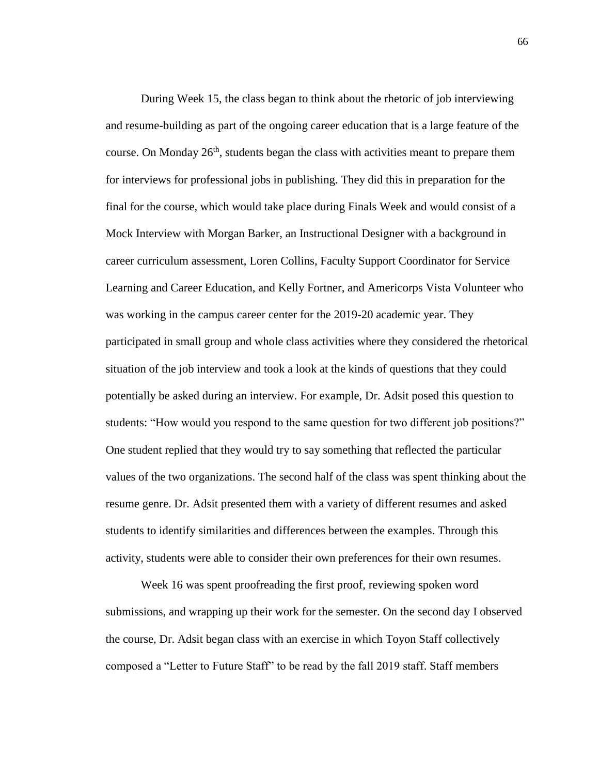During Week 15, the class began to think about the rhetoric of job interviewing and resume-building as part of the ongoing career education that is a large feature of the course. On Monday  $26<sup>th</sup>$ , students began the class with activities meant to prepare them for interviews for professional jobs in publishing. They did this in preparation for the final for the course, which would take place during Finals Week and would consist of a Mock Interview with Morgan Barker, an Instructional Designer with a background in career curriculum assessment, Loren Collins, Faculty Support Coordinator for Service Learning and Career Education, and Kelly Fortner, and Americorps Vista Volunteer who was working in the campus career center for the 2019-20 academic year. They participated in small group and whole class activities where they considered the rhetorical situation of the job interview and took a look at the kinds of questions that they could potentially be asked during an interview. For example, Dr. Adsit posed this question to students: "How would you respond to the same question for two different job positions?" One student replied that they would try to say something that reflected the particular values of the two organizations. The second half of the class was spent thinking about the resume genre. Dr. Adsit presented them with a variety of different resumes and asked students to identify similarities and differences between the examples. Through this activity, students were able to consider their own preferences for their own resumes.

Week 16 was spent proofreading the first proof, reviewing spoken word submissions, and wrapping up their work for the semester. On the second day I observed the course, Dr. Adsit began class with an exercise in which Toyon Staff collectively composed a "Letter to Future Staff" to be read by the fall 2019 staff. Staff members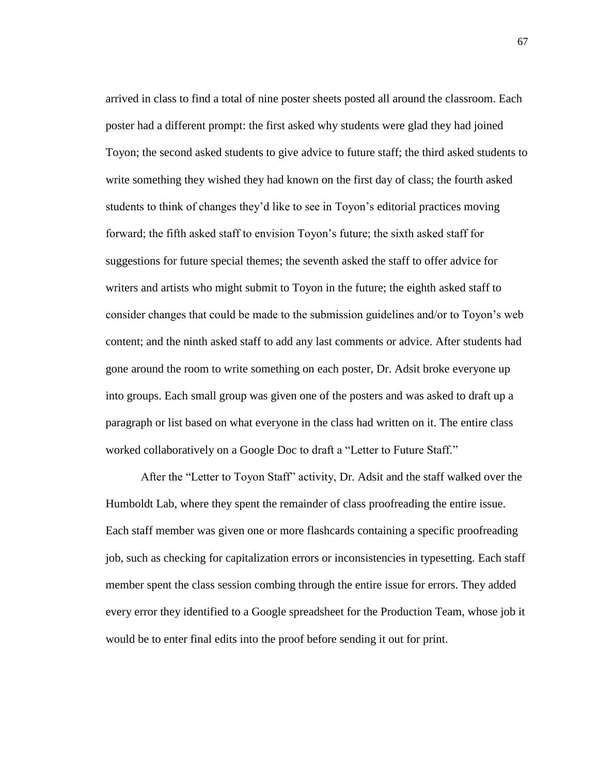arrived in class to find a total of nine poster sheets posted all around the classroom. Each poster had a different prompt: the first asked why students were glad they had joined Toyon; the second asked students to give advice to future staff; the third asked students to write something they wished they had known on the first day of class; the fourth asked students to think of changes they'd like to see in Toyon's editorial practices moving forward; the fifth asked staff to envision Toyon's future; the sixth asked staff for suggestions for future special themes; the seventh asked the staff to offer advice for writers and artists who might submit to Toyon in the future; the eighth asked staff to consider changes that could be made to the submission guidelines and/or to Toyon's web content; and the ninth asked staff to add any last comments or advice. After students had gone around the room to write something on each poster, Dr. Adsit broke everyone up into groups. Each small group was given one of the posters and was asked to draft up a paragraph or list based on what everyone in the class had written on it. The entire class worked collaboratively on a Google Doc to draft a "Letter to Future Staff."

After the "Letter to Toyon Staff" activity, Dr. Adsit and the staff walked over the Humboldt Lab, where they spent the remainder of class proofreading the entire issue. Each staff member was given one or more flashcards containing a specific proofreading job, such as checking for capitalization errors or inconsistencies in typesetting. Each staff member spent the class session combing through the entire issue for errors. They added every error they identified to a Google spreadsheet for the Production Team, whose job it would be to enter final edits into the proof before sending it out for print.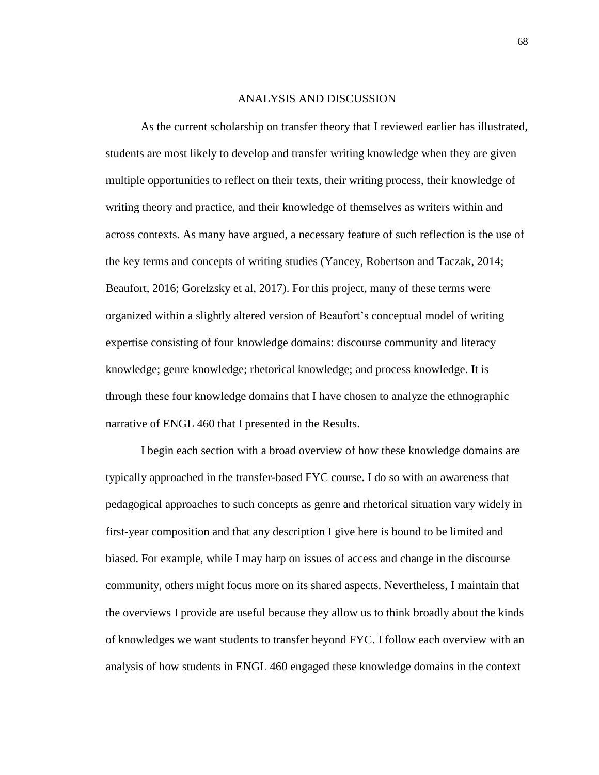## ANALYSIS AND DISCUSSION

As the current scholarship on transfer theory that I reviewed earlier has illustrated, students are most likely to develop and transfer writing knowledge when they are given multiple opportunities to reflect on their texts, their writing process, their knowledge of writing theory and practice, and their knowledge of themselves as writers within and across contexts. As many have argued, a necessary feature of such reflection is the use of the key terms and concepts of writing studies (Yancey, Robertson and Taczak, 2014; Beaufort, 2016; Gorelzsky et al, 2017). For this project, many of these terms were organized within a slightly altered version of Beaufort's conceptual model of writing expertise consisting of four knowledge domains: discourse community and literacy knowledge; genre knowledge; rhetorical knowledge; and process knowledge. It is through these four knowledge domains that I have chosen to analyze the ethnographic narrative of ENGL 460 that I presented in the Results.

I begin each section with a broad overview of how these knowledge domains are typically approached in the transfer-based FYC course. I do so with an awareness that pedagogical approaches to such concepts as genre and rhetorical situation vary widely in first-year composition and that any description I give here is bound to be limited and biased. For example, while I may harp on issues of access and change in the discourse community, others might focus more on its shared aspects. Nevertheless, I maintain that the overviews I provide are useful because they allow us to think broadly about the kinds of knowledges we want students to transfer beyond FYC. I follow each overview with an analysis of how students in ENGL 460 engaged these knowledge domains in the context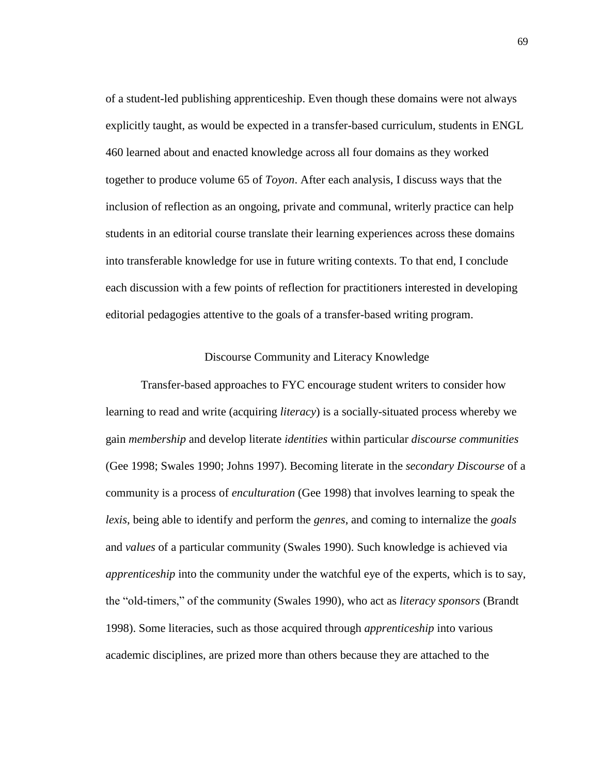of a student-led publishing apprenticeship. Even though these domains were not always explicitly taught, as would be expected in a transfer-based curriculum, students in ENGL 460 learned about and enacted knowledge across all four domains as they worked together to produce volume 65 of *Toyon*. After each analysis, I discuss ways that the inclusion of reflection as an ongoing, private and communal, writerly practice can help students in an editorial course translate their learning experiences across these domains into transferable knowledge for use in future writing contexts. To that end, I conclude each discussion with a few points of reflection for practitioners interested in developing editorial pedagogies attentive to the goals of a transfer-based writing program.

## Discourse Community and Literacy Knowledge

Transfer-based approaches to FYC encourage student writers to consider how learning to read and write (acquiring *literacy*) is a socially-situated process whereby we gain *membership* and develop literate *identities* within particular *discourse communities*  (Gee 1998; Swales 1990; Johns 1997). Becoming literate in the *secondary Discourse* of a community is a process of *enculturation* (Gee 1998) that involves learning to speak the *lexis*, being able to identify and perform the *genres*, and coming to internalize the *goals* and *values* of a particular community (Swales 1990). Such knowledge is achieved via *apprenticeship* into the community under the watchful eye of the experts, which is to say, the "old-timers," of the community (Swales 1990), who act as *literacy sponsors* (Brandt 1998). Some literacies, such as those acquired through *apprenticeship* into various academic disciplines, are prized more than others because they are attached to the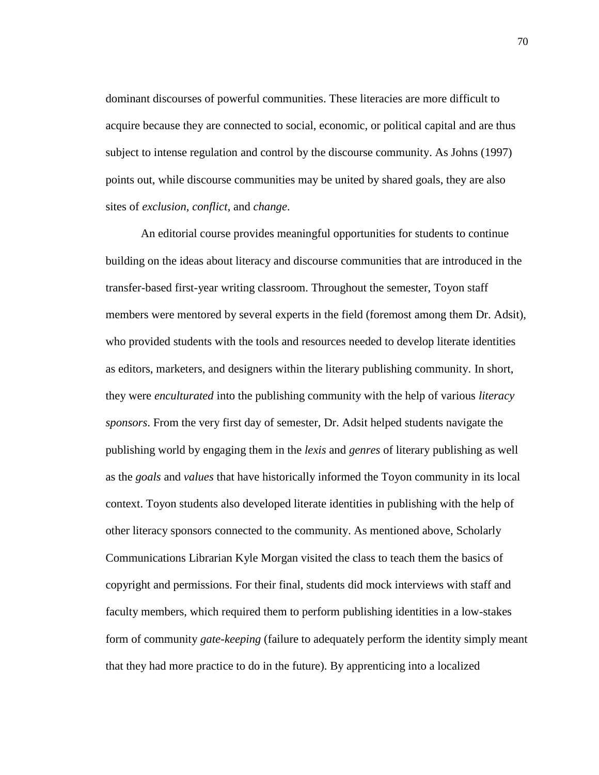dominant discourses of powerful communities. These literacies are more difficult to acquire because they are connected to social, economic, or political capital and are thus subject to intense regulation and control by the discourse community. As Johns (1997) points out, while discourse communities may be united by shared goals, they are also sites of *exclusion*, *conflict*, and *change*.

An editorial course provides meaningful opportunities for students to continue building on the ideas about literacy and discourse communities that are introduced in the transfer-based first-year writing classroom. Throughout the semester, Toyon staff members were mentored by several experts in the field (foremost among them Dr. Adsit), who provided students with the tools and resources needed to develop literate identities as editors, marketers, and designers within the literary publishing community. In short, they were *enculturated* into the publishing community with the help of various *literacy sponsors*. From the very first day of semester, Dr. Adsit helped students navigate the publishing world by engaging them in the *lexis* and *genres* of literary publishing as well as the *goals* and *values* that have historically informed the Toyon community in its local context. Toyon students also developed literate identities in publishing with the help of other literacy sponsors connected to the community. As mentioned above, Scholarly Communications Librarian Kyle Morgan visited the class to teach them the basics of copyright and permissions. For their final, students did mock interviews with staff and faculty members, which required them to perform publishing identities in a low-stakes form of community *gate-keeping* (failure to adequately perform the identity simply meant that they had more practice to do in the future). By apprenticing into a localized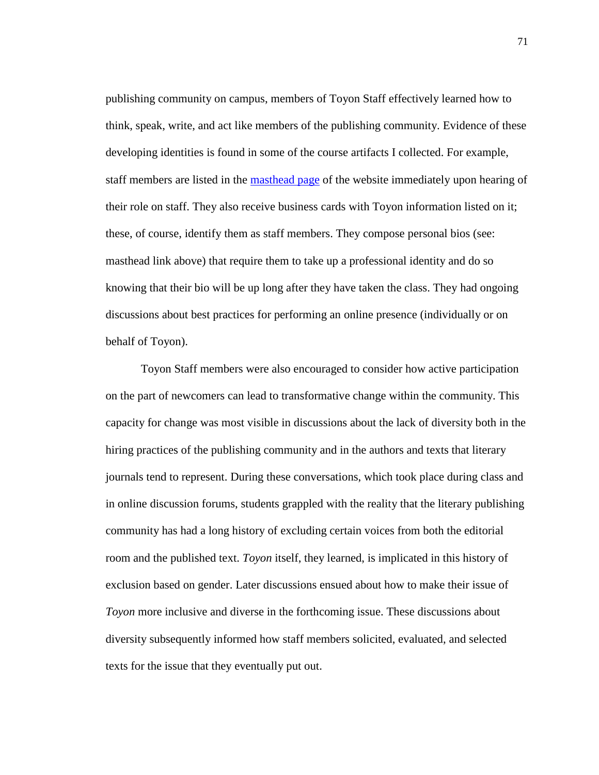publishing community on campus, members of Toyon Staff effectively learned how to think, speak, write, and act like members of the publishing community. Evidence of these developing identities is found in some of the course artifacts I collected. For example, staff members are listed in the [masthead page](https://www.toyonliterarymagazine.org/masthead.html) of the website immediately upon hearing of their role on staff. They also receive business cards with Toyon information listed on it; these, of course, identify them as staff members. They compose personal bios (see: masthead link above) that require them to take up a professional identity and do so knowing that their bio will be up long after they have taken the class. They had ongoing discussions about best practices for performing an online presence (individually or on behalf of Toyon).

Toyon Staff members were also encouraged to consider how active participation on the part of newcomers can lead to transformative change within the community. This capacity for change was most visible in discussions about the lack of diversity both in the hiring practices of the publishing community and in the authors and texts that literary journals tend to represent. During these conversations, which took place during class and in online discussion forums, students grappled with the reality that the literary publishing community has had a long history of excluding certain voices from both the editorial room and the published text. *Toyon* itself, they learned, is implicated in this history of exclusion based on gender. Later discussions ensued about how to make their issue of *Toyon* more inclusive and diverse in the forthcoming issue. These discussions about diversity subsequently informed how staff members solicited, evaluated, and selected texts for the issue that they eventually put out.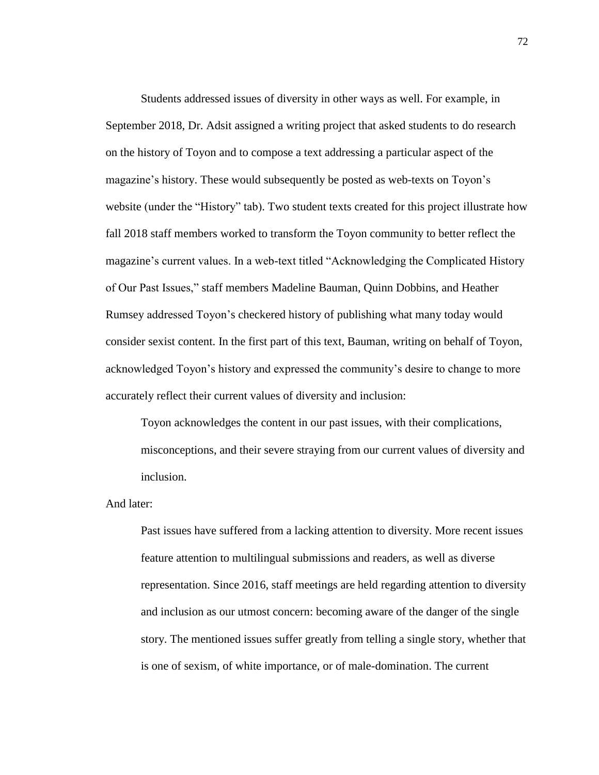Students addressed issues of diversity in other ways as well. For example, in September 2018, Dr. Adsit assigned a writing project that asked students to do research on the history of Toyon and to compose a text addressing a particular aspect of the magazine's history. These would subsequently be posted as web-texts on Toyon's website (under the "History" tab). Two student texts created for this project illustrate how fall 2018 staff members worked to transform the Toyon community to better reflect the magazine's current values. In a web-text titled "Acknowledging the Complicated History of Our Past Issues," staff members Madeline Bauman, Quinn Dobbins, and Heather Rumsey addressed Toyon's checkered history of publishing what many today would consider sexist content. In the first part of this text, Bauman, writing on behalf of Toyon, acknowledged Toyon's history and expressed the community's desire to change to more accurately reflect their current values of diversity and inclusion:

Toyon acknowledges the content in our past issues, with their complications, misconceptions, and their severe straying from our current values of diversity and inclusion.

And later:

Past issues have suffered from a lacking attention to diversity. More recent issues feature attention to multilingual submissions and readers, as well as diverse representation. Since 2016, staff meetings are held regarding attention to diversity and inclusion as our utmost concern: becoming aware of the danger of the single story. The mentioned issues suffer greatly from telling a single story, whether that is one of sexism, of white importance, or of male-domination. The current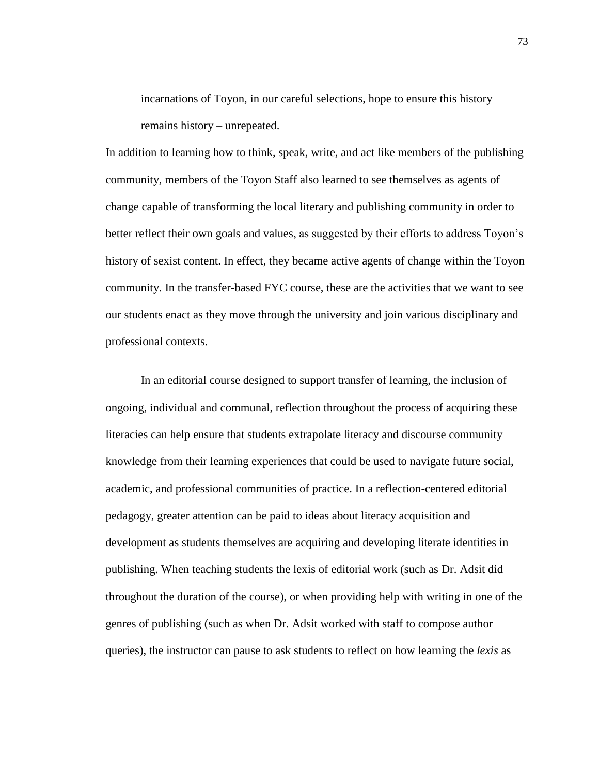incarnations of Toyon, in our careful selections, hope to ensure this history remains history – unrepeated.

In addition to learning how to think, speak, write, and act like members of the publishing community, members of the Toyon Staff also learned to see themselves as agents of change capable of transforming the local literary and publishing community in order to better reflect their own goals and values, as suggested by their efforts to address Toyon's history of sexist content. In effect, they became active agents of change within the Toyon community. In the transfer-based FYC course, these are the activities that we want to see our students enact as they move through the university and join various disciplinary and professional contexts.

In an editorial course designed to support transfer of learning, the inclusion of ongoing, individual and communal, reflection throughout the process of acquiring these literacies can help ensure that students extrapolate literacy and discourse community knowledge from their learning experiences that could be used to navigate future social, academic, and professional communities of practice. In a reflection-centered editorial pedagogy, greater attention can be paid to ideas about literacy acquisition and development as students themselves are acquiring and developing literate identities in publishing. When teaching students the lexis of editorial work (such as Dr. Adsit did throughout the duration of the course), or when providing help with writing in one of the genres of publishing (such as when Dr. Adsit worked with staff to compose author queries), the instructor can pause to ask students to reflect on how learning the *lexis* as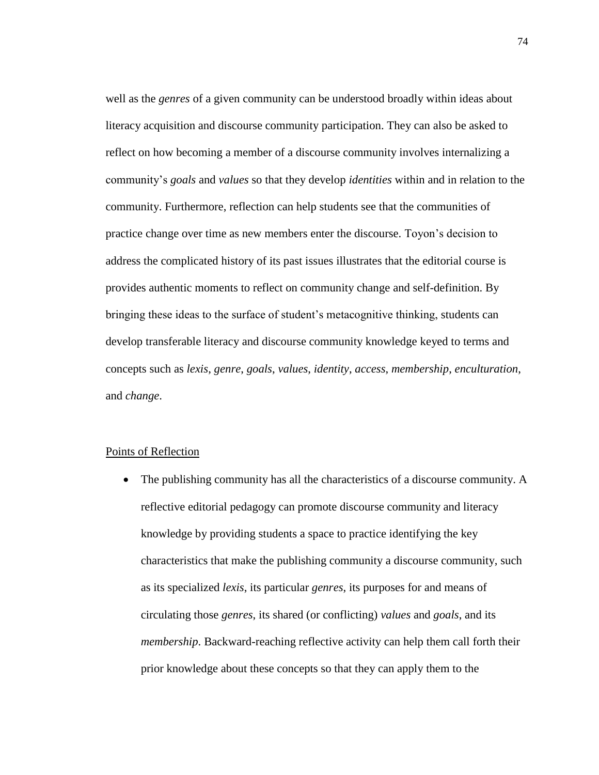well as the *genres* of a given community can be understood broadly within ideas about literacy acquisition and discourse community participation. They can also be asked to reflect on how becoming a member of a discourse community involves internalizing a community's *goals* and *values* so that they develop *identities* within and in relation to the community. Furthermore, reflection can help students see that the communities of practice change over time as new members enter the discourse. Toyon's decision to address the complicated history of its past issues illustrates that the editorial course is provides authentic moments to reflect on community change and self-definition. By bringing these ideas to the surface of student's metacognitive thinking, students can develop transferable literacy and discourse community knowledge keyed to terms and concepts such as *lexis*, *genre*, *goals*, *values*, *identity*, *access*, *membership*, *enculturation*, and *change*.

# Points of Reflection

• The publishing community has all the characteristics of a discourse community. A reflective editorial pedagogy can promote discourse community and literacy knowledge by providing students a space to practice identifying the key characteristics that make the publishing community a discourse community, such as its specialized *lexis*, its particular *genres*, its purposes for and means of circulating those *genres*, its shared (or conflicting) *values* and *goals*, and its *membership*. Backward-reaching reflective activity can help them call forth their prior knowledge about these concepts so that they can apply them to the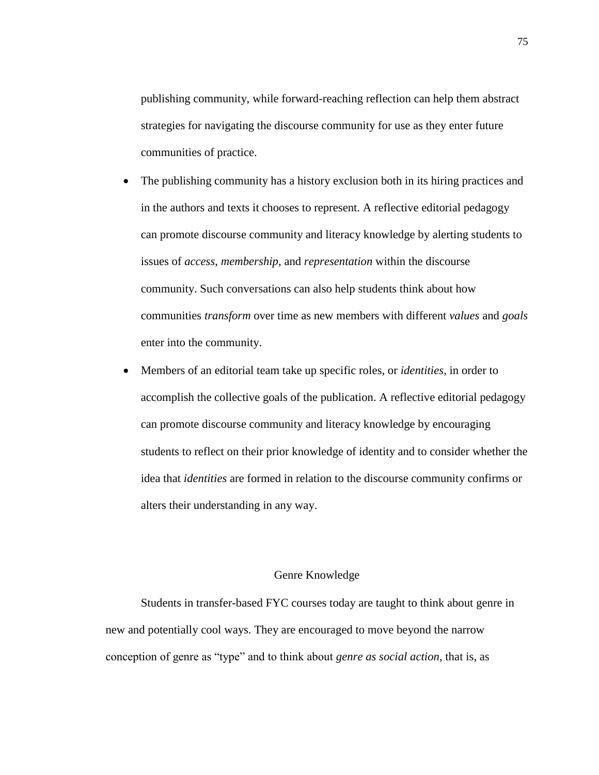publishing community, while forward-reaching reflection can help them abstract strategies for navigating the discourse community for use as they enter future communities of practice.

- The publishing community has a history exclusion both in its hiring practices and in the authors and texts it chooses to represent. A reflective editorial pedagogy can promote discourse community and literacy knowledge by alerting students to issues of *access*, *membership*, and *representation* within the discourse community. Such conversations can also help students think about how communities *transform* over time as new members with different *values* and *goals* enter into the community.
- Members of an editorial team take up specific roles, or *identities*, in order to accomplish the collective goals of the publication. A reflective editorial pedagogy can promote discourse community and literacy knowledge by encouraging students to reflect on their prior knowledge of identity and to consider whether the idea that *identities* are formed in relation to the discourse community confirms or alters their understanding in any way.

# Genre Knowledge

Students in transfer-based FYC courses today are taught to think about genre in new and potentially cool ways. They are encouraged to move beyond the narrow conception of genre as "type" and to think about *genre as social action*, that is, as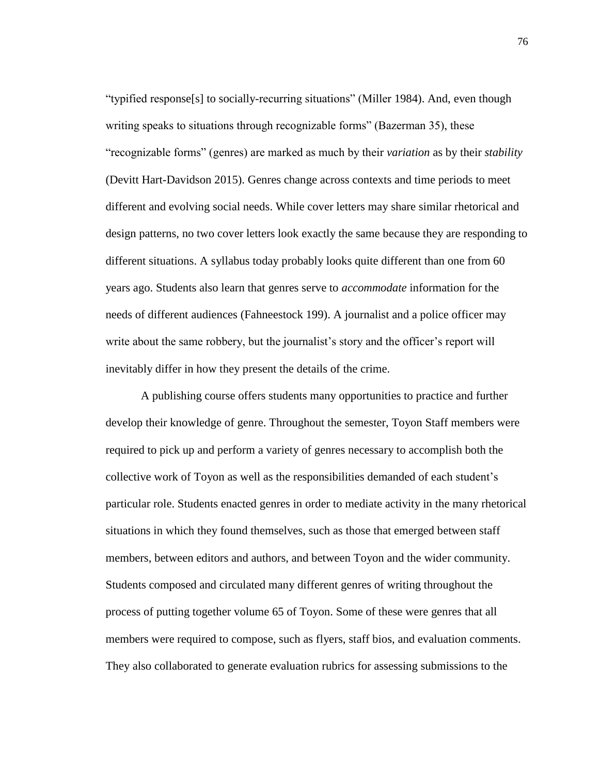"typified response[s] to socially-recurring situations" (Miller 1984). And, even though writing speaks to situations through recognizable forms" (Bazerman 35), these "recognizable forms" (genres) are marked as much by their *variation* as by their *stability*  (Devitt Hart-Davidson 2015). Genres change across contexts and time periods to meet different and evolving social needs. While cover letters may share similar rhetorical and design patterns, no two cover letters look exactly the same because they are responding to different situations. A syllabus today probably looks quite different than one from 60 years ago. Students also learn that genres serve to *accommodate* information for the needs of different audiences (Fahneestock 199). A journalist and a police officer may write about the same robbery, but the journalist's story and the officer's report will inevitably differ in how they present the details of the crime.

A publishing course offers students many opportunities to practice and further develop their knowledge of genre. Throughout the semester, Toyon Staff members were required to pick up and perform a variety of genres necessary to accomplish both the collective work of Toyon as well as the responsibilities demanded of each student's particular role. Students enacted genres in order to mediate activity in the many rhetorical situations in which they found themselves, such as those that emerged between staff members, between editors and authors, and between Toyon and the wider community. Students composed and circulated many different genres of writing throughout the process of putting together volume 65 of Toyon. Some of these were genres that all members were required to compose, such as flyers, staff bios, and evaluation comments. They also collaborated to generate evaluation rubrics for assessing submissions to the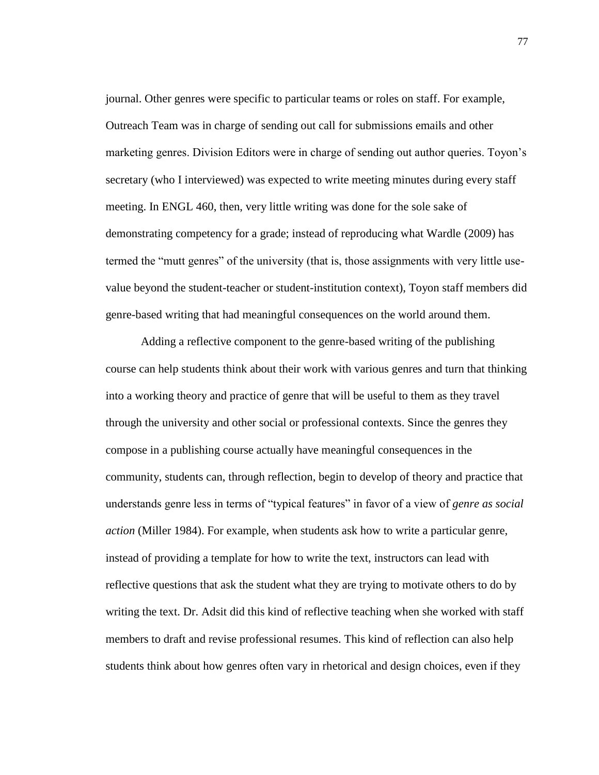journal. Other genres were specific to particular teams or roles on staff. For example, Outreach Team was in charge of sending out call for submissions emails and other marketing genres. Division Editors were in charge of sending out author queries. Toyon's secretary (who I interviewed) was expected to write meeting minutes during every staff meeting. In ENGL 460, then, very little writing was done for the sole sake of demonstrating competency for a grade; instead of reproducing what Wardle (2009) has termed the "mutt genres" of the university (that is, those assignments with very little usevalue beyond the student-teacher or student-institution context), Toyon staff members did genre-based writing that had meaningful consequences on the world around them.

Adding a reflective component to the genre-based writing of the publishing course can help students think about their work with various genres and turn that thinking into a working theory and practice of genre that will be useful to them as they travel through the university and other social or professional contexts. Since the genres they compose in a publishing course actually have meaningful consequences in the community, students can, through reflection, begin to develop of theory and practice that understands genre less in terms of "typical features" in favor of a view of *genre as social action* (Miller 1984). For example, when students ask how to write a particular genre, instead of providing a template for how to write the text, instructors can lead with reflective questions that ask the student what they are trying to motivate others to do by writing the text. Dr. Adsit did this kind of reflective teaching when she worked with staff members to draft and revise professional resumes. This kind of reflection can also help students think about how genres often vary in rhetorical and design choices, even if they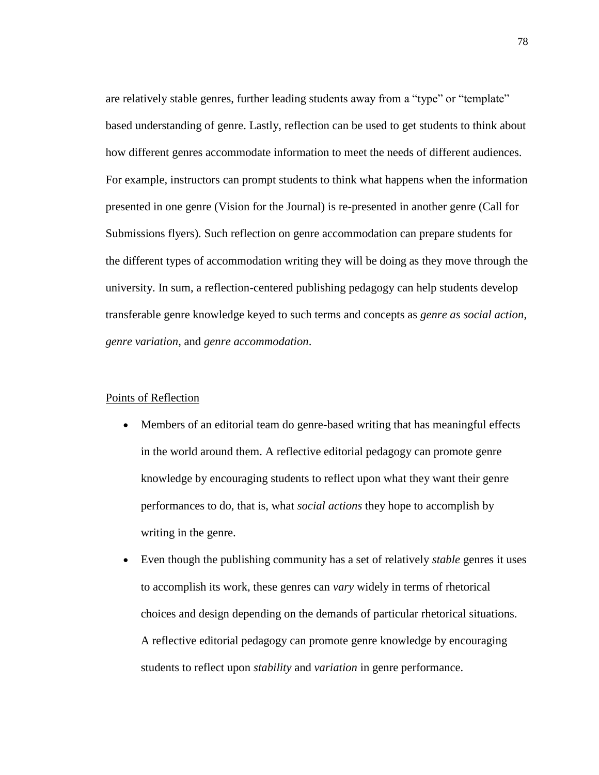are relatively stable genres, further leading students away from a "type" or "template" based understanding of genre. Lastly, reflection can be used to get students to think about how different genres accommodate information to meet the needs of different audiences. For example, instructors can prompt students to think what happens when the information presented in one genre (Vision for the Journal) is re-presented in another genre (Call for Submissions flyers). Such reflection on genre accommodation can prepare students for the different types of accommodation writing they will be doing as they move through the university. In sum, a reflection-centered publishing pedagogy can help students develop transferable genre knowledge keyed to such terms and concepts as *genre as social action*, *genre variation*, and *genre accommodation*.

# Points of Reflection

- Members of an editorial team do genre-based writing that has meaningful effects in the world around them. A reflective editorial pedagogy can promote genre knowledge by encouraging students to reflect upon what they want their genre performances to do, that is, what *social actions* they hope to accomplish by writing in the genre.
- Even though the publishing community has a set of relatively *stable* genres it uses to accomplish its work, these genres can *vary* widely in terms of rhetorical choices and design depending on the demands of particular rhetorical situations. A reflective editorial pedagogy can promote genre knowledge by encouraging students to reflect upon *stability* and *variation* in genre performance.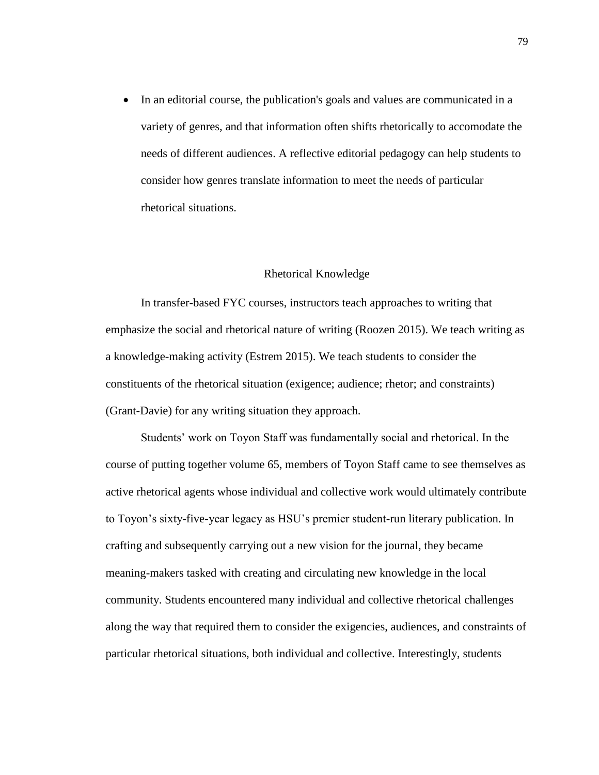• In an editorial course, the publication's goals and values are communicated in a variety of genres, and that information often shifts rhetorically to accomodate the needs of different audiences. A reflective editorial pedagogy can help students to consider how genres translate information to meet the needs of particular rhetorical situations.

## Rhetorical Knowledge

In transfer-based FYC courses, instructors teach approaches to writing that emphasize the social and rhetorical nature of writing (Roozen 2015). We teach writing as a knowledge-making activity (Estrem 2015). We teach students to consider the constituents of the rhetorical situation (exigence; audience; rhetor; and constraints) (Grant-Davie) for any writing situation they approach.

Students' work on Toyon Staff was fundamentally social and rhetorical. In the course of putting together volume 65, members of Toyon Staff came to see themselves as active rhetorical agents whose individual and collective work would ultimately contribute to Toyon's sixty-five-year legacy as HSU's premier student-run literary publication. In crafting and subsequently carrying out a new vision for the journal, they became meaning-makers tasked with creating and circulating new knowledge in the local community. Students encountered many individual and collective rhetorical challenges along the way that required them to consider the exigencies, audiences, and constraints of particular rhetorical situations, both individual and collective. Interestingly, students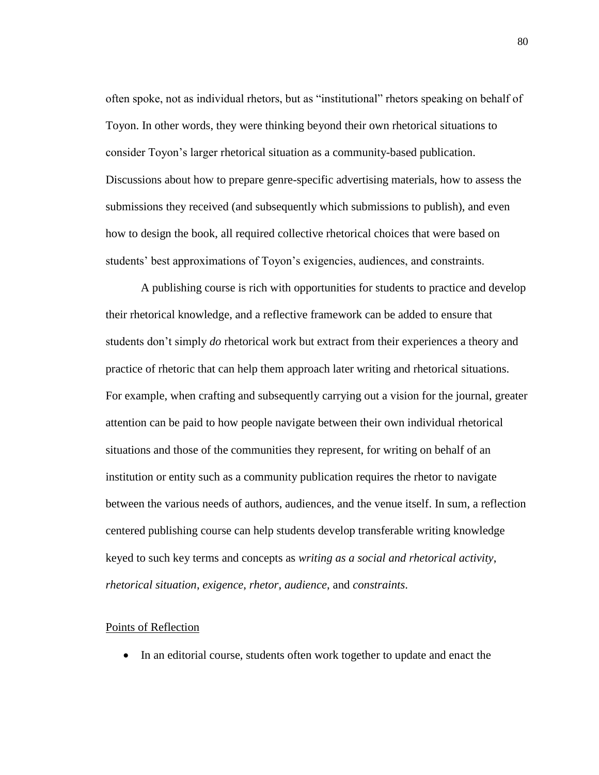often spoke, not as individual rhetors, but as "institutional" rhetors speaking on behalf of Toyon. In other words, they were thinking beyond their own rhetorical situations to consider Toyon's larger rhetorical situation as a community-based publication. Discussions about how to prepare genre-specific advertising materials, how to assess the submissions they received (and subsequently which submissions to publish), and even how to design the book, all required collective rhetorical choices that were based on students' best approximations of Toyon's exigencies, audiences, and constraints.

A publishing course is rich with opportunities for students to practice and develop their rhetorical knowledge, and a reflective framework can be added to ensure that students don't simply *do* rhetorical work but extract from their experiences a theory and practice of rhetoric that can help them approach later writing and rhetorical situations. For example, when crafting and subsequently carrying out a vision for the journal, greater attention can be paid to how people navigate between their own individual rhetorical situations and those of the communities they represent, for writing on behalf of an institution or entity such as a community publication requires the rhetor to navigate between the various needs of authors, audiences, and the venue itself. In sum, a reflection centered publishing course can help students develop transferable writing knowledge keyed to such key terms and concepts as *writing as a social and rhetorical activity*, *rhetorical situation*, *exigence*, *rhetor*, *audience*, and *constraints*.

#### Points of Reflection

• In an editorial course, students often work together to update and enact the

80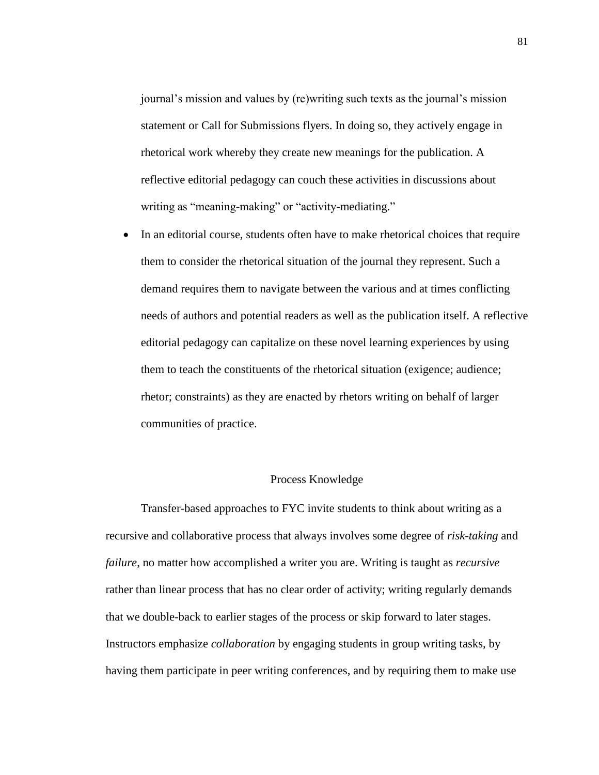journal's mission and values by (re)writing such texts as the journal's mission statement or Call for Submissions flyers. In doing so, they actively engage in rhetorical work whereby they create new meanings for the publication. A reflective editorial pedagogy can couch these activities in discussions about writing as "meaning-making" or "activity-mediating."

• In an editorial course, students often have to make rhetorical choices that require them to consider the rhetorical situation of the journal they represent. Such a demand requires them to navigate between the various and at times conflicting needs of authors and potential readers as well as the publication itself. A reflective editorial pedagogy can capitalize on these novel learning experiences by using them to teach the constituents of the rhetorical situation (exigence; audience; rhetor; constraints) as they are enacted by rhetors writing on behalf of larger communities of practice.

## Process Knowledge

Transfer-based approaches to FYC invite students to think about writing as a recursive and collaborative process that always involves some degree of *risk-taking* and *failure*, no matter how accomplished a writer you are. Writing is taught as *recursive* rather than linear process that has no clear order of activity; writing regularly demands that we double-back to earlier stages of the process or skip forward to later stages. Instructors emphasize *collaboration* by engaging students in group writing tasks, by having them participate in peer writing conferences, and by requiring them to make use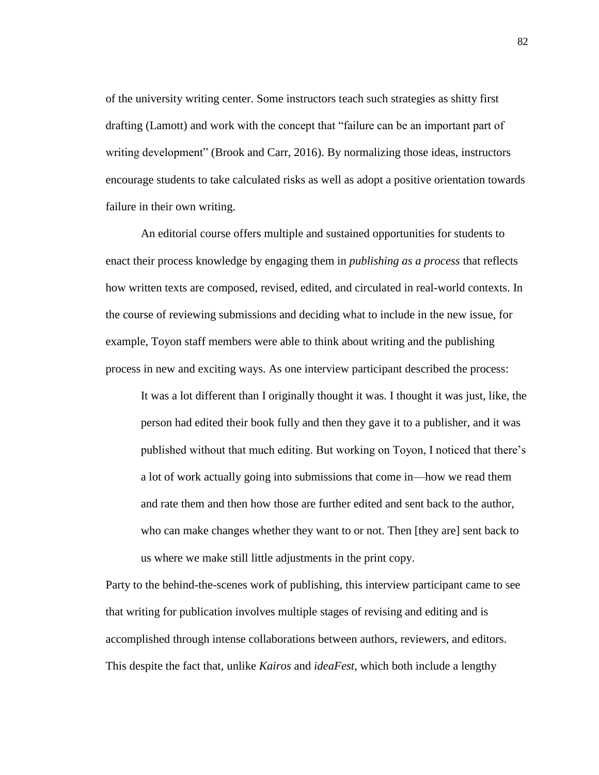of the university writing center. Some instructors teach such strategies as shitty first drafting (Lamott) and work with the concept that "failure can be an important part of writing development" (Brook and Carr, 2016). By normalizing those ideas, instructors encourage students to take calculated risks as well as adopt a positive orientation towards failure in their own writing.

An editorial course offers multiple and sustained opportunities for students to enact their process knowledge by engaging them in *publishing as a process* that reflects how written texts are composed, revised, edited, and circulated in real-world contexts. In the course of reviewing submissions and deciding what to include in the new issue, for example, Toyon staff members were able to think about writing and the publishing process in new and exciting ways. As one interview participant described the process:

It was a lot different than I originally thought it was. I thought it was just, like, the person had edited their book fully and then they gave it to a publisher, and it was published without that much editing. But working on Toyon, I noticed that there's a lot of work actually going into submissions that come in—how we read them and rate them and then how those are further edited and sent back to the author, who can make changes whether they want to or not. Then [they are] sent back to us where we make still little adjustments in the print copy.

Party to the behind-the-scenes work of publishing, this interview participant came to see that writing for publication involves multiple stages of revising and editing and is accomplished through intense collaborations between authors, reviewers, and editors. This despite the fact that, unlike *Kairos* and *ideaFest*, which both include a lengthy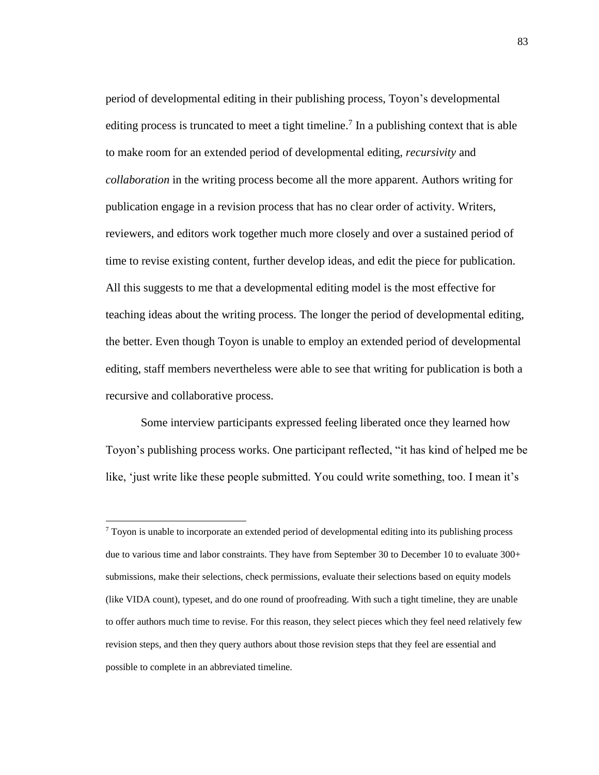period of developmental editing in their publishing process, Toyon's developmental editing process is truncated to meet a tight timeline.<sup>7</sup> In a publishing context that is able to make room for an extended period of developmental editing, *recursivity* and *collaboration* in the writing process become all the more apparent. Authors writing for publication engage in a revision process that has no clear order of activity. Writers, reviewers, and editors work together much more closely and over a sustained period of time to revise existing content, further develop ideas, and edit the piece for publication. All this suggests to me that a developmental editing model is the most effective for teaching ideas about the writing process. The longer the period of developmental editing, the better. Even though Toyon is unable to employ an extended period of developmental editing, staff members nevertheless were able to see that writing for publication is both a recursive and collaborative process.

Some interview participants expressed feeling liberated once they learned how Toyon's publishing process works. One participant reflected, "it has kind of helped me be like, 'just write like these people submitted. You could write something, too. I mean it's

l

<sup>7</sup> Toyon is unable to incorporate an extended period of developmental editing into its publishing process due to various time and labor constraints. They have from September 30 to December 10 to evaluate 300+ submissions, make their selections, check permissions, evaluate their selections based on equity models (like VIDA count), typeset, and do one round of proofreading. With such a tight timeline, they are unable to offer authors much time to revise. For this reason, they select pieces which they feel need relatively few revision steps, and then they query authors about those revision steps that they feel are essential and possible to complete in an abbreviated timeline.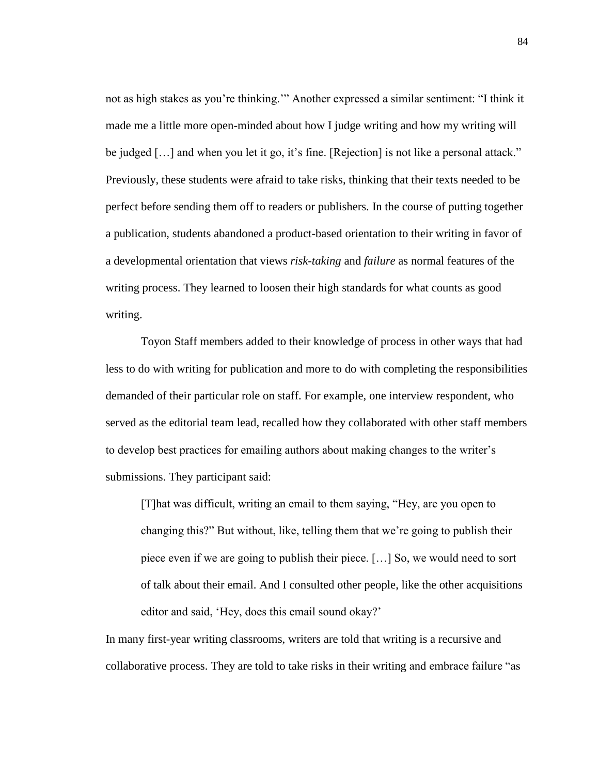not as high stakes as you're thinking.'" Another expressed a similar sentiment: "I think it made me a little more open-minded about how I judge writing and how my writing will be judged [...] and when you let it go, it's fine. [Rejection] is not like a personal attack." Previously, these students were afraid to take risks, thinking that their texts needed to be perfect before sending them off to readers or publishers. In the course of putting together a publication, students abandoned a product-based orientation to their writing in favor of a developmental orientation that views *risk-taking* and *failure* as normal features of the writing process. They learned to loosen their high standards for what counts as good writing.

Toyon Staff members added to their knowledge of process in other ways that had less to do with writing for publication and more to do with completing the responsibilities demanded of their particular role on staff. For example, one interview respondent, who served as the editorial team lead, recalled how they collaborated with other staff members to develop best practices for emailing authors about making changes to the writer's submissions. They participant said:

[T]hat was difficult, writing an email to them saying, "Hey, are you open to changing this?" But without, like, telling them that we're going to publish their piece even if we are going to publish their piece. […] So, we would need to sort of talk about their email. And I consulted other people, like the other acquisitions editor and said, 'Hey, does this email sound okay?'

In many first-year writing classrooms, writers are told that writing is a recursive and collaborative process. They are told to take risks in their writing and embrace failure "as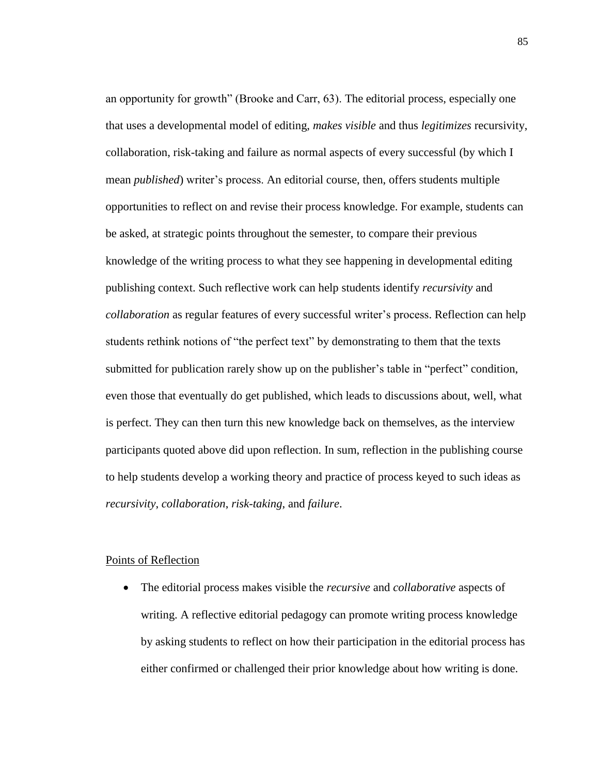an opportunity for growth" (Brooke and Carr, 63). The editorial process, especially one that uses a developmental model of editing, *makes visible* and thus *legitimizes* recursivity, collaboration, risk-taking and failure as normal aspects of every successful (by which I mean *published*) writer's process. An editorial course, then, offers students multiple opportunities to reflect on and revise their process knowledge. For example, students can be asked, at strategic points throughout the semester, to compare their previous knowledge of the writing process to what they see happening in developmental editing publishing context. Such reflective work can help students identify *recursivity* and *collaboration* as regular features of every successful writer's process. Reflection can help students rethink notions of "the perfect text" by demonstrating to them that the texts submitted for publication rarely show up on the publisher's table in "perfect" condition, even those that eventually do get published, which leads to discussions about, well, what is perfect. They can then turn this new knowledge back on themselves, as the interview participants quoted above did upon reflection. In sum, reflection in the publishing course to help students develop a working theory and practice of process keyed to such ideas as *recursivity*, *collaboration*, *risk-taking*, and *failure*.

## Points of Reflection

• The editorial process makes visible the *recursive* and *collaborative* aspects of writing. A reflective editorial pedagogy can promote writing process knowledge by asking students to reflect on how their participation in the editorial process has either confirmed or challenged their prior knowledge about how writing is done.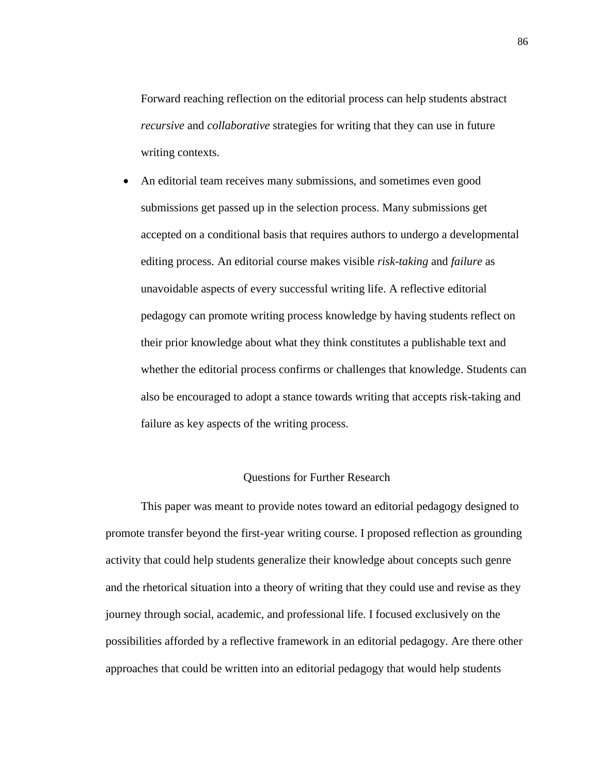Forward reaching reflection on the editorial process can help students abstract *recursive* and *collaborative* strategies for writing that they can use in future writing contexts.

• An editorial team receives many submissions, and sometimes even good submissions get passed up in the selection process. Many submissions get accepted on a conditional basis that requires authors to undergo a developmental editing process. An editorial course makes visible *risk-taking* and *failure* as unavoidable aspects of every successful writing life. A reflective editorial pedagogy can promote writing process knowledge by having students reflect on their prior knowledge about what they think constitutes a publishable text and whether the editorial process confirms or challenges that knowledge. Students can also be encouraged to adopt a stance towards writing that accepts risk-taking and failure as key aspects of the writing process.

### Questions for Further Research

This paper was meant to provide notes toward an editorial pedagogy designed to promote transfer beyond the first-year writing course. I proposed reflection as grounding activity that could help students generalize their knowledge about concepts such genre and the rhetorical situation into a theory of writing that they could use and revise as they journey through social, academic, and professional life. I focused exclusively on the possibilities afforded by a reflective framework in an editorial pedagogy. Are there other approaches that could be written into an editorial pedagogy that would help students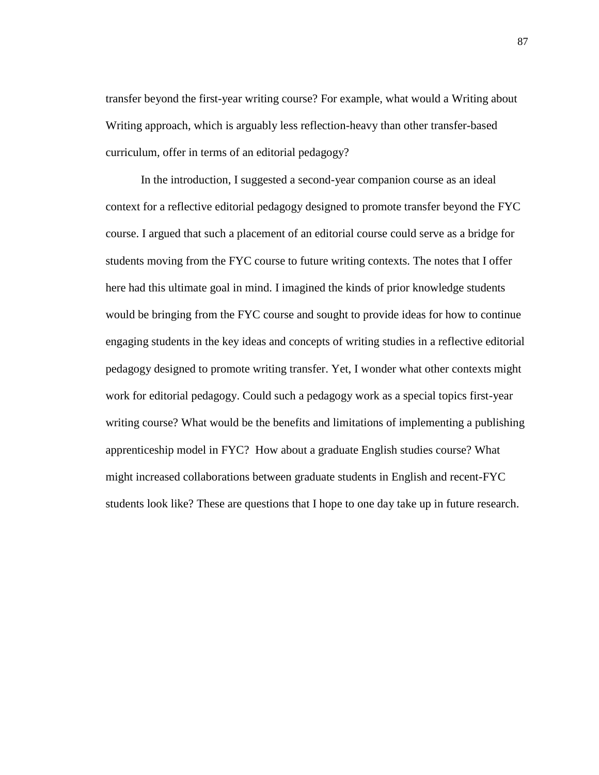transfer beyond the first-year writing course? For example, what would a Writing about Writing approach, which is arguably less reflection-heavy than other transfer-based curriculum, offer in terms of an editorial pedagogy?

In the introduction, I suggested a second-year companion course as an ideal context for a reflective editorial pedagogy designed to promote transfer beyond the FYC course. I argued that such a placement of an editorial course could serve as a bridge for students moving from the FYC course to future writing contexts. The notes that I offer here had this ultimate goal in mind. I imagined the kinds of prior knowledge students would be bringing from the FYC course and sought to provide ideas for how to continue engaging students in the key ideas and concepts of writing studies in a reflective editorial pedagogy designed to promote writing transfer. Yet, I wonder what other contexts might work for editorial pedagogy. Could such a pedagogy work as a special topics first-year writing course? What would be the benefits and limitations of implementing a publishing apprenticeship model in FYC? How about a graduate English studies course? What might increased collaborations between graduate students in English and recent-FYC students look like? These are questions that I hope to one day take up in future research.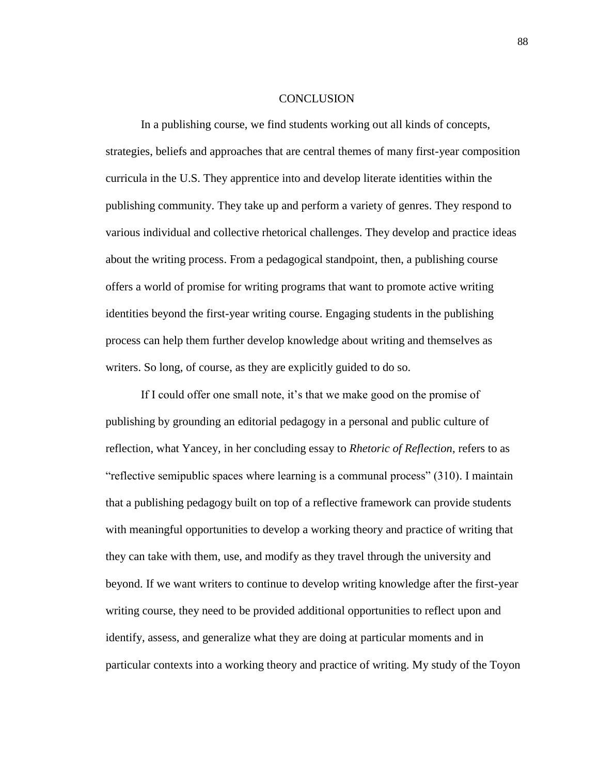#### **CONCLUSION**

In a publishing course, we find students working out all kinds of concepts, strategies, beliefs and approaches that are central themes of many first-year composition curricula in the U.S. They apprentice into and develop literate identities within the publishing community. They take up and perform a variety of genres. They respond to various individual and collective rhetorical challenges. They develop and practice ideas about the writing process. From a pedagogical standpoint, then, a publishing course offers a world of promise for writing programs that want to promote active writing identities beyond the first-year writing course. Engaging students in the publishing process can help them further develop knowledge about writing and themselves as writers. So long, of course, as they are explicitly guided to do so.

If I could offer one small note, it's that we make good on the promise of publishing by grounding an editorial pedagogy in a personal and public culture of reflection, what Yancey, in her concluding essay to *Rhetoric of Reflection*, refers to as "reflective semipublic spaces where learning is a communal process" (310). I maintain that a publishing pedagogy built on top of a reflective framework can provide students with meaningful opportunities to develop a working theory and practice of writing that they can take with them, use, and modify as they travel through the university and beyond. If we want writers to continue to develop writing knowledge after the first-year writing course, they need to be provided additional opportunities to reflect upon and identify, assess, and generalize what they are doing at particular moments and in particular contexts into a working theory and practice of writing. My study of the Toyon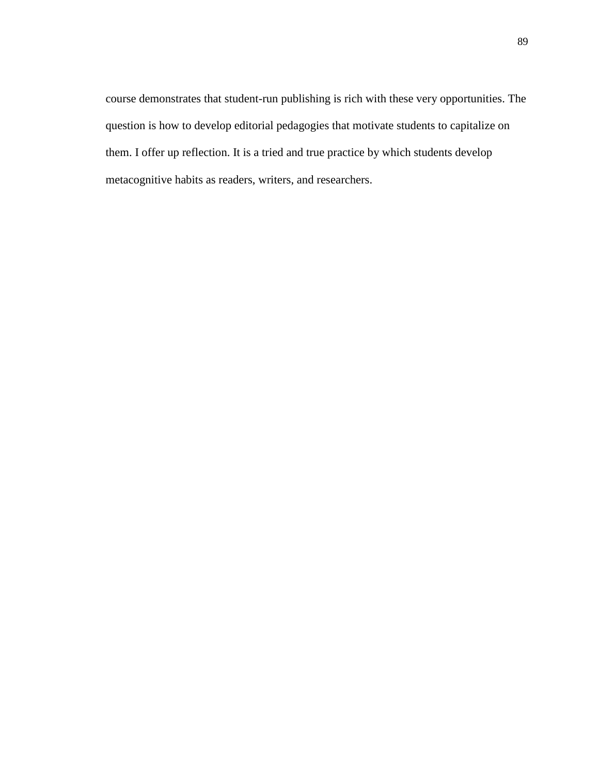course demonstrates that student-run publishing is rich with these very opportunities. The question is how to develop editorial pedagogies that motivate students to capitalize on them. I offer up reflection. It is a tried and true practice by which students develop metacognitive habits as readers, writers, and researchers.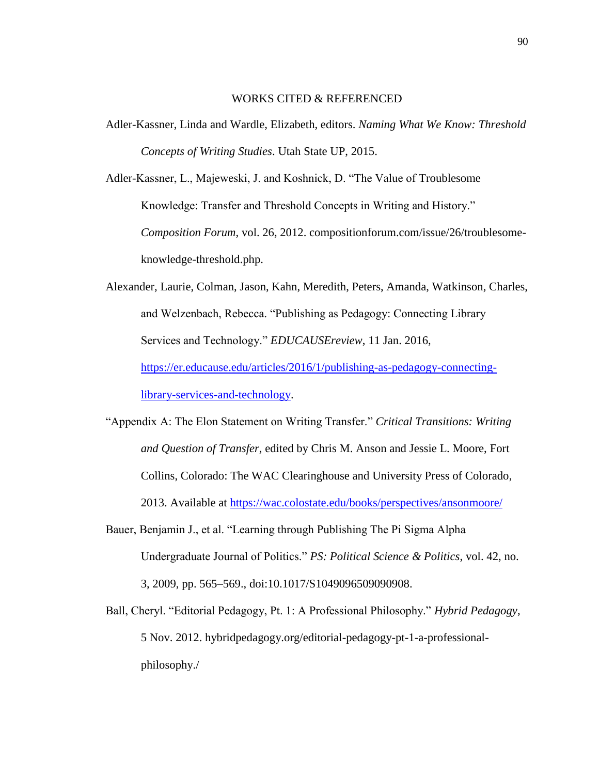# WORKS CITED & REFERENCED

Adler-Kassner, Linda and Wardle, Elizabeth, editors. *Naming What We Know: Threshold Concepts of Writing Studies*. Utah State UP, 2015.

Adler-Kassner, L., Majeweski, J. and Koshnick, D. "The Value of Troublesome Knowledge: Transfer and Threshold Concepts in Writing and History." *Composition Forum*, vol. 26, 2012. compositionforum.com/issue/26/troublesomeknowledge-threshold.php.

Alexander, Laurie, Colman, Jason, Kahn, Meredith, Peters, Amanda, Watkinson, Charles, and Welzenbach, Rebecca. "Publishing as Pedagogy: Connecting Library Services and Technology." *EDUCAUSEreview*, 11 Jan. 2016, [https://er.educause.edu/articles/2016/1/publishing-as-pedagogy-connecting](https://er.educause.edu/articles/2016/1/publishing-as-pedagogy-connecting-%09library-services-and-technology)[library-services-and-technology.](https://er.educause.edu/articles/2016/1/publishing-as-pedagogy-connecting-%09library-services-and-technology)

"Appendix A: The Elon Statement on Writing Transfer." *Critical Transitions: Writing and Question of Transfer*, edited by Chris M. Anson and Jessie L. Moore, Fort Collins, Colorado: The WAC Clearinghouse and University Press of Colorado, 2013. Available at<https://wac.colostate.edu/books/perspectives/ansonmoore/>

Bauer, Benjamin J., et al. "Learning through Publishing The Pi Sigma Alpha Undergraduate Journal of Politics." *PS: Political Science & Politics*, vol. 42, no. 3, 2009, pp. 565–569., doi:10.1017/S1049096509090908.

Ball, Cheryl. "Editorial Pedagogy, Pt. 1: A Professional Philosophy." *Hybrid Pedagogy*, 5 Nov. 2012. hybridpedagogy.org/editorial-pedagogy-pt-1-a-professionalphilosophy./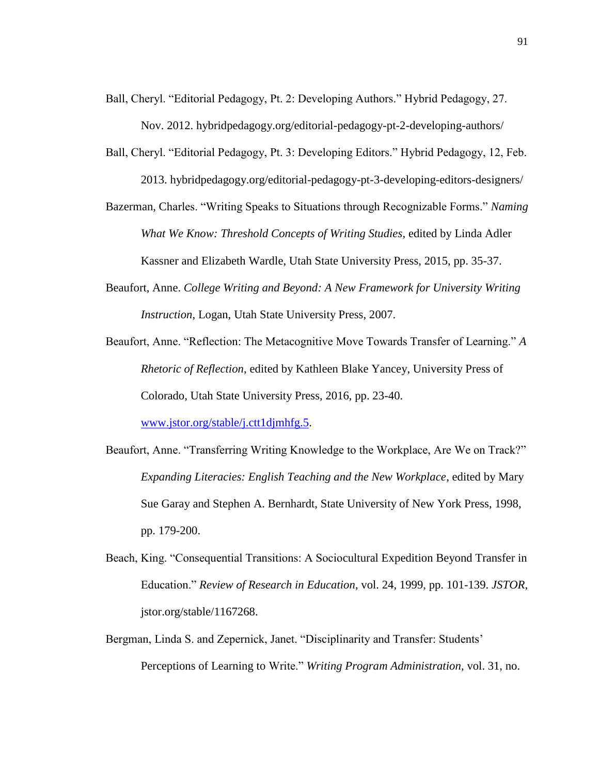- Ball, Cheryl. "Editorial Pedagogy, Pt. 2: Developing Authors." Hybrid Pedagogy, 27. Nov. 2012. hybridpedagogy.org/editorial-pedagogy-pt-2-developing-authors/
- Ball, Cheryl. "Editorial Pedagogy, Pt. 3: Developing Editors." Hybrid Pedagogy, 12, Feb. 2013. hybridpedagogy.org/editorial-pedagogy-pt-3-developing-editors-designers/
- Bazerman, Charles. "Writing Speaks to Situations through Recognizable Forms." *Naming What We Know: Threshold Concepts of Writing Studies*, edited by Linda Adler Kassner and Elizabeth Wardle, Utah State University Press, 2015, pp. 35-37.
- Beaufort, Anne. *College Writing and Beyond: A New Framework for University Writing Instruction*, Logan, Utah State University Press, 2007.
- Beaufort, Anne. "Reflection: The Metacognitive Move Towards Transfer of Learning." *A Rhetoric of Reflection*, edited by Kathleen Blake Yancey, University Press of Colorado, Utah State University Press, 2016, pp. 23-40.

[www.jstor.org/stable/j.ctt1djmhfg.5.](http://www.jstor.org/stable/j.ctt1djmhfg.5)

- Beaufort, Anne. "Transferring Writing Knowledge to the Workplace, Are We on Track?" *Expanding Literacies: English Teaching and the New Workplace*, edited by Mary Sue Garay and Stephen A. Bernhardt, State University of New York Press, 1998, pp. 179-200.
- Beach, King. "Consequential Transitions: A Sociocultural Expedition Beyond Transfer in Education." *Review of Research in Education*, vol. 24, 1999, pp. 101-139. *JSTOR*, jstor.org/stable/1167268.
- Bergman, Linda S. and Zepernick, Janet. "Disciplinarity and Transfer: Students' Perceptions of Learning to Write." *Writing Program Administration*, vol. 31, no.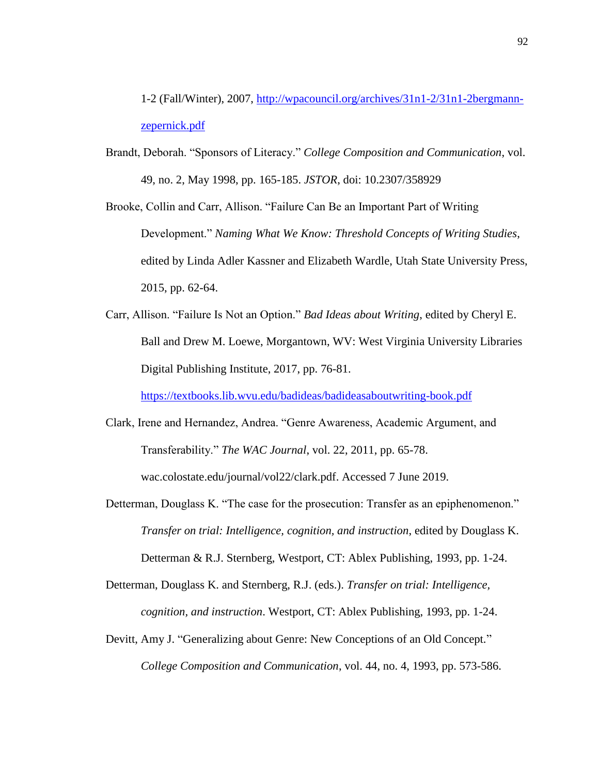1-2 (Fall/Winter), 2007, [http://wpacouncil.org/archives/31n1-2/31n1-2bergmann](http://wpacouncil.org/archives/31n1-2/31n1-2bergmann-%09zepernick.pdf)[zepernick.pdf](http://wpacouncil.org/archives/31n1-2/31n1-2bergmann-%09zepernick.pdf)

Brandt, Deborah. "Sponsors of Literacy." *College Composition and Communication*, vol. 49, no. 2, May 1998, pp. 165-185. *JSTOR*, doi: 10.2307/358929

Brooke, Collin and Carr, Allison. "Failure Can Be an Important Part of Writing Development." *Naming What We Know: Threshold Concepts of Writing Studies*, edited by Linda Adler Kassner and Elizabeth Wardle, Utah State University Press, 2015, pp. 62-64.

Carr, Allison. "Failure Is Not an Option." *Bad Ideas about Writing*, edited by Cheryl E. Ball and Drew M. Loewe, Morgantown, WV: West Virginia University Libraries Digital Publishing Institute, 2017, pp. 76-81.

<https://textbooks.lib.wvu.edu/badideas/badideasaboutwriting-book.pdf>

- Clark, Irene and Hernandez, Andrea. "Genre Awareness, Academic Argument, and Transferability." *The WAC Journal*, vol. 22, 2011, pp. 65-78. wac.colostate.edu/journal/vol22/clark.pdf. Accessed 7 June 2019.
- Detterman, Douglass K. "The case for the prosecution: Transfer as an epiphenomenon." *Transfer on trial: Intelligence, cognition, and instruction*, edited by Douglass K. Detterman & R.J. Sternberg, Westport, CT: Ablex Publishing, 1993, pp. 1-24.

Detterman, Douglass K. and Sternberg, R.J. (eds.). *Transfer on trial: Intelligence, cognition, and instruction*. Westport, CT: Ablex Publishing, 1993, pp. 1-24.

Devitt, Amy J. "Generalizing about Genre: New Conceptions of an Old Concept." *College Composition and Communication*, vol. 44, no. 4, 1993, pp. 573-586.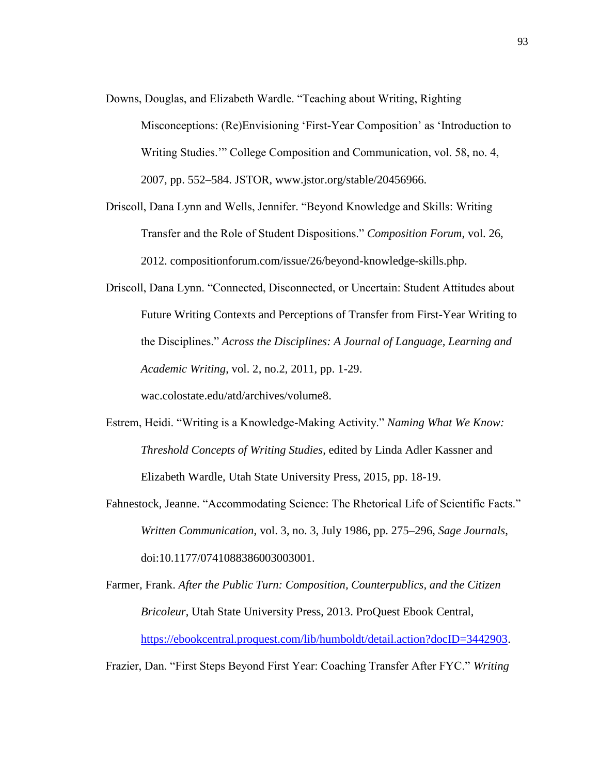- Downs, Douglas, and Elizabeth Wardle. "Teaching about Writing, Righting Misconceptions: (Re)Envisioning 'First-Year Composition' as 'Introduction to Writing Studies.'" College Composition and Communication, vol. 58, no. 4, 2007, pp. 552–584. JSTOR, www.jstor.org/stable/20456966.
- Driscoll, Dana Lynn and Wells, Jennifer. "Beyond Knowledge and Skills: Writing Transfer and the Role of Student Dispositions." *Composition Forum*, vol. 26, 2012. compositionforum.com/issue/26/beyond-knowledge-skills.php.
- Driscoll, Dana Lynn. "Connected, Disconnected, or Uncertain: Student Attitudes about Future Writing Contexts and Perceptions of Transfer from First-Year Writing to the Disciplines." *Across the Disciplines: A Journal of Language, Learning and Academic Writing*, vol. 2, no.2, 2011, pp. 1-29. wac.colostate.edu/atd/archives/volume8.
- Estrem, Heidi. "Writing is a Knowledge-Making Activity." *Naming What We Know: Threshold Concepts of Writing Studies*, edited by Linda Adler Kassner and Elizabeth Wardle, Utah State University Press, 2015, pp. 18-19.
- Fahnestock, Jeanne. "Accommodating Science: The Rhetorical Life of Scientific Facts." *Written Communication*, vol. 3, no. 3, July 1986, pp. 275–296, *Sage Journals*, doi:10.1177/0741088386003003001.

Farmer, Frank. *After the Public Turn: Composition, Counterpublics, and the Citizen Bricoleur*, Utah State University Press, 2013. ProQuest Ebook Central, [https://ebookcentral.proquest.com/lib/humboldt/detail.action?docID=3442903.](https://ebookcentral.proquest.com/lib/humboldt/detail.action?docID=3442903)

Frazier, Dan. "First Steps Beyond First Year: Coaching Transfer After FYC." *Writing*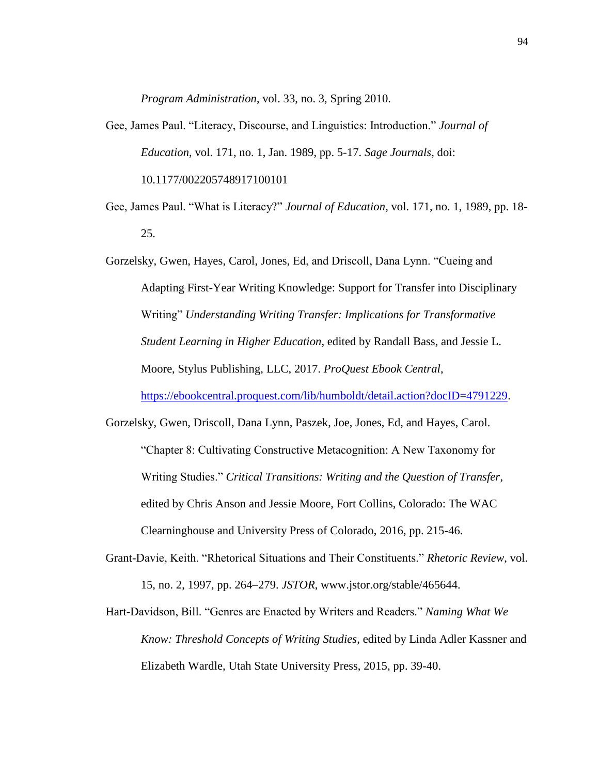*Program Administration*, vol. 33, no. 3, Spring 2010.

- Gee, James Paul. "Literacy, Discourse, and Linguistics: Introduction." *Journal of Education*, vol. 171, no. 1, Jan. 1989, pp. 5-17. *Sage Journals*, doi: 10.1177/002205748917100101
- Gee, James Paul. "What is Literacy?" *Journal of Education*, vol. 171, no. 1, 1989, pp. 18- 25.

Gorzelsky, Gwen, Hayes, Carol, Jones, Ed, and Driscoll, Dana Lynn. "Cueing and Adapting First-Year Writing Knowledge: Support for Transfer into Disciplinary Writing" *Understanding Writing Transfer: Implications for Transformative Student Learning in Higher Education*, edited by Randall Bass, and Jessie L. Moore, Stylus Publishing, LLC, 2017. *ProQuest Ebook Central*, [https://ebookcentral.proquest.com/lib/humboldt/detail.action?docID=4791229.](https://ebookcentral.proquest.com/lib/humboldt/detail.action?docID=4791229)

- Gorzelsky, Gwen, Driscoll, Dana Lynn, Paszek, Joe, Jones, Ed, and Hayes, Carol. "Chapter 8: Cultivating Constructive Metacognition: A New Taxonomy for Writing Studies." *Critical Transitions: Writing and the Question of Transfer*, edited by Chris Anson and Jessie Moore, Fort Collins, Colorado: The WAC Clearninghouse and University Press of Colorado, 2016, pp. 215-46.
- Grant-Davie, Keith. "Rhetorical Situations and Their Constituents." *Rhetoric Review*, vol. 15, no. 2, 1997, pp. 264–279. *JSTOR*, www.jstor.org/stable/465644.
- Hart-Davidson, Bill. "Genres are Enacted by Writers and Readers." *Naming What We Know: Threshold Concepts of Writing Studies*, edited by Linda Adler Kassner and Elizabeth Wardle, Utah State University Press, 2015, pp. 39-40.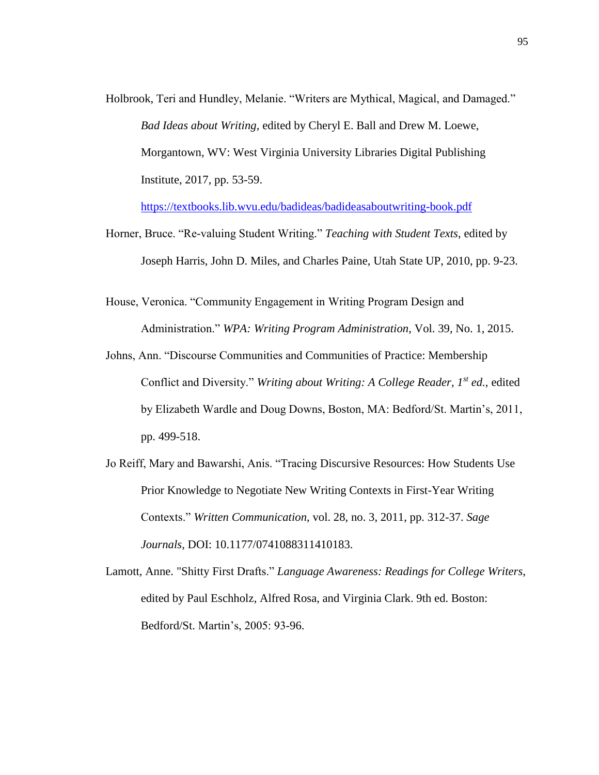Holbrook, Teri and Hundley, Melanie. "Writers are Mythical, Magical, and Damaged." *Bad Ideas about Writing*, edited by Cheryl E. Ball and Drew M. Loewe, Morgantown, WV: West Virginia University Libraries Digital Publishing Institute, 2017, pp. 53-59.

<https://textbooks.lib.wvu.edu/badideas/badideasaboutwriting-book.pdf>

- Horner, Bruce. "Re-valuing Student Writing." *Teaching with Student Texts*, edited by Joseph Harris, John D. Miles, and Charles Paine, Utah State UP, 2010, pp. 9-23.
- House, Veronica. "Community Engagement in Writing Program Design and Administration." *WPA: Writing Program Administration*, Vol. 39, No. 1, 2015.
- Johns, Ann. "Discourse Communities and Communities of Practice: Membership Conflict and Diversity." *Writing about Writing: A College Reader, 1st ed.*, edited by Elizabeth Wardle and Doug Downs, Boston, MA: Bedford/St. Martin's, 2011, pp. 499-518.
- Jo Reiff, Mary and Bawarshi, Anis. "Tracing Discursive Resources: How Students Use Prior Knowledge to Negotiate New Writing Contexts in First-Year Writing Contexts." *Written Communication*, vol. 28, no. 3, 2011, pp. 312-37. *Sage Journals*, DOI: 10.1177/0741088311410183.
- Lamott, Anne. "Shitty First Drafts." *Language Awareness: Readings for College Writers*, edited by Paul Eschholz, Alfred Rosa, and Virginia Clark. 9th ed. Boston: Bedford/St. Martin's, 2005: 93-96.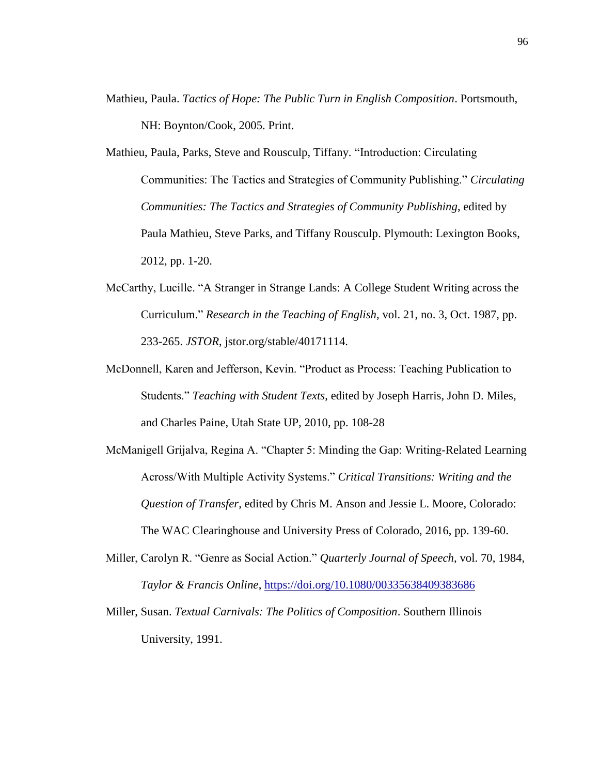- Mathieu, Paula. *Tactics of Hope: The Public Turn in English Composition*. Portsmouth, NH: Boynton/Cook, 2005. Print.
- Mathieu, Paula, Parks, Steve and Rousculp, Tiffany. "Introduction: Circulating Communities: The Tactics and Strategies of Community Publishing." *Circulating Communities: The Tactics and Strategies of Community Publishing*, edited by Paula Mathieu, Steve Parks, and Tiffany Rousculp. Plymouth: Lexington Books, 2012, pp. 1-20.
- McCarthy, Lucille. "A Stranger in Strange Lands: A College Student Writing across the Curriculum." *Research in the Teaching of English*, vol. 21, no. 3, Oct. 1987, pp. 233-265. *JSTOR*, jstor.org/stable/40171114.
- McDonnell, Karen and Jefferson, Kevin. "Product as Process: Teaching Publication to Students." *Teaching with Student Texts*, edited by Joseph Harris, John D. Miles, and Charles Paine, Utah State UP, 2010, pp. 108-28
- McManigell Grijalva, Regina A. "Chapter 5: Minding the Gap: Writing-Related Learning Across/With Multiple Activity Systems." *Critical Transitions: Writing and the Question of Transfer*, edited by Chris M. Anson and Jessie L. Moore, Colorado: The WAC Clearinghouse and University Press of Colorado, 2016, pp. 139-60.
- Miller, Carolyn R. "Genre as Social Action." *Quarterly Journal of Speech*, vol. 70, 1984, *Taylor & Francis Online*,<https://doi.org/10.1080/00335638409383686>
- Miller, Susan. *Textual Carnivals: The Politics of Composition*. Southern Illinois University, 1991.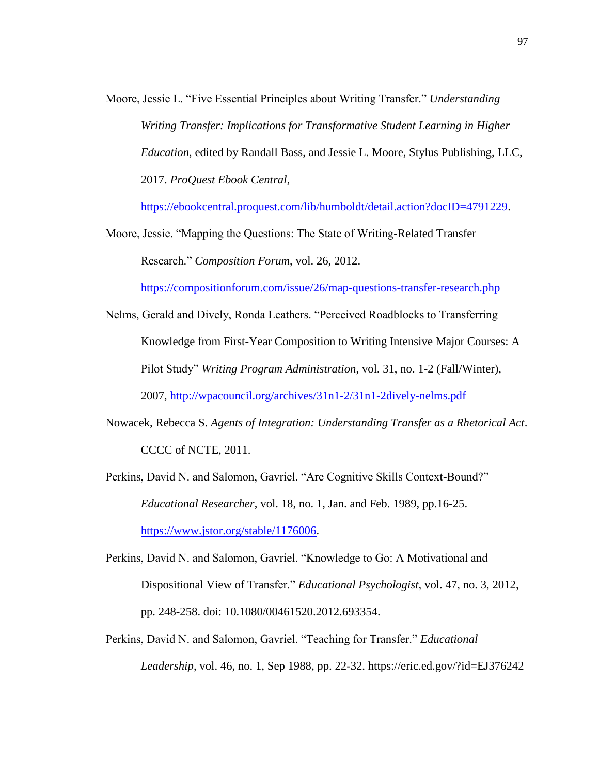Moore, Jessie L. "Five Essential Principles about Writing Transfer." *Understanding Writing Transfer: Implications for Transformative Student Learning in Higher Education*, edited by Randall Bass, and Jessie L. Moore, Stylus Publishing, LLC, 2017. *ProQuest Ebook Central*,

[https://ebookcentral.proquest.com/lib/humboldt/detail.action?docID=4791229.](https://ebookcentral.proquest.com/lib/humboldt/detail.action?docID=4791229)

Moore, Jessie. "Mapping the Questions: The State of Writing-Related Transfer Research." *Composition Forum*, vol. 26, 2012.

<https://compositionforum.com/issue/26/map-questions-transfer-research.php>

- Nelms, Gerald and Dively, Ronda Leathers. "Perceived Roadblocks to Transferring Knowledge from First-Year Composition to Writing Intensive Major Courses: A Pilot Study" *Writing Program Administration*, vol. 31, no. 1-2 (Fall/Winter), 2007, <http://wpacouncil.org/archives/31n1-2/31n1-2dively-nelms.pdf>
- Nowacek, Rebecca S. *Agents of Integration: Understanding Transfer as a Rhetorical Act*. CCCC of NCTE, 2011.

Perkins, David N. and Salomon, Gavriel. "Are Cognitive Skills Context-Bound?" *Educational Researcher*, vol. 18, no. 1, Jan. and Feb. 1989, pp.16-25. [https://www.jstor.org/stable/1176006.](https://www.jstor.org/stable/1176006)

- Perkins, David N. and Salomon, Gavriel. "Knowledge to Go: A Motivational and Dispositional View of Transfer." *Educational Psychologist,* vol. 47, no. 3, 2012, pp. 248-258. doi: 10.1080/00461520.2012.693354.
- Perkins, David N. and Salomon, Gavriel. "Teaching for Transfer." *Educational Leadership*, vol. 46, no. 1, Sep 1988, pp. 22-32. https://eric.ed.gov/?id=EJ376242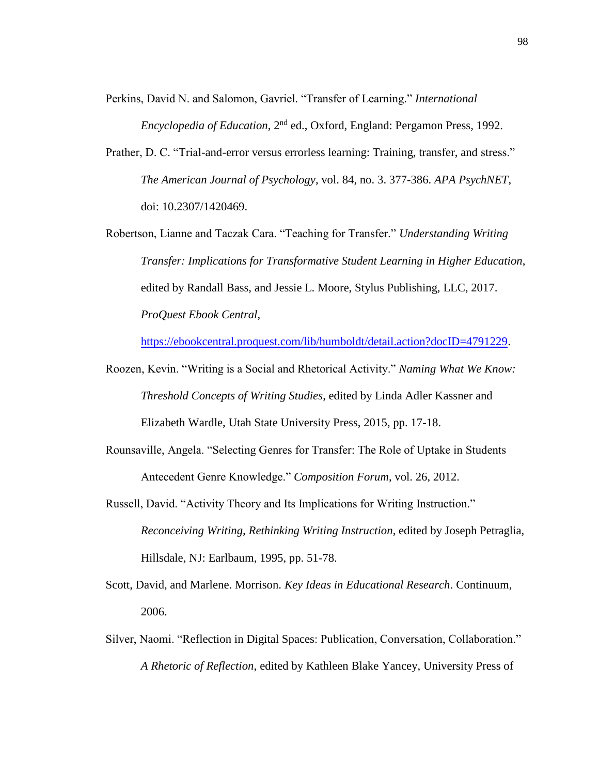- Perkins, David N. and Salomon, Gavriel. "Transfer of Learning." *International Encyclopedia of Education*, 2nd ed., Oxford, England: Pergamon Press, 1992.
- Prather, D. C. "Trial-and-error versus errorless learning: Training, transfer, and stress." *The American Journal of Psychology*, vol. 84, no. 3. 377-386. *APA PsychNET*, doi: 10.2307/1420469.
- Robertson, Lianne and Taczak Cara. "Teaching for Transfer." *Understanding Writing Transfer: Implications for Transformative Student Learning in Higher Education*, edited by Randall Bass, and Jessie L. Moore, Stylus Publishing, LLC, 2017. *ProQuest Ebook Central*,

[https://ebookcentral.proquest.com/lib/humboldt/detail.action?docID=4791229.](https://ebookcentral.proquest.com/lib/humboldt/detail.action?docID=4791229)

- Roozen, Kevin. "Writing is a Social and Rhetorical Activity." *Naming What We Know: Threshold Concepts of Writing Studies*, edited by Linda Adler Kassner and Elizabeth Wardle, Utah State University Press, 2015, pp. 17-18.
- Rounsaville, Angela. "Selecting Genres for Transfer: The Role of Uptake in Students Antecedent Genre Knowledge." *Composition Forum*, vol. 26, 2012.
- Russell, David. "Activity Theory and Its Implications for Writing Instruction." *Reconceiving Writing, Rethinking Writing Instruction*, edited by Joseph Petraglia, Hillsdale, NJ: Earlbaum, 1995, pp. 51-78.
- Scott, David, and Marlene. Morrison. *Key Ideas in Educational Research*. Continuum, 2006.
- Silver, Naomi. "Reflection in Digital Spaces: Publication, Conversation, Collaboration." *A Rhetoric of Reflection*, edited by Kathleen Blake Yancey, University Press of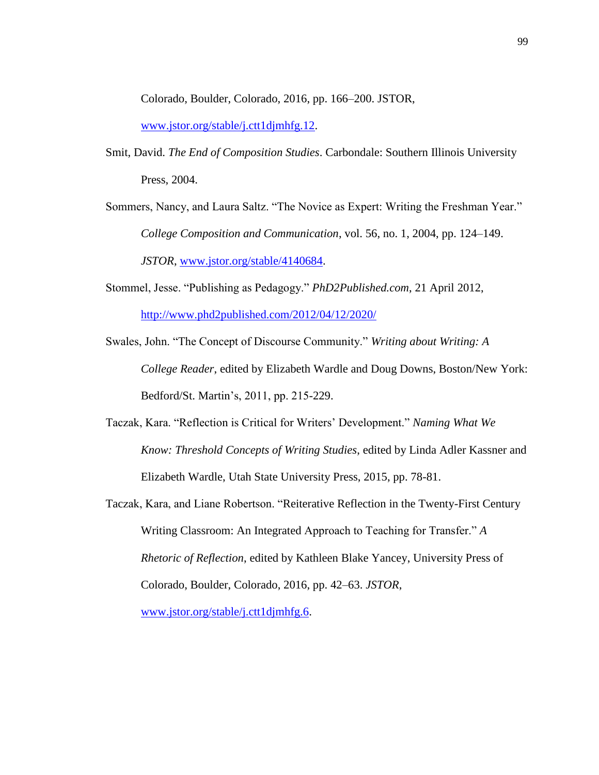Colorado, Boulder, Colorado, 2016, pp. 166–200. JSTOR,

[www.jstor.org/stable/j.ctt1djmhfg.12.](http://www.jstor.org/stable/j.ctt1djmhfg.12)

- Smit, David. *The End of Composition Studies*. Carbondale: Southern Illinois University Press, 2004.
- Sommers, Nancy, and Laura Saltz. "The Novice as Expert: Writing the Freshman Year." *College Composition and Communication*, vol. 56, no. 1, 2004, pp. 124–149. *JSTOR*, [www.jstor.org/stable/4140684.](http://www.jstor.org/stable/4140684)
- Stommel, Jesse. "Publishing as Pedagogy." *PhD2Published.com*, 21 April 2012, <http://www.phd2published.com/2012/04/12/2020/>
- Swales, John. "The Concept of Discourse Community." *Writing about Writing: A College Reader*, edited by Elizabeth Wardle and Doug Downs, Boston/New York: Bedford/St. Martin's, 2011, pp. 215-229.
- Taczak, Kara. "Reflection is Critical for Writers' Development." *Naming What We Know: Threshold Concepts of Writing Studies*, edited by Linda Adler Kassner and Elizabeth Wardle, Utah State University Press, 2015, pp. 78-81.
- Taczak, Kara, and Liane Robertson. "Reiterative Reflection in the Twenty-First Century Writing Classroom: An Integrated Approach to Teaching for Transfer." *A Rhetoric of Reflection*, edited by Kathleen Blake Yancey, University Press of Colorado, Boulder, Colorado, 2016, pp. 42–63. *JSTOR*,

[www.jstor.org/stable/j.ctt1djmhfg.6.](http://www.jstor.org/stable/j.ctt1djmhfg.6)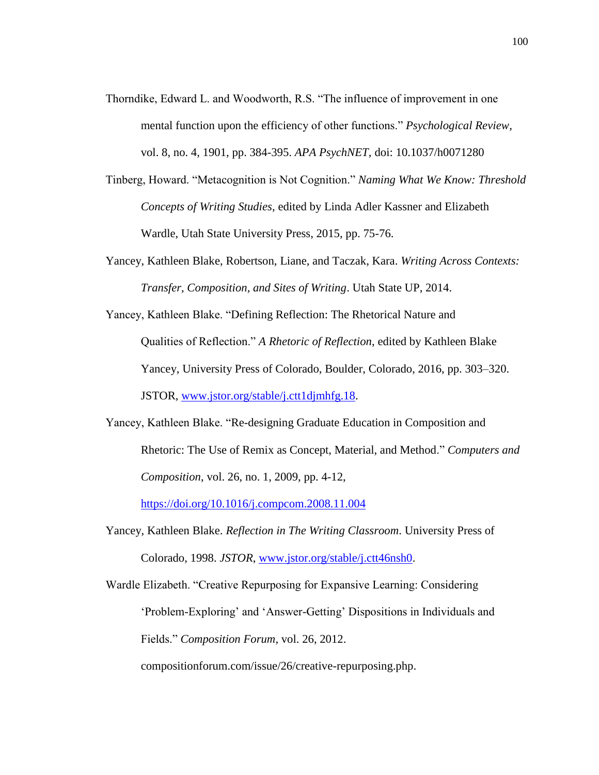- Thorndike, Edward L. and Woodworth, R.S. "The influence of improvement in one mental function upon the efficiency of other functions." *Psychological Review*, vol. 8, no. 4, 1901, pp. 384-395. *APA PsychNET*, doi: 10.1037/h0071280
- Tinberg, Howard. "Metacognition is Not Cognition." *Naming What We Know: Threshold Concepts of Writing Studies*, edited by Linda Adler Kassner and Elizabeth Wardle, Utah State University Press, 2015, pp. 75-76.
- Yancey, Kathleen Blake, Robertson, Liane, and Taczak, Kara. *Writing Across Contexts: Transfer, Composition, and Sites of Writing*. Utah State UP, 2014.
- Yancey, Kathleen Blake. "Defining Reflection: The Rhetorical Nature and Qualities of Reflection." *A Rhetoric of Reflection*, edited by Kathleen Blake Yancey, University Press of Colorado, Boulder, Colorado, 2016, pp. 303–320. JSTOR, [www.jstor.org/stable/j.ctt1djmhfg.18.](http://www.jstor.org/stable/j.ctt1djmhfg.18)
- Yancey, Kathleen Blake. "Re-designing Graduate Education in Composition and Rhetoric: The Use of Remix as Concept, Material, and Method." *Computers and Composition*, vol. 26, no. 1, 2009, pp. 4-12,

<https://doi.org/10.1016/j.compcom.2008.11.004>

Yancey, Kathleen Blake. *Reflection in The Writing Classroom*. University Press of Colorado, 1998. *JSTOR*, [www.jstor.org/stable/j.ctt46nsh0.](http://www.jstor.org/stable/j.ctt46nsh0)

Wardle Elizabeth. "Creative Repurposing for Expansive Learning: Considering 'Problem-Exploring' and 'Answer-Getting' Dispositions in Individuals and Fields." *Composition Forum*, vol. 26, 2012.

compositionforum.com/issue/26/creative-repurposing.php.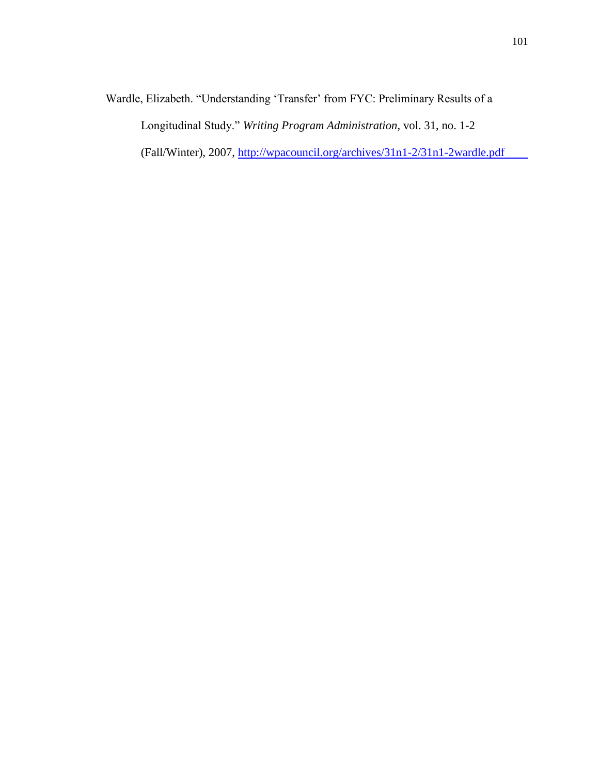Wardle, Elizabeth. "Understanding 'Transfer' from FYC: Preliminary Results of a Longitudinal Study." *Writing Program Administration*, vol. 31, no. 1-2

(Fall/Winter), 2007,<http://wpacouncil.org/archives/31n1-2/31n1-2wardle.pdf>